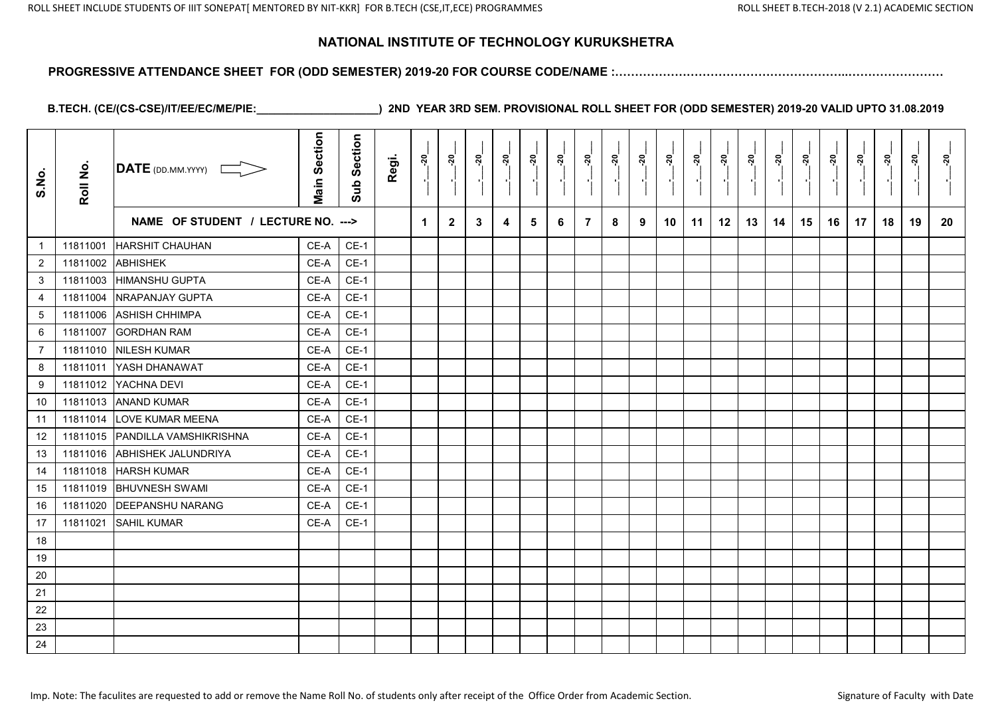#### **PROGRESSIVE ATTENDANCE SHEET FOR (ODD SEMESTER) 2019-20 FOR COURSE CODE/NAME :…………………………………………………..……………………**

| S.No.            | Roll No. | $\overline{\text{DATE}}$ (DD.MM.YYYY) | <b>Main Section</b> | Section<br>Sub | Regi. | នុ                   | នុ           | ៷៓           | ៷៓ | នុ | នុ៎<br>P, |   | ನ್ನ<br>$\blacksquare$ | ៷៓ | <u>នុ</u> | ನ್ನ | នុ | នុ | <u>នុ</u> | ៷៓ | នុ | ສຸ | នុ | <u>នុ</u><br>$\blacksquare$ | នុ |
|------------------|----------|---------------------------------------|---------------------|----------------|-------|----------------------|--------------|--------------|----|----|-----------|---|-----------------------|----|-----------|-----|----|----|-----------|----|----|----|----|-----------------------------|----|
|                  |          | NAME OF STUDENT / LECTURE NO. --->    |                     |                |       | $\blacktriangleleft$ | $\mathbf{2}$ | $\mathbf{3}$ | 4  | 5  | 6         | 7 | 8                     | 9  | 10        | 11  | 12 | 13 | 14        | 15 | 16 | 17 | 18 | 19                          | 20 |
| $\mathbf{1}$     | 11811001 | <b>HARSHIT CHAUHAN</b>                | CE-A                | $CE-1$         |       |                      |              |              |    |    |           |   |                       |    |           |     |    |    |           |    |    |    |    |                             |    |
| $\overline{c}$   | 11811002 | <b>ABHISHEK</b>                       | CE-A                | $CE-1$         |       |                      |              |              |    |    |           |   |                       |    |           |     |    |    |           |    |    |    |    |                             |    |
| 3                | 11811003 | <b>HIMANSHU GUPTA</b>                 | CE-A                | $CE-1$         |       |                      |              |              |    |    |           |   |                       |    |           |     |    |    |           |    |    |    |    |                             |    |
| $\overline{4}$   | 11811004 | NRAPANJAY GUPTA                       | CE-A                | $CE-1$         |       |                      |              |              |    |    |           |   |                       |    |           |     |    |    |           |    |    |    |    |                             |    |
| $\sqrt{5}$       | 11811006 | <b>ASHISH CHHIMPA</b>                 | CE-A                | $CE-1$         |       |                      |              |              |    |    |           |   |                       |    |           |     |    |    |           |    |    |    |    |                             |    |
| $\,6\,$          | 11811007 | <b>GORDHAN RAM</b>                    | CE-A                | $CE-1$         |       |                      |              |              |    |    |           |   |                       |    |           |     |    |    |           |    |    |    |    |                             |    |
| $\overline{7}$   | 11811010 | <b>NILESH KUMAR</b>                   | CE-A                | $CE-1$         |       |                      |              |              |    |    |           |   |                       |    |           |     |    |    |           |    |    |    |    |                             |    |
| 8                | 11811011 | YASH DHANAWAT                         | CE-A                | $CE-1$         |       |                      |              |              |    |    |           |   |                       |    |           |     |    |    |           |    |    |    |    |                             |    |
| $\boldsymbol{9}$ | 11811012 | YACHNA DEVI                           | CE-A                | $CE-1$         |       |                      |              |              |    |    |           |   |                       |    |           |     |    |    |           |    |    |    |    |                             |    |
| 10               |          | 11811013 ANAND KUMAR                  | CE-A                | $CE-1$         |       |                      |              |              |    |    |           |   |                       |    |           |     |    |    |           |    |    |    |    |                             |    |
| 11               | 11811014 | <b>LOVE KUMAR MEENA</b>               | CE-A                | $CE-1$         |       |                      |              |              |    |    |           |   |                       |    |           |     |    |    |           |    |    |    |    |                             |    |
| 12               | 11811015 | PANDILLA VAMSHIKRISHNA                | CE-A                | $CE-1$         |       |                      |              |              |    |    |           |   |                       |    |           |     |    |    |           |    |    |    |    |                             |    |
| 13               | 11811016 | <b>ABHISHEK JALUNDRIYA</b>            | CE-A                | $CE-1$         |       |                      |              |              |    |    |           |   |                       |    |           |     |    |    |           |    |    |    |    |                             |    |
| 14               | 11811018 | <b>HARSH KUMAR</b>                    | CE-A                | $CE-1$         |       |                      |              |              |    |    |           |   |                       |    |           |     |    |    |           |    |    |    |    |                             |    |
| 15               | 11811019 | <b>BHUVNESH SWAMI</b>                 | CE-A                | $CE-1$         |       |                      |              |              |    |    |           |   |                       |    |           |     |    |    |           |    |    |    |    |                             |    |
| 16               | 11811020 | <b>DEEPANSHU NARANG</b>               | CE-A                | $CE-1$         |       |                      |              |              |    |    |           |   |                       |    |           |     |    |    |           |    |    |    |    |                             |    |
| 17               | 11811021 | <b>SAHIL KUMAR</b>                    | CE-A                | $CE-1$         |       |                      |              |              |    |    |           |   |                       |    |           |     |    |    |           |    |    |    |    |                             |    |
| 18               |          |                                       |                     |                |       |                      |              |              |    |    |           |   |                       |    |           |     |    |    |           |    |    |    |    |                             |    |
| 19               |          |                                       |                     |                |       |                      |              |              |    |    |           |   |                       |    |           |     |    |    |           |    |    |    |    |                             |    |
| 20               |          |                                       |                     |                |       |                      |              |              |    |    |           |   |                       |    |           |     |    |    |           |    |    |    |    |                             |    |
| 21               |          |                                       |                     |                |       |                      |              |              |    |    |           |   |                       |    |           |     |    |    |           |    |    |    |    |                             |    |
| 22               |          |                                       |                     |                |       |                      |              |              |    |    |           |   |                       |    |           |     |    |    |           |    |    |    |    |                             |    |
| 23               |          |                                       |                     |                |       |                      |              |              |    |    |           |   |                       |    |           |     |    |    |           |    |    |    |    |                             |    |
| 24               |          |                                       |                     |                |       |                      |              |              |    |    |           |   |                       |    |           |     |    |    |           |    |    |    |    |                             |    |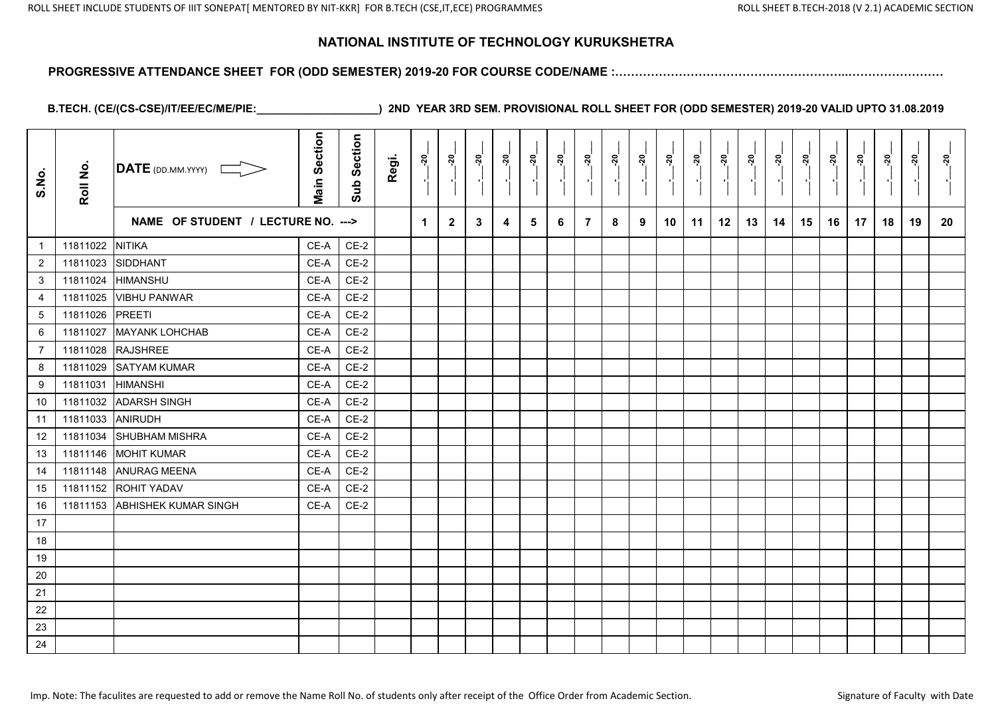#### **PROGRESSIVE ATTENDANCE SHEET FOR (ODD SEMESTER) 2019-20 FOR COURSE CODE/NAME :…………………………………………………..……………………**

| S.No.           | Roll No. | $\overline{\mathsf{DATE}}$ (DD.MM.YYYY) | <b>Main Section</b> | Sub Section | Regi. | នុ                   | <u>នុ</u>    | <u> 20</u> | <u>នុ</u> | នុ | ្គុ | <u>នុ</u>      | <u>នុ</u> | <u>នុ</u> | ຸສຸ | ្គុ | នុ | ្លុ | នុ | ៷៓ | $\frac{5}{2}$ | ្តុ | នុ | ្គុ | នុ |
|-----------------|----------|-----------------------------------------|---------------------|-------------|-------|----------------------|--------------|------------|-----------|----|-----|----------------|-----------|-----------|-----|-----|----|-----|----|----|---------------|-----|----|-----|----|
|                 |          | NAME OF STUDENT / LECTURE NO. --->      |                     |             |       | $\blacktriangleleft$ | $\mathbf{2}$ | 3          | 4         | 5  | 6   | $\overline{7}$ | 8         | 9         | 10  | 11  | 12 | 13  | 14 | 15 | 16            | 17  | 18 | 19  | 20 |
| $\mathbf{1}$    | 11811022 | <b>NITIKA</b>                           | CE-A                | $CE-2$      |       |                      |              |            |           |    |     |                |           |           |     |     |    |     |    |    |               |     |    |     |    |
| $\mathbf{2}$    | 11811023 | SIDDHANT                                | CE-A                | $CE-2$      |       |                      |              |            |           |    |     |                |           |           |     |     |    |     |    |    |               |     |    |     |    |
| 3               | 11811024 | <b>HIMANSHU</b>                         | CE-A                | $CE-2$      |       |                      |              |            |           |    |     |                |           |           |     |     |    |     |    |    |               |     |    |     |    |
| 4               | 11811025 | <b>VIBHU PANWAR</b>                     | CE-A                | $CE-2$      |       |                      |              |            |           |    |     |                |           |           |     |     |    |     |    |    |               |     |    |     |    |
| $5\phantom{.0}$ | 11811026 | <b>PREETI</b>                           | CE-A                | $CE-2$      |       |                      |              |            |           |    |     |                |           |           |     |     |    |     |    |    |               |     |    |     |    |
| 6               | 11811027 | <b>MAYANK LOHCHAB</b>                   | CE-A                | $CE-2$      |       |                      |              |            |           |    |     |                |           |           |     |     |    |     |    |    |               |     |    |     |    |
| $\overline{7}$  | 11811028 | <b>RAJSHREE</b>                         | CE-A                | $CE-2$      |       |                      |              |            |           |    |     |                |           |           |     |     |    |     |    |    |               |     |    |     |    |
| 8               | 11811029 | <b>SATYAM KUMAR</b>                     | CE-A                | $CE-2$      |       |                      |              |            |           |    |     |                |           |           |     |     |    |     |    |    |               |     |    |     |    |
| 9               | 11811031 | <b>HIMANSHI</b>                         | CE-A                | $CE-2$      |       |                      |              |            |           |    |     |                |           |           |     |     |    |     |    |    |               |     |    |     |    |
| 10              | 11811032 | <b>ADARSH SINGH</b>                     | CE-A                | $CE-2$      |       |                      |              |            |           |    |     |                |           |           |     |     |    |     |    |    |               |     |    |     |    |
| 11              | 11811033 | <b>ANIRUDH</b>                          | CE-A                | $CE-2$      |       |                      |              |            |           |    |     |                |           |           |     |     |    |     |    |    |               |     |    |     |    |
| 12              | 11811034 | <b>SHUBHAM MISHRA</b>                   | CE-A                | $CE-2$      |       |                      |              |            |           |    |     |                |           |           |     |     |    |     |    |    |               |     |    |     |    |
| 13              | 11811146 | <b>MOHIT KUMAR</b>                      | CE-A                | $CE-2$      |       |                      |              |            |           |    |     |                |           |           |     |     |    |     |    |    |               |     |    |     |    |
| 14              | 11811148 | <b>ANURAG MEENA</b>                     | CE-A                | $CE-2$      |       |                      |              |            |           |    |     |                |           |           |     |     |    |     |    |    |               |     |    |     |    |
| 15              |          | 11811152 ROHIT YADAV                    | CE-A                | $CE-2$      |       |                      |              |            |           |    |     |                |           |           |     |     |    |     |    |    |               |     |    |     |    |
| 16              | 11811153 | <b>ABHISHEK KUMAR SINGH</b>             | CE-A                | $CE-2$      |       |                      |              |            |           |    |     |                |           |           |     |     |    |     |    |    |               |     |    |     |    |
| 17              |          |                                         |                     |             |       |                      |              |            |           |    |     |                |           |           |     |     |    |     |    |    |               |     |    |     |    |
| 18              |          |                                         |                     |             |       |                      |              |            |           |    |     |                |           |           |     |     |    |     |    |    |               |     |    |     |    |
| 19              |          |                                         |                     |             |       |                      |              |            |           |    |     |                |           |           |     |     |    |     |    |    |               |     |    |     |    |
| 20              |          |                                         |                     |             |       |                      |              |            |           |    |     |                |           |           |     |     |    |     |    |    |               |     |    |     |    |
| 21              |          |                                         |                     |             |       |                      |              |            |           |    |     |                |           |           |     |     |    |     |    |    |               |     |    |     |    |
| 22              |          |                                         |                     |             |       |                      |              |            |           |    |     |                |           |           |     |     |    |     |    |    |               |     |    |     |    |
| 23              |          |                                         |                     |             |       |                      |              |            |           |    |     |                |           |           |     |     |    |     |    |    |               |     |    |     |    |
| 24              |          |                                         |                     |             |       |                      |              |            |           |    |     |                |           |           |     |     |    |     |    |    |               |     |    |     |    |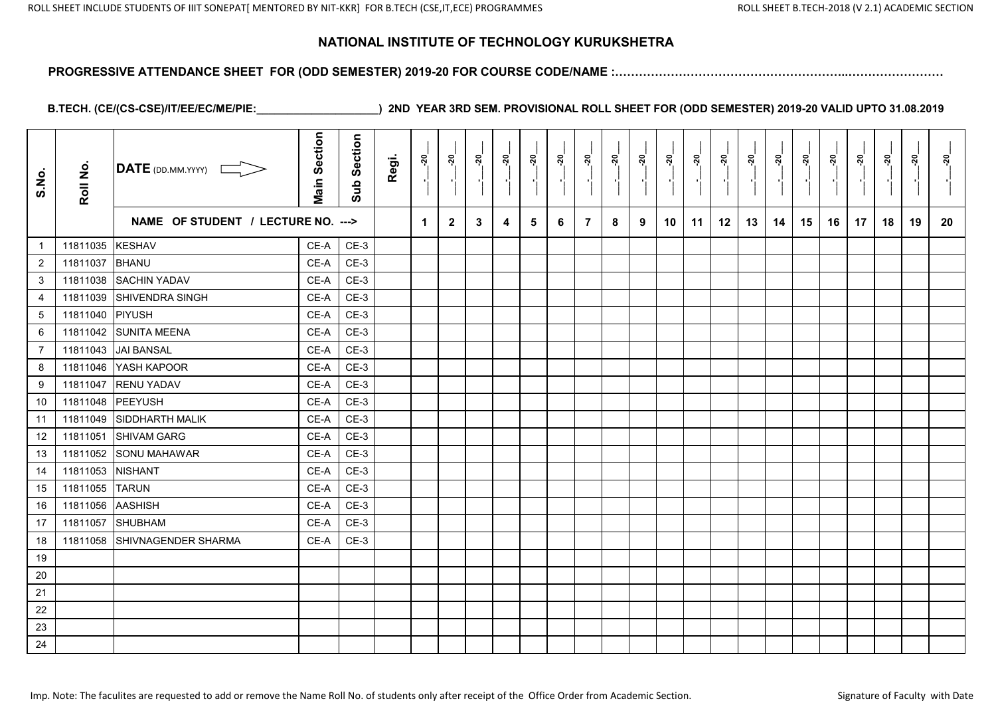#### **PROGRESSIVE ATTENDANCE SHEET FOR (ODD SEMESTER) 2019-20 FOR COURSE CODE/NAME :…………………………………………………..……………………**

| S.No.          | Roll No. | <b>DATE</b> (DD.MM.YYYY) L         | <b>Main Section</b> | Section<br>Sub | Regi. | នុ                   | <u>នុ</u>    | <u>នុ</u> | <u>នុ</u> | ្កុ | នុ | <u>នុ</u>      | នុ | នុ | <u>ីរ</u> | ្គុ | <u>នុ</u> | <u>នុ</u> | <u>នុ</u> | <u>័</u> | $\frac{5}{2}$ | ្គុ | នុ | នុ | <u>នុ</u> |
|----------------|----------|------------------------------------|---------------------|----------------|-------|----------------------|--------------|-----------|-----------|-----|----|----------------|----|----|-----------|-----|-----------|-----------|-----------|----------|---------------|-----|----|----|-----------|
|                |          | NAME OF STUDENT / LECTURE NO. ---> |                     |                |       | $\blacktriangleleft$ | $\mathbf{2}$ | 3         | 4         | 5   | 6  | $\overline{7}$ | 8  | 9  | 10        | 11  | 12        | 13        | 14        | 15       | 16            | 17  | 18 | 19 | 20        |
| $\mathbf{1}$   | 11811035 | <b>KESHAV</b>                      | CE-A                | $CE-3$         |       |                      |              |           |           |     |    |                |    |    |           |     |           |           |           |          |               |     |    |    |           |
| $\overline{2}$ | 11811037 | <b>BHANU</b>                       | CE-A                | $CE-3$         |       |                      |              |           |           |     |    |                |    |    |           |     |           |           |           |          |               |     |    |    |           |
| 3              | 11811038 | <b>SACHIN YADAV</b>                | CE-A                | $CE-3$         |       |                      |              |           |           |     |    |                |    |    |           |     |           |           |           |          |               |     |    |    |           |
| 4              | 11811039 | SHIVENDRA SINGH                    | CE-A                | $CE-3$         |       |                      |              |           |           |     |    |                |    |    |           |     |           |           |           |          |               |     |    |    |           |
| 5              | 11811040 | PIYUSH                             | CE-A                | $CE-3$         |       |                      |              |           |           |     |    |                |    |    |           |     |           |           |           |          |               |     |    |    |           |
| 6              |          | 11811042 SUNITA MEENA              | CE-A                | $CE-3$         |       |                      |              |           |           |     |    |                |    |    |           |     |           |           |           |          |               |     |    |    |           |
| $\overline{7}$ | 11811043 | <b>JAI BANSAL</b>                  | CE-A                | $CE-3$         |       |                      |              |           |           |     |    |                |    |    |           |     |           |           |           |          |               |     |    |    |           |
| 8              | 11811046 | YASH KAPOOR                        | CE-A                | $CE-3$         |       |                      |              |           |           |     |    |                |    |    |           |     |           |           |           |          |               |     |    |    |           |
| 9              | 11811047 | <b>RENU YADAV</b>                  | CE-A                | $CE-3$         |       |                      |              |           |           |     |    |                |    |    |           |     |           |           |           |          |               |     |    |    |           |
| 10             | 11811048 | PEEYUSH                            | CE-A                | $CE-3$         |       |                      |              |           |           |     |    |                |    |    |           |     |           |           |           |          |               |     |    |    |           |
| 11             | 11811049 | <b>SIDDHARTH MALIK</b>             | CE-A                | $CE-3$         |       |                      |              |           |           |     |    |                |    |    |           |     |           |           |           |          |               |     |    |    |           |
| 12             | 11811051 | SHIVAM GARG                        | CE-A                | $CE-3$         |       |                      |              |           |           |     |    |                |    |    |           |     |           |           |           |          |               |     |    |    |           |
| 13             | 11811052 | <b>SONU MAHAWAR</b>                | CE-A                | $CE-3$         |       |                      |              |           |           |     |    |                |    |    |           |     |           |           |           |          |               |     |    |    |           |
| 14             | 11811053 | <b>NISHANT</b>                     | CE-A                | $CE-3$         |       |                      |              |           |           |     |    |                |    |    |           |     |           |           |           |          |               |     |    |    |           |
| 15             | 11811055 | <b>TARUN</b>                       | CE-A                | $CE-3$         |       |                      |              |           |           |     |    |                |    |    |           |     |           |           |           |          |               |     |    |    |           |
| 16             | 11811056 | <b>AASHISH</b>                     | CE-A                | $CE-3$         |       |                      |              |           |           |     |    |                |    |    |           |     |           |           |           |          |               |     |    |    |           |
| 17             | 11811057 | <b>SHUBHAM</b>                     | CE-A                | $CE-3$         |       |                      |              |           |           |     |    |                |    |    |           |     |           |           |           |          |               |     |    |    |           |
| 18             | 11811058 | SHIVNAGENDER SHARMA                | CE-A                | $CE-3$         |       |                      |              |           |           |     |    |                |    |    |           |     |           |           |           |          |               |     |    |    |           |
| 19             |          |                                    |                     |                |       |                      |              |           |           |     |    |                |    |    |           |     |           |           |           |          |               |     |    |    |           |
| 20             |          |                                    |                     |                |       |                      |              |           |           |     |    |                |    |    |           |     |           |           |           |          |               |     |    |    |           |
| 21             |          |                                    |                     |                |       |                      |              |           |           |     |    |                |    |    |           |     |           |           |           |          |               |     |    |    |           |
| 22             |          |                                    |                     |                |       |                      |              |           |           |     |    |                |    |    |           |     |           |           |           |          |               |     |    |    |           |
| 23             |          |                                    |                     |                |       |                      |              |           |           |     |    |                |    |    |           |     |           |           |           |          |               |     |    |    |           |
| 24             |          |                                    |                     |                |       |                      |              |           |           |     |    |                |    |    |           |     |           |           |           |          |               |     |    |    |           |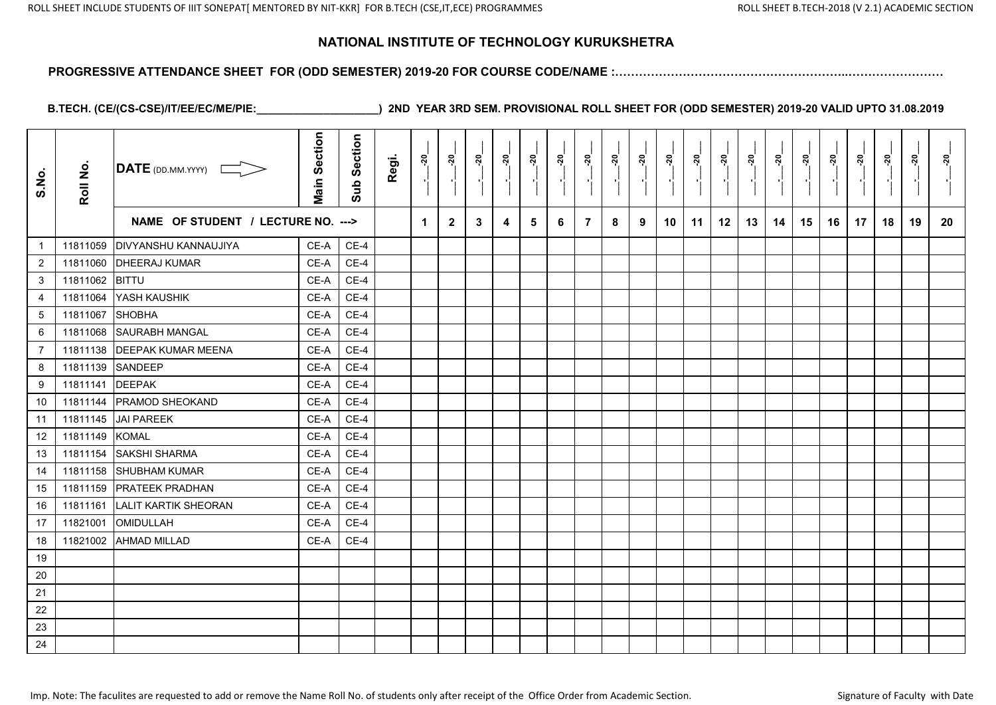#### **PROGRESSIVE ATTENDANCE SHEET FOR (ODD SEMESTER) 2019-20 FOR COURSE CODE/NAME :…………………………………………………..……………………**

| S.No.          | Roll No. | $\overline{\text{DATE}}$ (DD.MM.YYYY) | <b>Main Section</b> | Section<br>Sub | Regi. | ្តុ | ್ಗ           | នុ៎          | នុ៎ | ្កុ<br>$\blacksquare$ | នុ៎<br>л, | <u>្ករ</u> | នុ<br>$\blacksquare$ | <u>នុ</u> | ៷៓ | នុ | នុ | នុ<br>×, | នុ៎ |    | នុ<br>$\blacksquare$ | នុ៎ | <u>្កុ</u> | <u>នុ</u><br>$\blacksquare$ | <u>នុ</u> |
|----------------|----------|---------------------------------------|---------------------|----------------|-------|-----|--------------|--------------|-----|-----------------------|-----------|------------|----------------------|-----------|----|----|----|----------|-----|----|----------------------|-----|------------|-----------------------------|-----------|
|                |          | NAME OF STUDENT / LECTURE NO. --->    |                     |                |       | 1   | $\mathbf{2}$ | $\mathbf{3}$ | 4   | 5                     | 6         | 7          | 8                    | 9         | 10 | 11 | 12 | 13       | 14  | 15 | 16                   | 17  | 18         | 19                          | 20        |
| $\mathbf{1}$   | 11811059 | <b>DIVYANSHU KANNAUJIYA</b>           | $CE-A$              | $CE-4$         |       |     |              |              |     |                       |           |            |                      |           |    |    |    |          |     |    |                      |     |            |                             |           |
| $\overline{c}$ | 11811060 | <b>DHEERAJ KUMAR</b>                  | CE-A                | $CE-4$         |       |     |              |              |     |                       |           |            |                      |           |    |    |    |          |     |    |                      |     |            |                             |           |
| $\mathbf{3}$   | 11811062 | <b>BITTU</b>                          | CE-A                | $CE-4$         |       |     |              |              |     |                       |           |            |                      |           |    |    |    |          |     |    |                      |     |            |                             |           |
| $\overline{4}$ | 11811064 | YASH KAUSHIK                          | CE-A                | $CE-4$         |       |     |              |              |     |                       |           |            |                      |           |    |    |    |          |     |    |                      |     |            |                             |           |
| $\,$ 5 $\,$    | 11811067 | SHOBHA                                | CE-A                | $CE-4$         |       |     |              |              |     |                       |           |            |                      |           |    |    |    |          |     |    |                      |     |            |                             |           |
| 6              | 11811068 | <b>SAURABH MANGAL</b>                 | CE-A                | $CE-4$         |       |     |              |              |     |                       |           |            |                      |           |    |    |    |          |     |    |                      |     |            |                             |           |
| $\overline{7}$ | 11811138 | <b>DEEPAK KUMAR MEENA</b>             | CE-A                | $CE-4$         |       |     |              |              |     |                       |           |            |                      |           |    |    |    |          |     |    |                      |     |            |                             |           |
| 8              | 11811139 | SANDEEP                               | CE-A                | $CE-4$         |       |     |              |              |     |                       |           |            |                      |           |    |    |    |          |     |    |                      |     |            |                             |           |
| 9              | 11811141 | <b>DEEPAK</b>                         | CE-A                | $CE-4$         |       |     |              |              |     |                       |           |            |                      |           |    |    |    |          |     |    |                      |     |            |                             |           |
| 10             | 11811144 | <b>PRAMOD SHEOKAND</b>                | CE-A                | $CE-4$         |       |     |              |              |     |                       |           |            |                      |           |    |    |    |          |     |    |                      |     |            |                             |           |
| 11             | 11811145 | <b>JAI PAREEK</b>                     | CE-A                | $CE-4$         |       |     |              |              |     |                       |           |            |                      |           |    |    |    |          |     |    |                      |     |            |                             |           |
| 12             | 11811149 | <b>KOMAL</b>                          | CE-A                | $CE-4$         |       |     |              |              |     |                       |           |            |                      |           |    |    |    |          |     |    |                      |     |            |                             |           |
| 13             | 11811154 | <b>SAKSHI SHARMA</b>                  | CE-A                | $CE-4$         |       |     |              |              |     |                       |           |            |                      |           |    |    |    |          |     |    |                      |     |            |                             |           |
| 14             | 11811158 | SHUBHAM KUMAR                         | CE-A                | $CE-4$         |       |     |              |              |     |                       |           |            |                      |           |    |    |    |          |     |    |                      |     |            |                             |           |
| 15             | 11811159 | <b>PRATEEK PRADHAN</b>                | CE-A                | $CE-4$         |       |     |              |              |     |                       |           |            |                      |           |    |    |    |          |     |    |                      |     |            |                             |           |
| 16             | 11811161 | <b>LALIT KARTIK SHEORAN</b>           | CE-A                | $CE-4$         |       |     |              |              |     |                       |           |            |                      |           |    |    |    |          |     |    |                      |     |            |                             |           |
| 17             | 11821001 | OMIDULLAH                             | CE-A                | $CE-4$         |       |     |              |              |     |                       |           |            |                      |           |    |    |    |          |     |    |                      |     |            |                             |           |
| 18             | 11821002 | <b>AHMAD MILLAD</b>                   | CE-A                | $CE-4$         |       |     |              |              |     |                       |           |            |                      |           |    |    |    |          |     |    |                      |     |            |                             |           |
| 19             |          |                                       |                     |                |       |     |              |              |     |                       |           |            |                      |           |    |    |    |          |     |    |                      |     |            |                             |           |
| 20             |          |                                       |                     |                |       |     |              |              |     |                       |           |            |                      |           |    |    |    |          |     |    |                      |     |            |                             |           |
| 21             |          |                                       |                     |                |       |     |              |              |     |                       |           |            |                      |           |    |    |    |          |     |    |                      |     |            |                             |           |
| 22             |          |                                       |                     |                |       |     |              |              |     |                       |           |            |                      |           |    |    |    |          |     |    |                      |     |            |                             |           |
| 23             |          |                                       |                     |                |       |     |              |              |     |                       |           |            |                      |           |    |    |    |          |     |    |                      |     |            |                             |           |
| 24             |          |                                       |                     |                |       |     |              |              |     |                       |           |            |                      |           |    |    |    |          |     |    |                      |     |            |                             |           |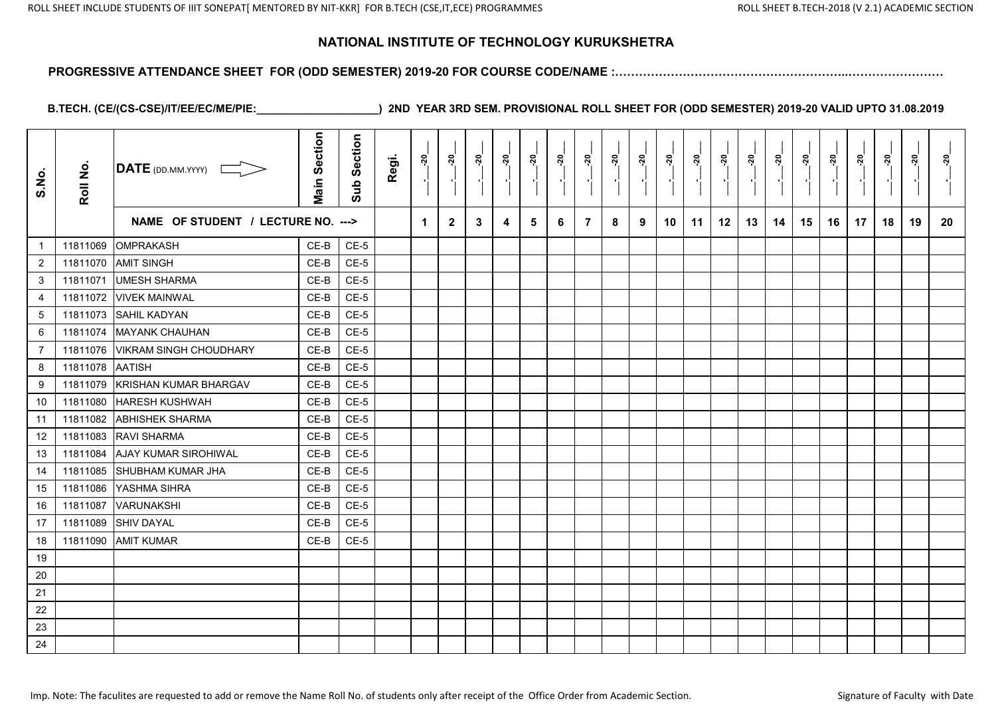#### **PROGRESSIVE ATTENDANCE SHEET FOR (ODD SEMESTER) 2019-20 FOR COURSE CODE/NAME :…………………………………………………..……………………**

| S.No.           | Roll No. | DATE (DD.MM.YYYY) [                | <b>Main Section</b> | Section<br>Sub | Regi. | <u>នុ</u>            | <u>នុ</u>    | ៷៓ | ៷៓ | ្គុ<br>$\blacksquare$ | ៷៓ | ្គុ | ನ್ನ<br>$\blacksquare$ | <u>នុ</u> | នុ | នុ<br>$\blacksquare$ | នុ | <u>នុ</u> | នុ |    | ៷  | <u>នុ</u><br>$\blacksquare$ | នុ | <u>នុ</u> | នុ |
|-----------------|----------|------------------------------------|---------------------|----------------|-------|----------------------|--------------|----|----|-----------------------|----|-----|-----------------------|-----------|----|----------------------|----|-----------|----|----|----|-----------------------------|----|-----------|----|
|                 |          | NAME OF STUDENT / LECTURE NO. ---> |                     |                |       | $\blacktriangleleft$ | $\mathbf{2}$ | 3  | 4  | 5                     | 6  | 7   | 8                     | 9         | 10 | 11                   | 12 | 13        | 14 | 15 | 16 | 17                          | 18 | 19        | 20 |
| $\mathbf{1}$    | 11811069 | <b>OMPRAKASH</b>                   | CE-B                | $CE-5$         |       |                      |              |    |    |                       |    |     |                       |           |    |                      |    |           |    |    |    |                             |    |           |    |
| $\overline{2}$  | 11811070 | <b>AMIT SINGH</b>                  | $CE-B$              | $CE-5$         |       |                      |              |    |    |                       |    |     |                       |           |    |                      |    |           |    |    |    |                             |    |           |    |
| 3               | 11811071 | <b>UMESH SHARMA</b>                | CE-B                | $CE-5$         |       |                      |              |    |    |                       |    |     |                       |           |    |                      |    |           |    |    |    |                             |    |           |    |
| $\overline{4}$  | 11811072 | <b>VIVEK MAINWAL</b>               | $CE-B$              | $CE-5$         |       |                      |              |    |    |                       |    |     |                       |           |    |                      |    |           |    |    |    |                             |    |           |    |
| $5\phantom{.0}$ | 11811073 | <b>SAHIL KADYAN</b>                | CE-B                | $CE-5$         |       |                      |              |    |    |                       |    |     |                       |           |    |                      |    |           |    |    |    |                             |    |           |    |
| 6               | 11811074 | <b>MAYANK CHAUHAN</b>              | $CE-B$              | $CE-5$         |       |                      |              |    |    |                       |    |     |                       |           |    |                      |    |           |    |    |    |                             |    |           |    |
| $\overline{7}$  | 11811076 | <b>VIKRAM SINGH CHOUDHARY</b>      | CE-B                | $CE-5$         |       |                      |              |    |    |                       |    |     |                       |           |    |                      |    |           |    |    |    |                             |    |           |    |
| 8               | 11811078 | <b>AATISH</b>                      | CE-B                | $CE-5$         |       |                      |              |    |    |                       |    |     |                       |           |    |                      |    |           |    |    |    |                             |    |           |    |
| 9               | 11811079 | KRISHAN KUMAR BHARGAV              | $CE-B$              | $CE-5$         |       |                      |              |    |    |                       |    |     |                       |           |    |                      |    |           |    |    |    |                             |    |           |    |
| 10              | 11811080 | <b>HARESH KUSHWAH</b>              | CE-B                | $CE-5$         |       |                      |              |    |    |                       |    |     |                       |           |    |                      |    |           |    |    |    |                             |    |           |    |
| 11              | 11811082 | <b>ABHISHEK SHARMA</b>             | CE-B                | $CE-5$         |       |                      |              |    |    |                       |    |     |                       |           |    |                      |    |           |    |    |    |                             |    |           |    |
| 12              | 11811083 | <b>RAVI SHARMA</b>                 | CE-B                | $CE-5$         |       |                      |              |    |    |                       |    |     |                       |           |    |                      |    |           |    |    |    |                             |    |           |    |
| 13              | 11811084 | <b>AJAY KUMAR SIROHIWAL</b>        | $CE-B$              | $CE-5$         |       |                      |              |    |    |                       |    |     |                       |           |    |                      |    |           |    |    |    |                             |    |           |    |
| 14              | 11811085 | <b>ISHUBHAM KUMAR JHA</b>          | CE-B                | $CE-5$         |       |                      |              |    |    |                       |    |     |                       |           |    |                      |    |           |    |    |    |                             |    |           |    |
| 15              | 11811086 | YASHMA SIHRA                       | $CE-B$              | $CE-5$         |       |                      |              |    |    |                       |    |     |                       |           |    |                      |    |           |    |    |    |                             |    |           |    |
| 16              | 11811087 | <b>VARUNAKSHI</b>                  | CE-B                | $CE-5$         |       |                      |              |    |    |                       |    |     |                       |           |    |                      |    |           |    |    |    |                             |    |           |    |
| 17              | 11811089 | <b>SHIV DAYAL</b>                  | CE-B                | $CE-5$         |       |                      |              |    |    |                       |    |     |                       |           |    |                      |    |           |    |    |    |                             |    |           |    |
| 18              | 11811090 | <b>AMIT KUMAR</b>                  | $CE-B$              | $CE-5$         |       |                      |              |    |    |                       |    |     |                       |           |    |                      |    |           |    |    |    |                             |    |           |    |
| 19              |          |                                    |                     |                |       |                      |              |    |    |                       |    |     |                       |           |    |                      |    |           |    |    |    |                             |    |           |    |
| 20              |          |                                    |                     |                |       |                      |              |    |    |                       |    |     |                       |           |    |                      |    |           |    |    |    |                             |    |           |    |
| 21              |          |                                    |                     |                |       |                      |              |    |    |                       |    |     |                       |           |    |                      |    |           |    |    |    |                             |    |           |    |
| 22              |          |                                    |                     |                |       |                      |              |    |    |                       |    |     |                       |           |    |                      |    |           |    |    |    |                             |    |           |    |
| 23              |          |                                    |                     |                |       |                      |              |    |    |                       |    |     |                       |           |    |                      |    |           |    |    |    |                             |    |           |    |
| 24              |          |                                    |                     |                |       |                      |              |    |    |                       |    |     |                       |           |    |                      |    |           |    |    |    |                             |    |           |    |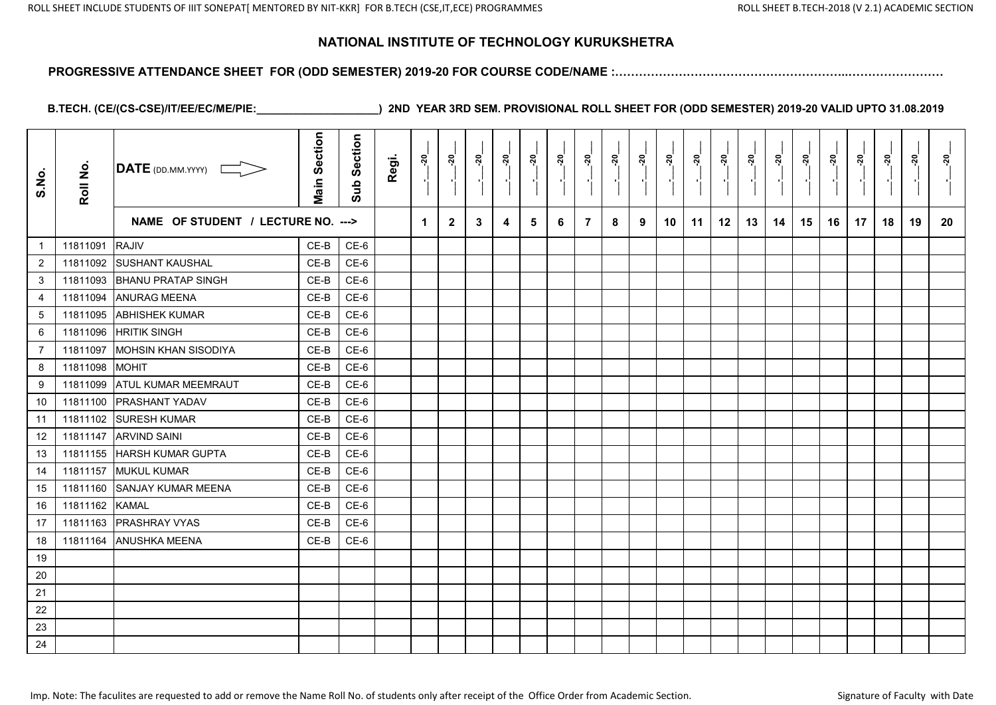#### **PROGRESSIVE ATTENDANCE SHEET FOR (ODD SEMESTER) 2019-20 FOR COURSE CODE/NAME :…………………………………………………..……………………**

| S.No.           | Roll No. | DATE (DD.MM.YYYY)                  | <b>Main Section</b> | Section<br>Sub | Regi. | <u>នុ</u>            | <u>នុ</u>      | ៷៓           | ៷៓ | ៷<br>$\blacksquare$ | នុ៎<br>- 10 | ្កុ | ನ್ನ<br>$\mathbf{r}$ | ៷៓ | ្ពុ | នុ<br>$\blacksquare$ | នុ | <u>នុ</u> | នុ |    | <u>នុ</u> | <u>នុ</u><br>$\mathbf{r}$ | នុ | <u>នុ</u> | នុ |
|-----------------|----------|------------------------------------|---------------------|----------------|-------|----------------------|----------------|--------------|----|---------------------|-------------|-----|---------------------|----|-----|----------------------|----|-----------|----|----|-----------|---------------------------|----|-----------|----|
|                 |          | NAME OF STUDENT / LECTURE NO. ---> |                     |                |       | $\blacktriangleleft$ | $\overline{2}$ | $\mathbf{3}$ | 4  | 5                   | 6           | 7   | 8                   | 9  | 10  | 11                   | 12 | 13        | 14 | 15 | 16        | 17                        | 18 | 19        | 20 |
| $\mathbf{1}$    | 11811091 | <b>RAJIV</b>                       | CE-B                | CE-6           |       |                      |                |              |    |                     |             |     |                     |    |     |                      |    |           |    |    |           |                           |    |           |    |
| $\overline{2}$  | 11811092 | <b>SUSHANT KAUSHAL</b>             | $CE-B$              | $CE-6$         |       |                      |                |              |    |                     |             |     |                     |    |     |                      |    |           |    |    |           |                           |    |           |    |
| 3               | 11811093 | <b>BHANU PRATAP SINGH</b>          | CE-B                | $CE-6$         |       |                      |                |              |    |                     |             |     |                     |    |     |                      |    |           |    |    |           |                           |    |           |    |
| $\overline{4}$  | 11811094 | <b>ANURAG MEENA</b>                | $CE-B$              | $CE-6$         |       |                      |                |              |    |                     |             |     |                     |    |     |                      |    |           |    |    |           |                           |    |           |    |
| $5\phantom{.0}$ | 11811095 | <b>ABHISHEK KUMAR</b>              | CE-B                | $CE-6$         |       |                      |                |              |    |                     |             |     |                     |    |     |                      |    |           |    |    |           |                           |    |           |    |
| 6               | 11811096 | <b>HRITIK SINGH</b>                | $CE-B$              | $CE-6$         |       |                      |                |              |    |                     |             |     |                     |    |     |                      |    |           |    |    |           |                           |    |           |    |
| $\overline{7}$  | 11811097 | <b>MOHSIN KHAN SISODIYA</b>        | CE-B                | $CE-6$         |       |                      |                |              |    |                     |             |     |                     |    |     |                      |    |           |    |    |           |                           |    |           |    |
| 8               | 11811098 | <b>MOHIT</b>                       | CE-B                | $CE-6$         |       |                      |                |              |    |                     |             |     |                     |    |     |                      |    |           |    |    |           |                           |    |           |    |
| 9               | 11811099 | <b>ATUL KUMAR MEEMRAUT</b>         | $CE-B$              | $CE-6$         |       |                      |                |              |    |                     |             |     |                     |    |     |                      |    |           |    |    |           |                           |    |           |    |
| 10              | 11811100 | <b>PRASHANT YADAV</b>              | CE-B                | $CE-6$         |       |                      |                |              |    |                     |             |     |                     |    |     |                      |    |           |    |    |           |                           |    |           |    |
| 11              | 11811102 | <b>SURESH KUMAR</b>                | CE-B                | $CE-6$         |       |                      |                |              |    |                     |             |     |                     |    |     |                      |    |           |    |    |           |                           |    |           |    |
| 12              | 11811147 | <b>ARVIND SAINI</b>                | CE-B                | $CE-6$         |       |                      |                |              |    |                     |             |     |                     |    |     |                      |    |           |    |    |           |                           |    |           |    |
| 13              | 11811155 | <b>HARSH KUMAR GUPTA</b>           | CE-B                | $CE-6$         |       |                      |                |              |    |                     |             |     |                     |    |     |                      |    |           |    |    |           |                           |    |           |    |
| 14              | 11811157 | <b>MUKUL KUMAR</b>                 | CE-B                | $CE-6$         |       |                      |                |              |    |                     |             |     |                     |    |     |                      |    |           |    |    |           |                           |    |           |    |
| 15              | 11811160 | <b>SANJAY KUMAR MEENA</b>          | $CE-B$              | $CE-6$         |       |                      |                |              |    |                     |             |     |                     |    |     |                      |    |           |    |    |           |                           |    |           |    |
| 16              | 11811162 | <b>KAMAL</b>                       | CE-B                | $CE-6$         |       |                      |                |              |    |                     |             |     |                     |    |     |                      |    |           |    |    |           |                           |    |           |    |
| 17              | 11811163 | <b>PRASHRAY VYAS</b>               | CE-B                | $CE-6$         |       |                      |                |              |    |                     |             |     |                     |    |     |                      |    |           |    |    |           |                           |    |           |    |
| 18              | 11811164 | <b>ANUSHKA MEENA</b>               | $CE-B$              | $CE-6$         |       |                      |                |              |    |                     |             |     |                     |    |     |                      |    |           |    |    |           |                           |    |           |    |
| 19              |          |                                    |                     |                |       |                      |                |              |    |                     |             |     |                     |    |     |                      |    |           |    |    |           |                           |    |           |    |
| 20              |          |                                    |                     |                |       |                      |                |              |    |                     |             |     |                     |    |     |                      |    |           |    |    |           |                           |    |           |    |
| 21              |          |                                    |                     |                |       |                      |                |              |    |                     |             |     |                     |    |     |                      |    |           |    |    |           |                           |    |           |    |
| 22              |          |                                    |                     |                |       |                      |                |              |    |                     |             |     |                     |    |     |                      |    |           |    |    |           |                           |    |           |    |
| 23              |          |                                    |                     |                |       |                      |                |              |    |                     |             |     |                     |    |     |                      |    |           |    |    |           |                           |    |           |    |
| 24              |          |                                    |                     |                |       |                      |                |              |    |                     |             |     |                     |    |     |                      |    |           |    |    |           |                           |    |           |    |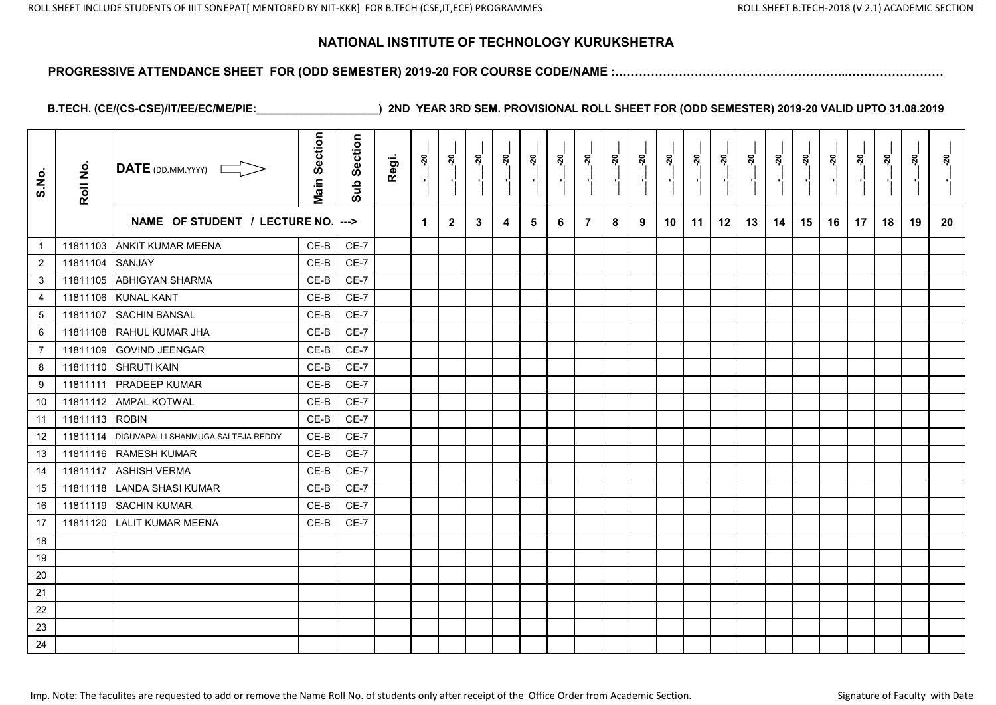#### **PROGRESSIVE ATTENDANCE SHEET FOR (ODD SEMESTER) 2019-20 FOR COURSE CODE/NAME :…………………………………………………..……………………**

| S.No.            | Roll No. | $\overline{\text{DATE}}$ (DD.MM.YYYY) | <b>Main Section</b> | Section<br>Sub | Regi. | ្គុ                  | នុ           | ៷៓           | ៷៓ | នុ | នុ៎<br>P, |   | ನ್ನ<br>$\blacksquare$ | ៷៓ | <u>នុ</u> | នុ | នុ | នុ | $\frac{5}{2}$ | ៷៓ | នុ<br>лf, | ສັ | នុ | <u>នុ</u><br>$\blacksquare$ | នុ |
|------------------|----------|---------------------------------------|---------------------|----------------|-------|----------------------|--------------|--------------|----|----|-----------|---|-----------------------|----|-----------|----|----|----|---------------|----|-----------|----|----|-----------------------------|----|
|                  |          | NAME OF STUDENT / LECTURE NO. --->    |                     |                |       | $\blacktriangleleft$ | $\mathbf{2}$ | $\mathbf{3}$ | 4  | 5  | 6         | 7 | 8                     | 9  | 10        | 11 | 12 | 13 | 14            | 15 | 16        | 17 | 18 | 19                          | 20 |
| $\mathbf{1}$     | 11811103 | <b>ANKIT KUMAR MEENA</b>              | CE-B                | $CE-7$         |       |                      |              |              |    |    |           |   |                       |    |           |    |    |    |               |    |           |    |    |                             |    |
| $\overline{c}$   | 11811104 | SANJAY                                | CE-B                | $CE-7$         |       |                      |              |              |    |    |           |   |                       |    |           |    |    |    |               |    |           |    |    |                             |    |
| 3                | 11811105 | <b>ABHIGYAN SHARMA</b>                | CE-B                | $CE-7$         |       |                      |              |              |    |    |           |   |                       |    |           |    |    |    |               |    |           |    |    |                             |    |
| $\overline{4}$   | 11811106 | <b>KUNAL KANT</b>                     | $CE-B$              | $CE-7$         |       |                      |              |              |    |    |           |   |                       |    |           |    |    |    |               |    |           |    |    |                             |    |
| $\sqrt{5}$       | 11811107 | <b>SACHIN BANSAL</b>                  | CE-B                | $CE-7$         |       |                      |              |              |    |    |           |   |                       |    |           |    |    |    |               |    |           |    |    |                             |    |
| $\,6\,$          | 11811108 | RAHUL KUMAR JHA                       | CE-B                | $CE-7$         |       |                      |              |              |    |    |           |   |                       |    |           |    |    |    |               |    |           |    |    |                             |    |
| $\overline{7}$   | 11811109 | <b>GOVIND JEENGAR</b>                 | $CE-B$              | $CE-7$         |       |                      |              |              |    |    |           |   |                       |    |           |    |    |    |               |    |           |    |    |                             |    |
| 8                |          | 11811110 SHRUTI KAIN                  | $CE-B$              | $CE-7$         |       |                      |              |              |    |    |           |   |                       |    |           |    |    |    |               |    |           |    |    |                             |    |
| $\boldsymbol{9}$ | 11811111 | <b>PRADEEP KUMAR</b>                  | $CE-B$              | $CE-7$         |       |                      |              |              |    |    |           |   |                       |    |           |    |    |    |               |    |           |    |    |                             |    |
| 10               |          | 11811112 AMPAL KOTWAL                 | CE-B                | $CE-7$         |       |                      |              |              |    |    |           |   |                       |    |           |    |    |    |               |    |           |    |    |                             |    |
| 11               | 11811113 | <b>ROBIN</b>                          | CE-B                | $CE-7$         |       |                      |              |              |    |    |           |   |                       |    |           |    |    |    |               |    |           |    |    |                             |    |
| 12               | 11811114 | DIGUVAPALLI SHANMUGA SAI TEJA REDDY   | CE-B                | $CE-7$         |       |                      |              |              |    |    |           |   |                       |    |           |    |    |    |               |    |           |    |    |                             |    |
| 13               | 11811116 | <b>RAMESH KUMAR</b>                   | $CE-B$              | $CE-7$         |       |                      |              |              |    |    |           |   |                       |    |           |    |    |    |               |    |           |    |    |                             |    |
| 14               | 11811117 | <b>ASHISH VERMA</b>                   | CE-B                | $CE-7$         |       |                      |              |              |    |    |           |   |                       |    |           |    |    |    |               |    |           |    |    |                             |    |
| 15               | 11811118 | <b>LANDA SHASI KUMAR</b>              | $CE-B$              | $CE-7$         |       |                      |              |              |    |    |           |   |                       |    |           |    |    |    |               |    |           |    |    |                             |    |
| 16               | 11811119 | <b>SACHIN KUMAR</b>                   | CE-B                | $CE-7$         |       |                      |              |              |    |    |           |   |                       |    |           |    |    |    |               |    |           |    |    |                             |    |
| 17               | 11811120 | <b>LALIT KUMAR MEENA</b>              | $CE-B$              | $CE-7$         |       |                      |              |              |    |    |           |   |                       |    |           |    |    |    |               |    |           |    |    |                             |    |
| 18               |          |                                       |                     |                |       |                      |              |              |    |    |           |   |                       |    |           |    |    |    |               |    |           |    |    |                             |    |
| 19               |          |                                       |                     |                |       |                      |              |              |    |    |           |   |                       |    |           |    |    |    |               |    |           |    |    |                             |    |
| 20               |          |                                       |                     |                |       |                      |              |              |    |    |           |   |                       |    |           |    |    |    |               |    |           |    |    |                             |    |
| 21               |          |                                       |                     |                |       |                      |              |              |    |    |           |   |                       |    |           |    |    |    |               |    |           |    |    |                             |    |
| 22               |          |                                       |                     |                |       |                      |              |              |    |    |           |   |                       |    |           |    |    |    |               |    |           |    |    |                             |    |
| 23               |          |                                       |                     |                |       |                      |              |              |    |    |           |   |                       |    |           |    |    |    |               |    |           |    |    |                             |    |
| 24               |          |                                       |                     |                |       |                      |              |              |    |    |           |   |                       |    |           |    |    |    |               |    |           |    |    |                             |    |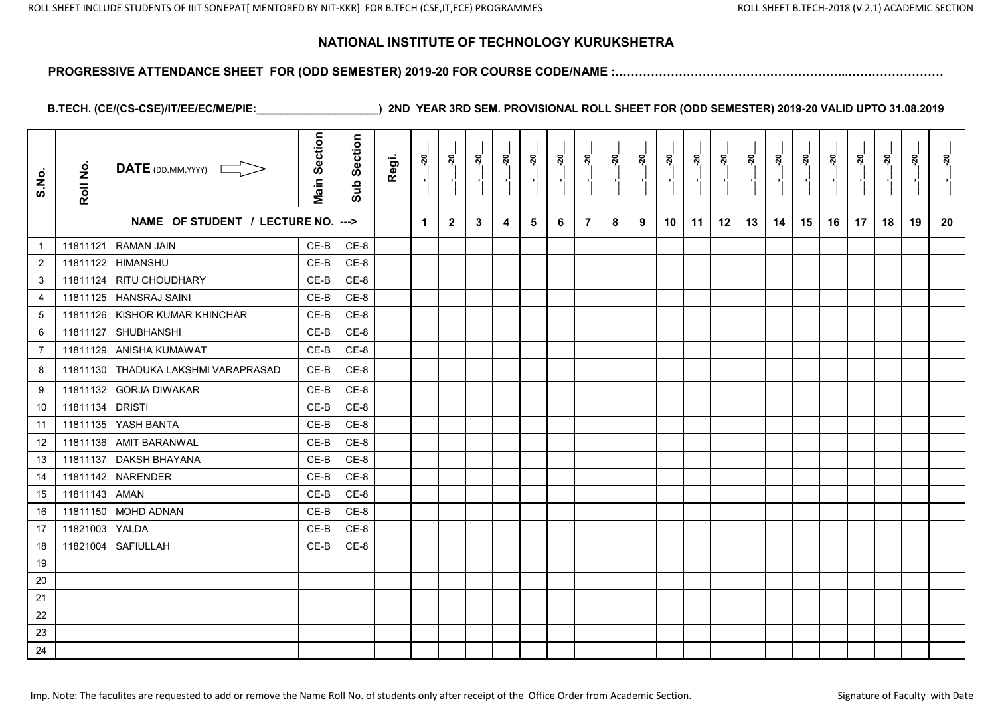#### **PROGRESSIVE ATTENDANCE SHEET FOR (ODD SEMESTER) 2019-20 FOR COURSE CODE/NAME :…………………………………………………..……………………**

| S.No.                     | Roll No. | DATE (DD.MM.YYYY) [                | <b>Main Section</b> | Section<br>Sub | Regi. | នុ                   | នុ៎            | ៷៓ | <u>នុ</u> | ៷ | <u>នុ</u> | ៷៓<br>Pi.      | នុ៎ | នុ៎ | នុ | នុ | នុ | <u>នុ</u> | ៷  | <u>័រ</u> | <u>នុ</u> | នុ៎ | នុ<br>- 11 | ្គុ | នុ |
|---------------------------|----------|------------------------------------|---------------------|----------------|-------|----------------------|----------------|----|-----------|---|-----------|----------------|-----|-----|----|----|----|-----------|----|-----------|-----------|-----|------------|-----|----|
|                           |          | NAME OF STUDENT / LECTURE NO. ---> |                     |                |       | $\blacktriangleleft$ | $\overline{2}$ | 3  | 4         | 5 | 6         | $\overline{7}$ | 8   | 9   | 10 | 11 | 12 | 13        | 14 | 15        | 16        | 17  | 18         | 19  | 20 |
| $\mathbf{1}$              | 11811121 | <b>RAMAN JAIN</b>                  | $CE-B$              | $CE-8$         |       |                      |                |    |           |   |           |                |     |     |    |    |    |           |    |           |           |     |            |     |    |
| $\overline{2}$            | 11811122 | <b>HIMANSHU</b>                    | $CE-B$              | $CE-8$         |       |                      |                |    |           |   |           |                |     |     |    |    |    |           |    |           |           |     |            |     |    |
| $\ensuremath{\mathsf{3}}$ | 11811124 | <b>RITU CHOUDHARY</b>              | CE-B                | $CE-8$         |       |                      |                |    |           |   |           |                |     |     |    |    |    |           |    |           |           |     |            |     |    |
| 4                         | 11811125 | <b>HANSRAJ SAINI</b>               | CE-B                | CE-8           |       |                      |                |    |           |   |           |                |     |     |    |    |    |           |    |           |           |     |            |     |    |
| $\sqrt{5}$                | 11811126 | KISHOR KUMAR KHINCHAR              | CE-B                | $CE-8$         |       |                      |                |    |           |   |           |                |     |     |    |    |    |           |    |           |           |     |            |     |    |
| 6                         | 11811127 | SHUBHANSHI                         | CE-B                | $CE-8$         |       |                      |                |    |           |   |           |                |     |     |    |    |    |           |    |           |           |     |            |     |    |
| $\overline{7}$            | 11811129 | <b>ANISHA KUMAWAT</b>              | $CE-B$              | $CE-8$         |       |                      |                |    |           |   |           |                |     |     |    |    |    |           |    |           |           |     |            |     |    |
| 8                         | 11811130 | THADUKA LAKSHMI VARAPRASAD         | CE-B                | $CE-8$         |       |                      |                |    |           |   |           |                |     |     |    |    |    |           |    |           |           |     |            |     |    |
| 9                         | 11811132 | <b>GORJA DIWAKAR</b>               | $CE-B$              | CE-8           |       |                      |                |    |           |   |           |                |     |     |    |    |    |           |    |           |           |     |            |     |    |
| 10                        | 11811134 | <b>DRISTI</b>                      | $CE-B$              | $CE-8$         |       |                      |                |    |           |   |           |                |     |     |    |    |    |           |    |           |           |     |            |     |    |
| 11                        | 11811135 | YASH BANTA                         | $CE-B$              | $CE-8$         |       |                      |                |    |           |   |           |                |     |     |    |    |    |           |    |           |           |     |            |     |    |
| 12                        | 11811136 | <b>AMIT BARANWAL</b>               | $CE-B$              | CE-8           |       |                      |                |    |           |   |           |                |     |     |    |    |    |           |    |           |           |     |            |     |    |
| 13                        | 11811137 | <b>DAKSH BHAYANA</b>               | $CE-B$              | $CE-8$         |       |                      |                |    |           |   |           |                |     |     |    |    |    |           |    |           |           |     |            |     |    |
| 14                        | 11811142 | <b>NARENDER</b>                    | $CE-B$              | $CE-8$         |       |                      |                |    |           |   |           |                |     |     |    |    |    |           |    |           |           |     |            |     |    |
| 15                        | 11811143 | <b>AMAN</b>                        | $CE-B$              | $CE-8$         |       |                      |                |    |           |   |           |                |     |     |    |    |    |           |    |           |           |     |            |     |    |
| 16                        | 11811150 | <b>MOHD ADNAN</b>                  | $CE-B$              | CE-8           |       |                      |                |    |           |   |           |                |     |     |    |    |    |           |    |           |           |     |            |     |    |
| 17                        | 11821003 | YALDA                              | CE-B                | $CE-8$         |       |                      |                |    |           |   |           |                |     |     |    |    |    |           |    |           |           |     |            |     |    |
| 18                        | 11821004 | <b>SAFIULLAH</b>                   | CE-B                | $CE-8$         |       |                      |                |    |           |   |           |                |     |     |    |    |    |           |    |           |           |     |            |     |    |
| 19                        |          |                                    |                     |                |       |                      |                |    |           |   |           |                |     |     |    |    |    |           |    |           |           |     |            |     |    |
| 20                        |          |                                    |                     |                |       |                      |                |    |           |   |           |                |     |     |    |    |    |           |    |           |           |     |            |     |    |
| 21                        |          |                                    |                     |                |       |                      |                |    |           |   |           |                |     |     |    |    |    |           |    |           |           |     |            |     |    |
| 22                        |          |                                    |                     |                |       |                      |                |    |           |   |           |                |     |     |    |    |    |           |    |           |           |     |            |     |    |
| 23                        |          |                                    |                     |                |       |                      |                |    |           |   |           |                |     |     |    |    |    |           |    |           |           |     |            |     |    |
| 24                        |          |                                    |                     |                |       |                      |                |    |           |   |           |                |     |     |    |    |    |           |    |           |           |     |            |     |    |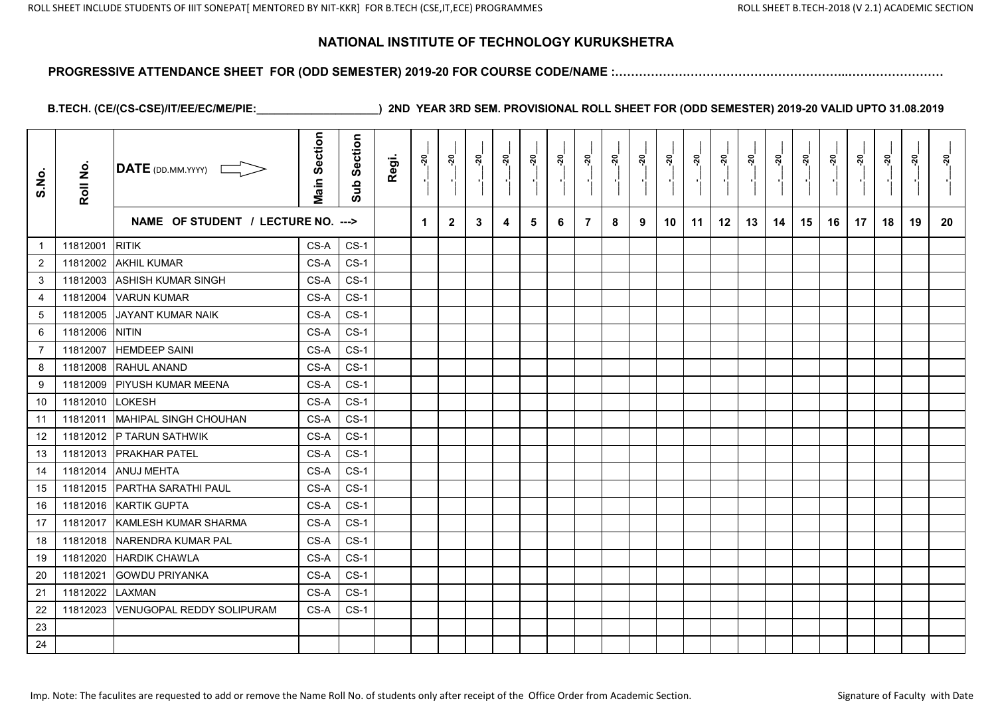#### **PROGRESSIVE ATTENDANCE SHEET FOR (ODD SEMESTER) 2019-20 FOR COURSE CODE/NAME :…………………………………………………..……………………**

| S.No.          | Roll No. | $\overline{\mathsf{DATE}}$ (DD.MM.YYYY) | <b>Main Section</b> | Section<br>Sub | Regi. | ៷៓ | នុ           | នុ | នុ៎ | នុ | ನ್ನ | ្តុ            | <u>នុ</u> | <u>្ករ</u> | នុ | ្ករុ | ៷៓ | នុ | នុ | នុ | ៷  | នុ<br>$\blacksquare$ | នុ | នុ | នុ |
|----------------|----------|-----------------------------------------|---------------------|----------------|-------|----|--------------|----|-----|----|-----|----------------|-----------|------------|----|------|----|----|----|----|----|----------------------|----|----|----|
|                |          | NAME OF STUDENT / LECTURE NO. --->      |                     |                |       | 1  | $\mathbf{2}$ | 3  | 4   | 5  | 6   | $\overline{7}$ | 8         | 9          | 10 | 11   | 12 | 13 | 14 | 15 | 16 | 17                   | 18 | 19 | 20 |
| $\overline{1}$ | 11812001 | <b>RITIK</b>                            | CS-A                | $CS-1$         |       |    |              |    |     |    |     |                |           |            |    |      |    |    |    |    |    |                      |    |    |    |
| $\overline{2}$ | 11812002 | <b>AKHIL KUMAR</b>                      | CS-A                | $CS-1$         |       |    |              |    |     |    |     |                |           |            |    |      |    |    |    |    |    |                      |    |    |    |
| $\mathfrak{S}$ | 11812003 | <b>ASHISH KUMAR SINGH</b>               | CS-A                | $CS-1$         |       |    |              |    |     |    |     |                |           |            |    |      |    |    |    |    |    |                      |    |    |    |
| $\overline{4}$ | 11812004 | <b>VARUN KUMAR</b>                      | CS-A                | $CS-1$         |       |    |              |    |     |    |     |                |           |            |    |      |    |    |    |    |    |                      |    |    |    |
| 5              | 11812005 | JAYANT KUMAR NAIK                       | CS-A                | $CS-1$         |       |    |              |    |     |    |     |                |           |            |    |      |    |    |    |    |    |                      |    |    |    |
| 6              | 11812006 | <b>INITIN</b>                           | CS-A                | $CS-1$         |       |    |              |    |     |    |     |                |           |            |    |      |    |    |    |    |    |                      |    |    |    |
| $\overline{7}$ | 11812007 | <b>HEMDEEP SAINI</b>                    | CS-A                | $CS-1$         |       |    |              |    |     |    |     |                |           |            |    |      |    |    |    |    |    |                      |    |    |    |
| 8              | 11812008 | <b>RAHUL ANAND</b>                      | CS-A                | $CS-1$         |       |    |              |    |     |    |     |                |           |            |    |      |    |    |    |    |    |                      |    |    |    |
| 9              | 11812009 | <b>IPIYUSH KUMAR MEENA</b>              | CS-A                | $CS-1$         |       |    |              |    |     |    |     |                |           |            |    |      |    |    |    |    |    |                      |    |    |    |
| 10             | 11812010 | <b>LOKESH</b>                           | CS-A                | $CS-1$         |       |    |              |    |     |    |     |                |           |            |    |      |    |    |    |    |    |                      |    |    |    |
| 11             | 11812011 | MAHIPAL SINGH CHOUHAN                   | CS-A                | $CS-1$         |       |    |              |    |     |    |     |                |           |            |    |      |    |    |    |    |    |                      |    |    |    |
| 12             | 11812012 | P TARUN SATHWIK                         | CS-A                | $CS-1$         |       |    |              |    |     |    |     |                |           |            |    |      |    |    |    |    |    |                      |    |    |    |
| 13             | 11812013 | <b>IPRAKHAR PATEL</b>                   | CS-A                | $CS-1$         |       |    |              |    |     |    |     |                |           |            |    |      |    |    |    |    |    |                      |    |    |    |
| 14             | 11812014 | <b>ANUJ MEHTA</b>                       | CS-A                | $CS-1$         |       |    |              |    |     |    |     |                |           |            |    |      |    |    |    |    |    |                      |    |    |    |
| 15             | 11812015 | <b>PARTHA SARATHI PAUL</b>              | CS-A                | $CS-1$         |       |    |              |    |     |    |     |                |           |            |    |      |    |    |    |    |    |                      |    |    |    |
| 16             | 11812016 | <b>KARTIK GUPTA</b>                     | CS-A                | $CS-1$         |       |    |              |    |     |    |     |                |           |            |    |      |    |    |    |    |    |                      |    |    |    |
| 17             | 11812017 | <b>KAMLESH KUMAR SHARMA</b>             | CS-A                | $CS-1$         |       |    |              |    |     |    |     |                |           |            |    |      |    |    |    |    |    |                      |    |    |    |
| 18             | 11812018 | NARENDRA KUMAR PAL                      | CS-A                | $CS-1$         |       |    |              |    |     |    |     |                |           |            |    |      |    |    |    |    |    |                      |    |    |    |
| 19             | 11812020 | <b>HARDIK CHAWLA</b>                    | CS-A                | $CS-1$         |       |    |              |    |     |    |     |                |           |            |    |      |    |    |    |    |    |                      |    |    |    |
| 20             | 11812021 | <b>GOWDU PRIYANKA</b>                   | CS-A                | $CS-1$         |       |    |              |    |     |    |     |                |           |            |    |      |    |    |    |    |    |                      |    |    |    |
| 21             | 11812022 | LAXMAN                                  | CS-A                | $CS-1$         |       |    |              |    |     |    |     |                |           |            |    |      |    |    |    |    |    |                      |    |    |    |
| 22             | 11812023 | <b>VENUGOPAL REDDY SOLIPURAM</b>        | CS-A                | $CS-1$         |       |    |              |    |     |    |     |                |           |            |    |      |    |    |    |    |    |                      |    |    |    |
| 23             |          |                                         |                     |                |       |    |              |    |     |    |     |                |           |            |    |      |    |    |    |    |    |                      |    |    |    |
| 24             |          |                                         |                     |                |       |    |              |    |     |    |     |                |           |            |    |      |    |    |    |    |    |                      |    |    |    |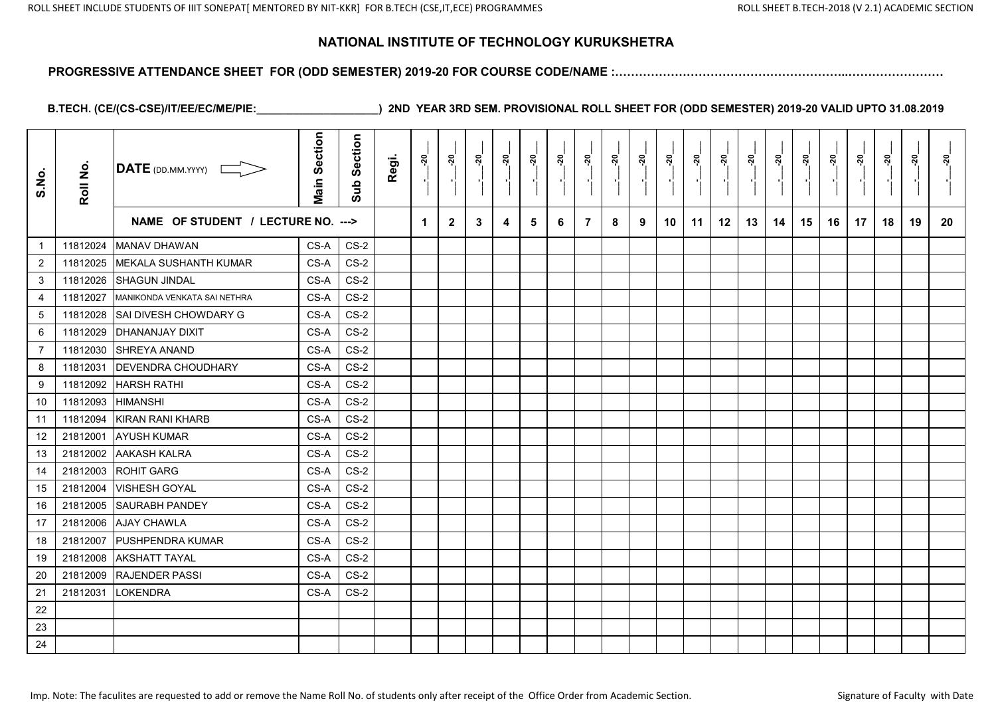#### **PROGRESSIVE ATTENDANCE SHEET FOR (ODD SEMESTER) 2019-20 FOR COURSE CODE/NAME :…………………………………………………..……………………**

| S.No.          | Roll No. | $\overline{\text{DATE}}$ (DD.MM.YYYY) | <b>Main Section</b> | Section<br>Sub | Regi. | $\frac{5}{2}$ | <u>នុ</u>    | នុ | <u>នុ</u> | នុ | <u>នុ</u> | ៷៓             | នុ | ៷៓ | ៷  | នុ៎ | ៷  | នុ | <u>នុ</u> | នុ | នុ | <u>នុ</u> | នុ | <u>នុ</u> | <u>័រ</u> |
|----------------|----------|---------------------------------------|---------------------|----------------|-------|---------------|--------------|----|-----------|----|-----------|----------------|----|----|----|-----|----|----|-----------|----|----|-----------|----|-----------|-----------|
|                |          | NAME OF STUDENT / LECTURE NO. --->    |                     |                |       | 1             | $\mathbf{2}$ | 3  | 4         | 5  | 6         | $\overline{7}$ | 8  | 9  | 10 | 11  | 12 | 13 | 14        | 15 | 16 | 17        | 18 | 19        | 20        |
| $\overline{1}$ | 11812024 | <b>MANAV DHAWAN</b>                   | CS-A                | $CS-2$         |       |               |              |    |           |    |           |                |    |    |    |     |    |    |           |    |    |           |    |           |           |
| $\overline{2}$ | 11812025 | <b>IMEKALA SUSHANTH KUMAR</b>         | CS-A                | $CS-2$         |       |               |              |    |           |    |           |                |    |    |    |     |    |    |           |    |    |           |    |           |           |
| 3              | 11812026 | <b>SHAGUN JINDAL</b>                  | CS-A                | $CS-2$         |       |               |              |    |           |    |           |                |    |    |    |     |    |    |           |    |    |           |    |           |           |
| 4              | 11812027 | MANIKONDA VENKATA SAI NETHRA          | CS-A                | $CS-2$         |       |               |              |    |           |    |           |                |    |    |    |     |    |    |           |    |    |           |    |           |           |
| 5              | 11812028 | SAI DIVESH CHOWDARY G                 | CS-A                | $CS-2$         |       |               |              |    |           |    |           |                |    |    |    |     |    |    |           |    |    |           |    |           |           |
| 6              | 11812029 | <b>DHANANJAY DIXIT</b>                | CS-A                | $CS-2$         |       |               |              |    |           |    |           |                |    |    |    |     |    |    |           |    |    |           |    |           |           |
| 7              | 11812030 | <b>ISHREYA ANAND</b>                  | CS-A                | $CS-2$         |       |               |              |    |           |    |           |                |    |    |    |     |    |    |           |    |    |           |    |           |           |
| 8              | 11812031 | <b>IDEVENDRA CHOUDHARY</b>            | CS-A                | $CS-2$         |       |               |              |    |           |    |           |                |    |    |    |     |    |    |           |    |    |           |    |           |           |
| 9              | 11812092 | <b>IHARSH RATHI</b>                   | CS-A                | $CS-2$         |       |               |              |    |           |    |           |                |    |    |    |     |    |    |           |    |    |           |    |           |           |
| 10             | 11812093 | <b>HIMANSHI</b>                       | CS-A                | $CS-2$         |       |               |              |    |           |    |           |                |    |    |    |     |    |    |           |    |    |           |    |           |           |
| 11             | 11812094 | <b>KIRAN RANI KHARB</b>               | CS-A                | $CS-2$         |       |               |              |    |           |    |           |                |    |    |    |     |    |    |           |    |    |           |    |           |           |
| 12             | 21812001 | <b>AYUSH KUMAR</b>                    | CS-A                | $CS-2$         |       |               |              |    |           |    |           |                |    |    |    |     |    |    |           |    |    |           |    |           |           |
| 13             | 21812002 | <b>AAKASH KALRA</b>                   | CS-A                | $CS-2$         |       |               |              |    |           |    |           |                |    |    |    |     |    |    |           |    |    |           |    |           |           |
| 14             | 21812003 | <b>ROHIT GARG</b>                     | CS-A                | $CS-2$         |       |               |              |    |           |    |           |                |    |    |    |     |    |    |           |    |    |           |    |           |           |
| 15             | 21812004 | <b>VISHESH GOYAL</b>                  | CS-A                | $CS-2$         |       |               |              |    |           |    |           |                |    |    |    |     |    |    |           |    |    |           |    |           |           |
| 16             | 21812005 | <b>SAURABH PANDEY</b>                 | CS-A                | $CS-2$         |       |               |              |    |           |    |           |                |    |    |    |     |    |    |           |    |    |           |    |           |           |
| 17             | 21812006 | <b>AJAY CHAWLA</b>                    | CS-A                | $CS-2$         |       |               |              |    |           |    |           |                |    |    |    |     |    |    |           |    |    |           |    |           |           |
| 18             | 21812007 | <b>PUSHPENDRA KUMAR</b>               | CS-A                | $CS-2$         |       |               |              |    |           |    |           |                |    |    |    |     |    |    |           |    |    |           |    |           |           |
| 19             | 21812008 | <b>AKSHATT TAYAL</b>                  | CS-A                | $CS-2$         |       |               |              |    |           |    |           |                |    |    |    |     |    |    |           |    |    |           |    |           |           |
| 20             | 21812009 | <b>RAJENDER PASSI</b>                 | CS-A                | $CS-2$         |       |               |              |    |           |    |           |                |    |    |    |     |    |    |           |    |    |           |    |           |           |
| 21             | 21812031 | <b>LOKENDRA</b>                       | CS-A                | $CS-2$         |       |               |              |    |           |    |           |                |    |    |    |     |    |    |           |    |    |           |    |           |           |
| 22             |          |                                       |                     |                |       |               |              |    |           |    |           |                |    |    |    |     |    |    |           |    |    |           |    |           |           |
| 23             |          |                                       |                     |                |       |               |              |    |           |    |           |                |    |    |    |     |    |    |           |    |    |           |    |           |           |
| 24             |          |                                       |                     |                |       |               |              |    |           |    |           |                |    |    |    |     |    |    |           |    |    |           |    |           |           |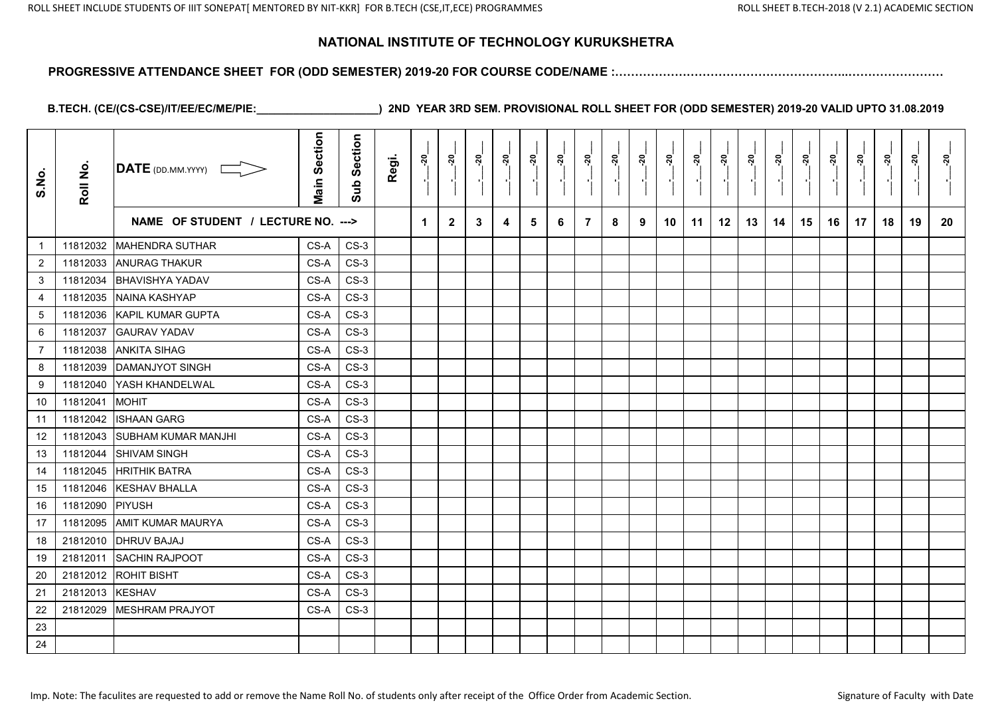#### **PROGRESSIVE ATTENDANCE SHEET FOR (ODD SEMESTER) 2019-20 FOR COURSE CODE/NAME :…………………………………………………..……………………**

| S.No.          | Roll No. | $\overline{\mathsf{DATE}}$ (DD.MM.YYYY) | <b>Main Section</b> | Section<br>Sub | Regi. | $\frac{5}{2}$ | នុ           | <u>នុ</u> | <u>នុ</u> | ្កុ | នុ | ្គុ            | នុ<br>$\blacksquare$ | <u>នុ</u> | នុ៎ | ្តុ<br>$\blacksquare$ | នុ | <u>នុ</u> | នុ | ៷៓ | $\overline{a}$ | <u>នុ</u><br>$\blacksquare$ | នុ | <u>នុ</u> | នុ |
|----------------|----------|-----------------------------------------|---------------------|----------------|-------|---------------|--------------|-----------|-----------|-----|----|----------------|----------------------|-----------|-----|-----------------------|----|-----------|----|----|----------------|-----------------------------|----|-----------|----|
|                |          | NAME OF STUDENT / LECTURE NO. --->      |                     |                |       | 1             | $\mathbf{2}$ | 3         | 4         | 5   | 6  | $\overline{7}$ | 8                    | 9         | 10  | 11                    | 12 | 13        | 14 | 15 | 16             | 17                          | 18 | 19        | 20 |
| -1             | 11812032 | MAHENDRA SUTHAR                         | CS-A                | $CS-3$         |       |               |              |           |           |     |    |                |                      |           |     |                       |    |           |    |    |                |                             |    |           |    |
| $\overline{2}$ | 11812033 | <b>ANURAG THAKUR</b>                    | CS-A                | $CS-3$         |       |               |              |           |           |     |    |                |                      |           |     |                       |    |           |    |    |                |                             |    |           |    |
| 3              | 11812034 | <b>BHAVISHYA YADAV</b>                  | CS-A                | $CS-3$         |       |               |              |           |           |     |    |                |                      |           |     |                       |    |           |    |    |                |                             |    |           |    |
| 4              | 11812035 | NAINA KASHYAP                           | CS-A                | $CS-3$         |       |               |              |           |           |     |    |                |                      |           |     |                       |    |           |    |    |                |                             |    |           |    |
| $\sqrt{5}$     | 11812036 | KAPIL KUMAR GUPTA                       | CS-A                | $CS-3$         |       |               |              |           |           |     |    |                |                      |           |     |                       |    |           |    |    |                |                             |    |           |    |
| 6              | 11812037 | <b>GAURAV YADAV</b>                     | CS-A                | $CS-3$         |       |               |              |           |           |     |    |                |                      |           |     |                       |    |           |    |    |                |                             |    |           |    |
| $\overline{7}$ | 11812038 | <b>ANKITA SIHAG</b>                     | CS-A                | $CS-3$         |       |               |              |           |           |     |    |                |                      |           |     |                       |    |           |    |    |                |                             |    |           |    |
| 8              | 11812039 | <b>DAMANJYOT SINGH</b>                  | CS-A                | $CS-3$         |       |               |              |           |           |     |    |                |                      |           |     |                       |    |           |    |    |                |                             |    |           |    |
| 9              | 11812040 | YASH KHANDELWAL                         | CS-A                | $CS-3$         |       |               |              |           |           |     |    |                |                      |           |     |                       |    |           |    |    |                |                             |    |           |    |
| 10             | 11812041 | <b>MOHIT</b>                            | CS-A                | $CS-3$         |       |               |              |           |           |     |    |                |                      |           |     |                       |    |           |    |    |                |                             |    |           |    |
| 11             | 11812042 | <b>ISHAAN GARG</b>                      | CS-A                | $CS-3$         |       |               |              |           |           |     |    |                |                      |           |     |                       |    |           |    |    |                |                             |    |           |    |
| 12             | 11812043 | <b>SUBHAM KUMAR MANJHI</b>              | CS-A                | $CS-3$         |       |               |              |           |           |     |    |                |                      |           |     |                       |    |           |    |    |                |                             |    |           |    |
| 13             | 11812044 | <b>SHIVAM SINGH</b>                     | CS-A                | $CS-3$         |       |               |              |           |           |     |    |                |                      |           |     |                       |    |           |    |    |                |                             |    |           |    |
| 14             | 11812045 | <b>HRITHIK BATRA</b>                    | CS-A                | $CS-3$         |       |               |              |           |           |     |    |                |                      |           |     |                       |    |           |    |    |                |                             |    |           |    |
| 15             | 11812046 | <b>KESHAV BHALLA</b>                    | CS-A                | $CS-3$         |       |               |              |           |           |     |    |                |                      |           |     |                       |    |           |    |    |                |                             |    |           |    |
| 16             | 11812090 | PIYUSH                                  | CS-A                | $CS-3$         |       |               |              |           |           |     |    |                |                      |           |     |                       |    |           |    |    |                |                             |    |           |    |
| 17             | 11812095 | <b>AMIT KUMAR MAURYA</b>                | CS-A                | $CS-3$         |       |               |              |           |           |     |    |                |                      |           |     |                       |    |           |    |    |                |                             |    |           |    |
| 18             | 21812010 | <b>DHRUV BAJAJ</b>                      | CS-A                | $CS-3$         |       |               |              |           |           |     |    |                |                      |           |     |                       |    |           |    |    |                |                             |    |           |    |
| 19             | 21812011 | <b>SACHIN RAJPOOT</b>                   | CS-A                | $CS-3$         |       |               |              |           |           |     |    |                |                      |           |     |                       |    |           |    |    |                |                             |    |           |    |
| $20\,$         | 21812012 | <b>ROHIT BISHT</b>                      | CS-A                | $CS-3$         |       |               |              |           |           |     |    |                |                      |           |     |                       |    |           |    |    |                |                             |    |           |    |
| 21             | 21812013 | <b>KESHAV</b>                           | CS-A                | $CS-3$         |       |               |              |           |           |     |    |                |                      |           |     |                       |    |           |    |    |                |                             |    |           |    |
| 22             | 21812029 | <b>IMESHRAM PRAJYOT</b>                 | CS-A                | $CS-3$         |       |               |              |           |           |     |    |                |                      |           |     |                       |    |           |    |    |                |                             |    |           |    |
| 23             |          |                                         |                     |                |       |               |              |           |           |     |    |                |                      |           |     |                       |    |           |    |    |                |                             |    |           |    |
| 24             |          |                                         |                     |                |       |               |              |           |           |     |    |                |                      |           |     |                       |    |           |    |    |                |                             |    |           |    |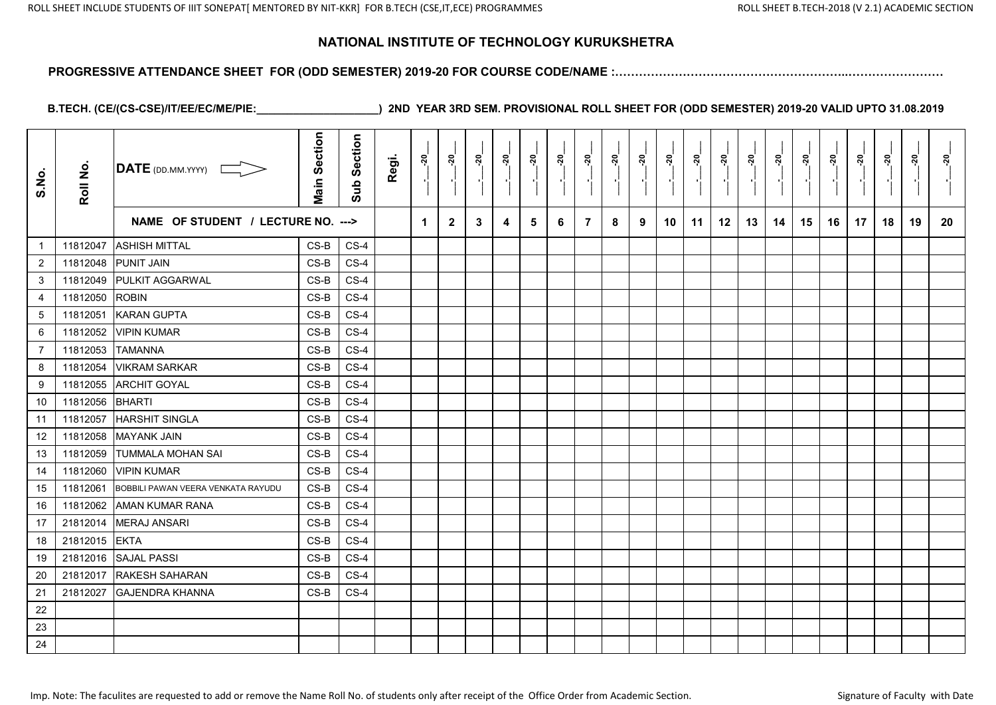#### **PROGRESSIVE ATTENDANCE SHEET FOR (ODD SEMESTER) 2019-20 FOR COURSE CODE/NAME :…………………………………………………..……………………**

| S.No.          | Roll No. | DATE (DD.MM.YYYY)                  | <b>Main Section</b> | Section<br>Sub | Regi. | នុ | <u>នុ</u>    | នុ | នុ៎ | នុ | <u>នុ</u> | នុ             | នុ | <u>នុ</u> | <u>នុ</u> | នុ | ៷  |    | <u>នុ</u> | ៷៓ | ៷៓ | <u>នុ</u> | នុ | ្កុ | <u>ຊ່</u> |
|----------------|----------|------------------------------------|---------------------|----------------|-------|----|--------------|----|-----|----|-----------|----------------|----|-----------|-----------|----|----|----|-----------|----|----|-----------|----|-----|-----------|
|                |          | NAME OF STUDENT / LECTURE NO. ---> |                     |                |       | 1  | $\mathbf{2}$ | 3  | 4   | 5. | 6         | $\overline{7}$ | 8  | 9         | 10        | 11 | 12 | 13 | 14        | 15 | 16 | 17        | 18 | 19  | 20        |
| $\overline{1}$ | 11812047 | <b>ASHISH MITTAL</b>               | $CS-B$              | $CS-4$         |       |    |              |    |     |    |           |                |    |           |           |    |    |    |           |    |    |           |    |     |           |
| $\overline{2}$ | 11812048 | <b>PUNIT JAIN</b>                  | $CS-B$              | $CS-4$         |       |    |              |    |     |    |           |                |    |           |           |    |    |    |           |    |    |           |    |     |           |
| 3              | 11812049 | <b>PULKIT AGGARWAL</b>             | $CS-B$              | $CS-4$         |       |    |              |    |     |    |           |                |    |           |           |    |    |    |           |    |    |           |    |     |           |
| 4              | 11812050 | <b>ROBIN</b>                       | $CS-B$              | $CS-4$         |       |    |              |    |     |    |           |                |    |           |           |    |    |    |           |    |    |           |    |     |           |
| 5              | 11812051 | <b>KARAN GUPTA</b>                 | $CS-B$              | $CS-4$         |       |    |              |    |     |    |           |                |    |           |           |    |    |    |           |    |    |           |    |     |           |
| 6              | 11812052 | <b>VIPIN KUMAR</b>                 | $CS-B$              | $CS-4$         |       |    |              |    |     |    |           |                |    |           |           |    |    |    |           |    |    |           |    |     |           |
| $\overline{7}$ | 11812053 | <b>TAMANNA</b>                     | $CS-B$              | $CS-4$         |       |    |              |    |     |    |           |                |    |           |           |    |    |    |           |    |    |           |    |     |           |
| 8              | 11812054 | <b>VIKRAM SARKAR</b>               | $CS-B$              | $CS-4$         |       |    |              |    |     |    |           |                |    |           |           |    |    |    |           |    |    |           |    |     |           |
| 9              | 11812055 | <b>ARCHIT GOYAL</b>                | $CS-B$              | $CS-4$         |       |    |              |    |     |    |           |                |    |           |           |    |    |    |           |    |    |           |    |     |           |
| 10             | 11812056 | BHARTI                             | $CS-B$              | $CS-4$         |       |    |              |    |     |    |           |                |    |           |           |    |    |    |           |    |    |           |    |     |           |
| 11             | 11812057 | <b>HARSHIT SINGLA</b>              | $CS-B$              | $CS-4$         |       |    |              |    |     |    |           |                |    |           |           |    |    |    |           |    |    |           |    |     |           |
| 12             | 11812058 | <b>MAYANK JAIN</b>                 | $CS-B$              | $CS-4$         |       |    |              |    |     |    |           |                |    |           |           |    |    |    |           |    |    |           |    |     |           |
| 13             | 11812059 | <b>TUMMALA MOHAN SAI</b>           | $CS-B$              | $CS-4$         |       |    |              |    |     |    |           |                |    |           |           |    |    |    |           |    |    |           |    |     |           |
| 14             | 11812060 | <b>VIPIN KUMAR</b>                 | CS-B                | $CS-4$         |       |    |              |    |     |    |           |                |    |           |           |    |    |    |           |    |    |           |    |     |           |
| 15             | 11812061 | BOBBILI PAWAN VEERA VENKATA RAYUDU | $CS-B$              | $CS-4$         |       |    |              |    |     |    |           |                |    |           |           |    |    |    |           |    |    |           |    |     |           |
| 16             | 11812062 | <b>AMAN KUMAR RANA</b>             | $CS-B$              | $CS-4$         |       |    |              |    |     |    |           |                |    |           |           |    |    |    |           |    |    |           |    |     |           |
| 17             | 21812014 | <b>MERAJ ANSARI</b>                | $CS-B$              | $CS-4$         |       |    |              |    |     |    |           |                |    |           |           |    |    |    |           |    |    |           |    |     |           |
| 18             | 21812015 | <b>EKTA</b>                        | $CS-B$              | $CS-4$         |       |    |              |    |     |    |           |                |    |           |           |    |    |    |           |    |    |           |    |     |           |
| 19             | 21812016 | <b>SAJAL PASSI</b>                 | $CS-B$              | $CS-4$         |       |    |              |    |     |    |           |                |    |           |           |    |    |    |           |    |    |           |    |     |           |
| 20             | 21812017 | <b>RAKESH SAHARAN</b>              | $CS-B$              | $CS-4$         |       |    |              |    |     |    |           |                |    |           |           |    |    |    |           |    |    |           |    |     |           |
| 21             | 21812027 | <b>GAJENDRA KHANNA</b>             | $CS-B$              | $CS-4$         |       |    |              |    |     |    |           |                |    |           |           |    |    |    |           |    |    |           |    |     |           |
| 22             |          |                                    |                     |                |       |    |              |    |     |    |           |                |    |           |           |    |    |    |           |    |    |           |    |     |           |
| 23             |          |                                    |                     |                |       |    |              |    |     |    |           |                |    |           |           |    |    |    |           |    |    |           |    |     |           |
| 24             |          |                                    |                     |                |       |    |              |    |     |    |           |                |    |           |           |    |    |    |           |    |    |           |    |     |           |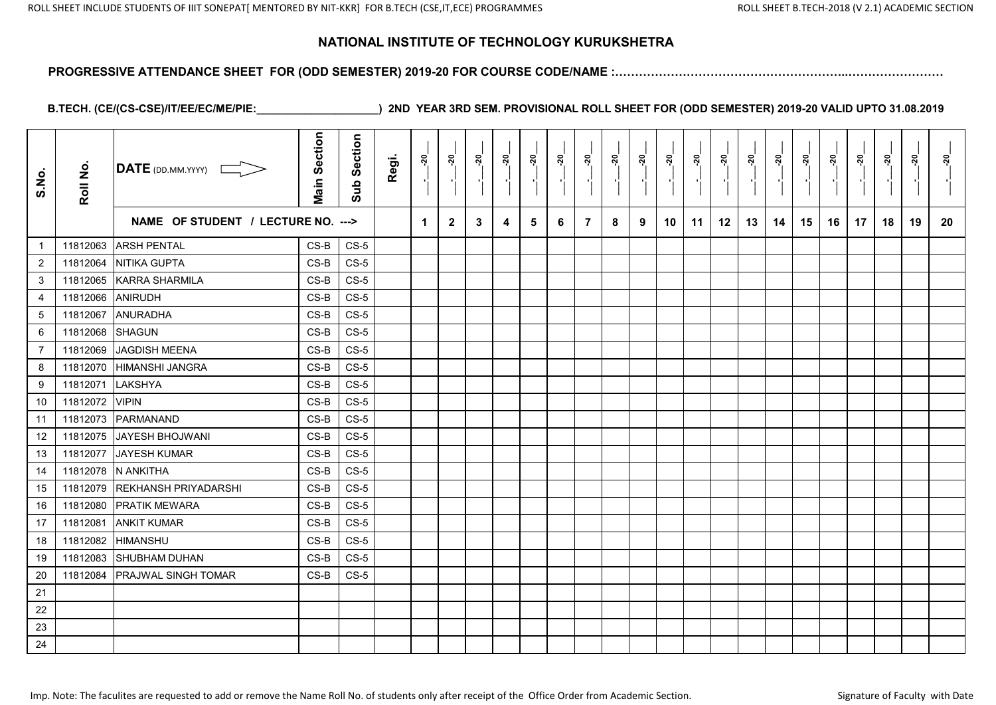#### **PROGRESSIVE ATTENDANCE SHEET FOR (ODD SEMESTER) 2019-20 FOR COURSE CODE/NAME :…………………………………………………..……………………**

| S.No.            | Roll No. | <b>DATE</b> (DD.MM.YYYY)           | <b>Main Section</b> | Section<br>Sub | Regi. | $\frac{5}{2}$ | នុ           | <u>នុ</u> | <u>នុ</u> | ្គុ | <u>នុ</u> | ្គុ            | នុ<br>$\blacksquare$ | ៷៓ | នុ៎ | ្លុ<br>$\blacksquare$ | នុ៎ | ៷៓ | នុ | ៷៓ | <u> 20</u> | <u>នុ</u><br>$\blacksquare$ | នុ | <u>នុ</u> | <u>នុ</u> |
|------------------|----------|------------------------------------|---------------------|----------------|-------|---------------|--------------|-----------|-----------|-----|-----------|----------------|----------------------|----|-----|-----------------------|-----|----|----|----|------------|-----------------------------|----|-----------|-----------|
|                  |          | NAME OF STUDENT / LECTURE NO. ---> |                     |                |       | 1             | $\mathbf{2}$ | 3         | 4         | 5   | 6         | $\overline{7}$ | 8                    | 9  | 10  | 11                    | 12  | 13 | 14 | 15 | 16         | 17                          | 18 | 19        | 20        |
| $\mathbf{1}$     | 11812063 | <b>ARSH PENTAL</b>                 | $CS-B$              | $CS-5$         |       |               |              |           |           |     |           |                |                      |    |     |                       |     |    |    |    |            |                             |    |           |           |
| $\overline{2}$   | 11812064 | <b>NITIKA GUPTA</b>                | CS-B                | $CS-5$         |       |               |              |           |           |     |           |                |                      |    |     |                       |     |    |    |    |            |                             |    |           |           |
| 3                | 11812065 | <b>KARRA SHARMILA</b>              | CS-B                | $CS-5$         |       |               |              |           |           |     |           |                |                      |    |     |                       |     |    |    |    |            |                             |    |           |           |
| $\overline{4}$   | 11812066 | ANIRUDH                            | $CS-B$              | $CS-5$         |       |               |              |           |           |     |           |                |                      |    |     |                       |     |    |    |    |            |                             |    |           |           |
| $\sqrt{5}$       | 11812067 | <b>ANURADHA</b>                    | CS-B                | $CS-5$         |       |               |              |           |           |     |           |                |                      |    |     |                       |     |    |    |    |            |                             |    |           |           |
| 6                | 11812068 | <b>SHAGUN</b>                      | CS-B                | $CS-5$         |       |               |              |           |           |     |           |                |                      |    |     |                       |     |    |    |    |            |                             |    |           |           |
| $\overline{7}$   | 11812069 | <b>JAGDISH MEENA</b>               | CS-B                | $CS-5$         |       |               |              |           |           |     |           |                |                      |    |     |                       |     |    |    |    |            |                             |    |           |           |
| 8                | 11812070 | HIMANSHI JANGRA                    | CS-B                | $CS-5$         |       |               |              |           |           |     |           |                |                      |    |     |                       |     |    |    |    |            |                             |    |           |           |
| $\boldsymbol{9}$ | 11812071 | LAKSHYA                            | $CS-B$              | $CS-5$         |       |               |              |           |           |     |           |                |                      |    |     |                       |     |    |    |    |            |                             |    |           |           |
| 10               | 11812072 | <b>VIPIN</b>                       | CS-B                | $CS-5$         |       |               |              |           |           |     |           |                |                      |    |     |                       |     |    |    |    |            |                             |    |           |           |
| 11               | 11812073 | PARMANAND                          | $CS-B$              | $CS-5$         |       |               |              |           |           |     |           |                |                      |    |     |                       |     |    |    |    |            |                             |    |           |           |
| 12               | 11812075 | JAYESH BHOJWANI                    | CS-B                | $CS-5$         |       |               |              |           |           |     |           |                |                      |    |     |                       |     |    |    |    |            |                             |    |           |           |
| 13               | 11812077 | JAYESH KUMAR                       | $CS-B$              | $CS-5$         |       |               |              |           |           |     |           |                |                      |    |     |                       |     |    |    |    |            |                             |    |           |           |
| 14               | 11812078 | N ANKITHA                          | $CS-B$              | $CS-5$         |       |               |              |           |           |     |           |                |                      |    |     |                       |     |    |    |    |            |                             |    |           |           |
| 15               | 11812079 | <b>REKHANSH PRIYADARSHI</b>        | CS-B                | $CS-5$         |       |               |              |           |           |     |           |                |                      |    |     |                       |     |    |    |    |            |                             |    |           |           |
| 16               | 11812080 | <b>PRATIK MEWARA</b>               | CS-B                | $CS-5$         |       |               |              |           |           |     |           |                |                      |    |     |                       |     |    |    |    |            |                             |    |           |           |
| 17               | 11812081 | <b>ANKIT KUMAR</b>                 | CS-B                | $CS-5$         |       |               |              |           |           |     |           |                |                      |    |     |                       |     |    |    |    |            |                             |    |           |           |
| 18               | 11812082 | <b>HIMANSHU</b>                    | CS-B                | $CS-5$         |       |               |              |           |           |     |           |                |                      |    |     |                       |     |    |    |    |            |                             |    |           |           |
| 19               | 11812083 | <b>SHUBHAM DUHAN</b>               | $CS-B$              | $CS-5$         |       |               |              |           |           |     |           |                |                      |    |     |                       |     |    |    |    |            |                             |    |           |           |
| $20\,$           | 11812084 | <b>PRAJWAL SINGH TOMAR</b>         | $CS-B$              | $CS-5$         |       |               |              |           |           |     |           |                |                      |    |     |                       |     |    |    |    |            |                             |    |           |           |
| 21               |          |                                    |                     |                |       |               |              |           |           |     |           |                |                      |    |     |                       |     |    |    |    |            |                             |    |           |           |
| 22               |          |                                    |                     |                |       |               |              |           |           |     |           |                |                      |    |     |                       |     |    |    |    |            |                             |    |           |           |
| 23               |          |                                    |                     |                |       |               |              |           |           |     |           |                |                      |    |     |                       |     |    |    |    |            |                             |    |           |           |
| 24               |          |                                    |                     |                |       |               |              |           |           |     |           |                |                      |    |     |                       |     |    |    |    |            |                             |    |           |           |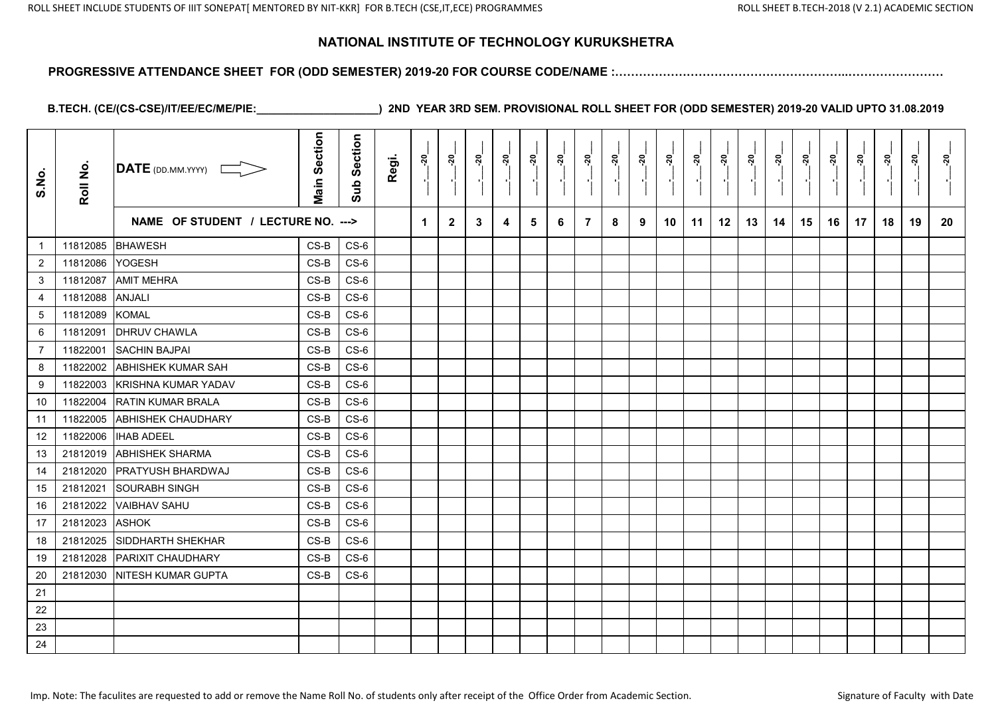#### **PROGRESSIVE ATTENDANCE SHEET FOR (ODD SEMESTER) 2019-20 FOR COURSE CODE/NAME :…………………………………………………..……………………**

| S.No.          | Roll No. | $\overline{\mathsf{DATE}}$ (DD.MM.YYYY) | <b>Main Section</b> | Section<br>Sub | Regi. | $\frac{5}{2}$ | នុ           | <u>នុ</u> | នុ | ្កុ | នុ | ្គុ            | នុ<br>$\blacksquare$ | <u>នុ</u> | ៷៓ | ្តុ<br>$\blacksquare$ | នុ | <u>នុ</u> | នុ | <u>នុ</u> | <u>នុ</u> | <u>នុ</u><br>$\blacksquare$ | នុ | <u>នុ</u> | នុ |
|----------------|----------|-----------------------------------------|---------------------|----------------|-------|---------------|--------------|-----------|----|-----|----|----------------|----------------------|-----------|----|-----------------------|----|-----------|----|-----------|-----------|-----------------------------|----|-----------|----|
|                |          | NAME OF STUDENT / LECTURE NO. --->      |                     |                |       | 1             | $\mathbf{2}$ | 3         | 4  | 5   | 6  | $\overline{7}$ | 8                    | 9         | 10 | 11                    | 12 | 13        | 14 | 15        | 16        | 17                          | 18 | 19        | 20 |
| -1             | 11812085 | <b>BHAWESH</b>                          | $CS-B$              | $CS-6$         |       |               |              |           |    |     |    |                |                      |           |    |                       |    |           |    |           |           |                             |    |           |    |
| $\overline{2}$ | 11812086 | <b>YOGESH</b>                           | CS-B                | $CS-6$         |       |               |              |           |    |     |    |                |                      |           |    |                       |    |           |    |           |           |                             |    |           |    |
| 3              | 11812087 | <b>AMIT MEHRA</b>                       | CS-B                | $CS-6$         |       |               |              |           |    |     |    |                |                      |           |    |                       |    |           |    |           |           |                             |    |           |    |
| 4              | 11812088 | ANJALI                                  | $CS-B$              | $CS-6$         |       |               |              |           |    |     |    |                |                      |           |    |                       |    |           |    |           |           |                             |    |           |    |
| 5              | 11812089 | <b>KOMAL</b>                            | CS-B                | $CS-6$         |       |               |              |           |    |     |    |                |                      |           |    |                       |    |           |    |           |           |                             |    |           |    |
| 6              | 11812091 | <b>DHRUV CHAWLA</b>                     | CS-B                | $CS-6$         |       |               |              |           |    |     |    |                |                      |           |    |                       |    |           |    |           |           |                             |    |           |    |
| $\overline{7}$ | 11822001 | <b>SACHIN BAJPAI</b>                    | CS-B                | $CS-6$         |       |               |              |           |    |     |    |                |                      |           |    |                       |    |           |    |           |           |                             |    |           |    |
| 8              | 11822002 | <b>ABHISHEK KUMAR SAH</b>               | CS-B                | $CS-6$         |       |               |              |           |    |     |    |                |                      |           |    |                       |    |           |    |           |           |                             |    |           |    |
| 9              | 11822003 | KRISHNA KUMAR YADAV                     | $CS-B$              | $CS-6$         |       |               |              |           |    |     |    |                |                      |           |    |                       |    |           |    |           |           |                             |    |           |    |
| 10             | 11822004 | <b>RATIN KUMAR BRALA</b>                | CS-B                | $CS-6$         |       |               |              |           |    |     |    |                |                      |           |    |                       |    |           |    |           |           |                             |    |           |    |
| 11             | 11822005 | <b>ABHISHEK CHAUDHARY</b>               | CS-B                | $CS-6$         |       |               |              |           |    |     |    |                |                      |           |    |                       |    |           |    |           |           |                             |    |           |    |
| 12             | 11822006 | <b>IHAB ADEEL</b>                       | CS-B                | $CS-6$         |       |               |              |           |    |     |    |                |                      |           |    |                       |    |           |    |           |           |                             |    |           |    |
| 13             | 21812019 | <b>ABHISHEK SHARMA</b>                  | $CS-B$              | $CS-6$         |       |               |              |           |    |     |    |                |                      |           |    |                       |    |           |    |           |           |                             |    |           |    |
| 14             | 21812020 | <b>PRATYUSH BHARDWAJ</b>                | $CS-B$              | $CS-6$         |       |               |              |           |    |     |    |                |                      |           |    |                       |    |           |    |           |           |                             |    |           |    |
| 15             | 21812021 | <b>SOURABH SINGH</b>                    | CS-B                | $CS-6$         |       |               |              |           |    |     |    |                |                      |           |    |                       |    |           |    |           |           |                             |    |           |    |
| 16             | 21812022 | <b>VAIBHAV SAHU</b>                     | CS-B                | $CS-6$         |       |               |              |           |    |     |    |                |                      |           |    |                       |    |           |    |           |           |                             |    |           |    |
| 17             | 21812023 | <b>ASHOK</b>                            | CS-B                | $CS-6$         |       |               |              |           |    |     |    |                |                      |           |    |                       |    |           |    |           |           |                             |    |           |    |
| 18             | 21812025 | <b>SIDDHARTH SHEKHAR</b>                | CS-B                | $CS-6$         |       |               |              |           |    |     |    |                |                      |           |    |                       |    |           |    |           |           |                             |    |           |    |
| 19             | 21812028 | <b>PARIXIT CHAUDHARY</b>                | $CS-B$              | $CS-6$         |       |               |              |           |    |     |    |                |                      |           |    |                       |    |           |    |           |           |                             |    |           |    |
| $20\,$         | 21812030 | <b>INITESH KUMAR GUPTA</b>              | $CS-B$              | $CS-6$         |       |               |              |           |    |     |    |                |                      |           |    |                       |    |           |    |           |           |                             |    |           |    |
| 21             |          |                                         |                     |                |       |               |              |           |    |     |    |                |                      |           |    |                       |    |           |    |           |           |                             |    |           |    |
| 22             |          |                                         |                     |                |       |               |              |           |    |     |    |                |                      |           |    |                       |    |           |    |           |           |                             |    |           |    |
| 23             |          |                                         |                     |                |       |               |              |           |    |     |    |                |                      |           |    |                       |    |           |    |           |           |                             |    |           |    |
| 24             |          |                                         |                     |                |       |               |              |           |    |     |    |                |                      |           |    |                       |    |           |    |           |           |                             |    |           |    |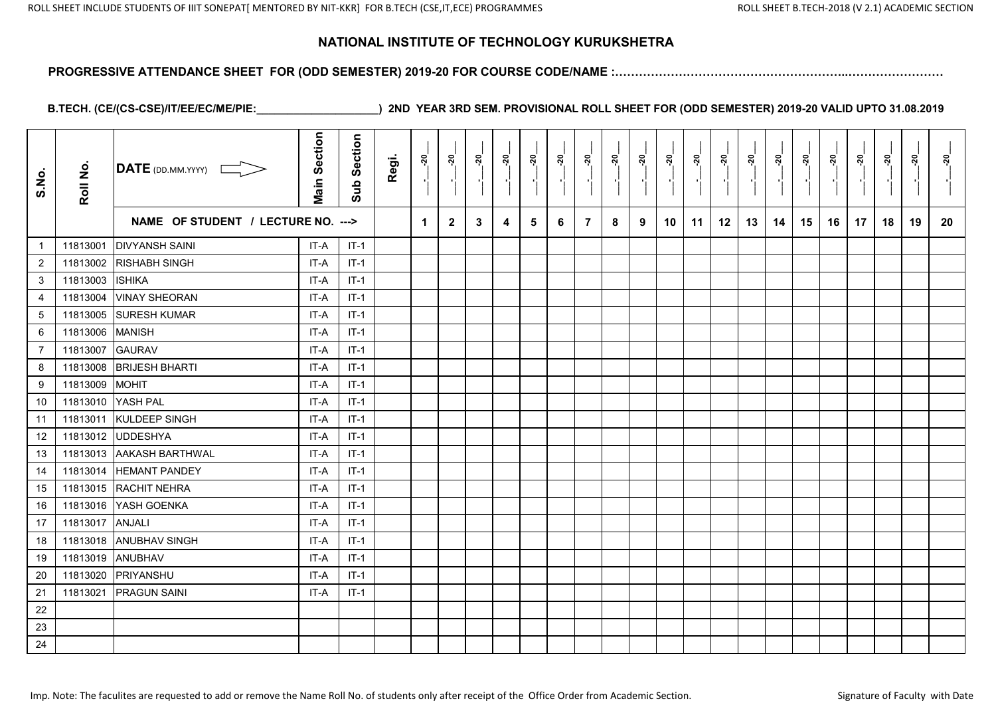#### **PROGRESSIVE ATTENDANCE SHEET FOR (ODD SEMESTER) 2019-20 FOR COURSE CODE/NAME :…………………………………………………..……………………**

| S.No.          | Roll No. | $\overline{\mathsf{DATE}}$ (DD.MM.YYYY) | <b>Main Section</b> | Section<br>Sub | Regi. | $\frac{5}{2}$ | <u>័រ</u><br>$\blacksquare$ | នុ | នុ៎ | នុ | <u>នុ</u> | នុ<br>Pi       | នុ៎ | នុ៎ | នុ | នុ៎ | ៷  | នុ៎ | <u>នុ</u> | នុ៎ | នុ | នុ៎ | នុ<br>- 11 | <u>នុ</u> | នុ |
|----------------|----------|-----------------------------------------|---------------------|----------------|-------|---------------|-----------------------------|----|-----|----|-----------|----------------|-----|-----|----|-----|----|-----|-----------|-----|----|-----|------------|-----------|----|
|                |          | NAME OF STUDENT / LECTURE NO. --->      |                     |                |       | 1             | $\mathbf{2}$                | 3  | 4   | 5  | 6         | $\overline{7}$ | 8   | 9   | 10 | 11  | 12 | 13  | 14        | 15  | 16 | 17  | 18         | 19        | 20 |
| $\overline{1}$ | 11813001 | <b>DIVYANSH SAINI</b>                   | IT-A                | $IT-1$         |       |               |                             |    |     |    |           |                |     |     |    |     |    |     |           |     |    |     |            |           |    |
| 2              | 11813002 | <b>RISHABH SINGH</b>                    | IT-A                | $IT-1$         |       |               |                             |    |     |    |           |                |     |     |    |     |    |     |           |     |    |     |            |           |    |
| 3              | 11813003 | <b>ISHIKA</b>                           | IT-A                | $IT-1$         |       |               |                             |    |     |    |           |                |     |     |    |     |    |     |           |     |    |     |            |           |    |
| 4              | 11813004 | <b>VINAY SHEORAN</b>                    | IT-A                | $IT-1$         |       |               |                             |    |     |    |           |                |     |     |    |     |    |     |           |     |    |     |            |           |    |
| 5              | 11813005 | <b>SURESH KUMAR</b>                     | IT-A                | $IT-1$         |       |               |                             |    |     |    |           |                |     |     |    |     |    |     |           |     |    |     |            |           |    |
| 6              | 11813006 | <b>MANISH</b>                           | IT-A                | $IT-1$         |       |               |                             |    |     |    |           |                |     |     |    |     |    |     |           |     |    |     |            |           |    |
| $\overline{7}$ | 11813007 | <b>GAURAV</b>                           | IT-A                | $IT-1$         |       |               |                             |    |     |    |           |                |     |     |    |     |    |     |           |     |    |     |            |           |    |
| 8              | 11813008 | <b>BRIJESH BHARTI</b>                   | IT-A                | $IT-1$         |       |               |                             |    |     |    |           |                |     |     |    |     |    |     |           |     |    |     |            |           |    |
| 9              | 11813009 | <b>MOHIT</b>                            | IT-A                | $IT-1$         |       |               |                             |    |     |    |           |                |     |     |    |     |    |     |           |     |    |     |            |           |    |
| 10             | 11813010 | YASH PAL                                | IT-A                | $IT-1$         |       |               |                             |    |     |    |           |                |     |     |    |     |    |     |           |     |    |     |            |           |    |
| 11             | 11813011 | <b>KULDEEP SINGH</b>                    | IT-A                | $IT-1$         |       |               |                             |    |     |    |           |                |     |     |    |     |    |     |           |     |    |     |            |           |    |
| 12             | 11813012 | <b>UDDESHYA</b>                         | IT-A                | $IT-1$         |       |               |                             |    |     |    |           |                |     |     |    |     |    |     |           |     |    |     |            |           |    |
| 13             | 11813013 | <b>AAKASH BARTHWAL</b>                  | IT-A                | $IT-1$         |       |               |                             |    |     |    |           |                |     |     |    |     |    |     |           |     |    |     |            |           |    |
| 14             | 11813014 | <b>HEMANT PANDEY</b>                    | IT-A                | $IT-1$         |       |               |                             |    |     |    |           |                |     |     |    |     |    |     |           |     |    |     |            |           |    |
| 15             | 11813015 | <b>RACHIT NEHRA</b>                     | IT-A                | $IT-1$         |       |               |                             |    |     |    |           |                |     |     |    |     |    |     |           |     |    |     |            |           |    |
| 16             | 11813016 | YASH GOENKA                             | IT-A                | $IT-1$         |       |               |                             |    |     |    |           |                |     |     |    |     |    |     |           |     |    |     |            |           |    |
| 17             | 11813017 | ANJALI                                  | IT-A                | $IT-1$         |       |               |                             |    |     |    |           |                |     |     |    |     |    |     |           |     |    |     |            |           |    |
| 18             | 11813018 | <b>ANUBHAV SINGH</b>                    | IT-A                | $IT-1$         |       |               |                             |    |     |    |           |                |     |     |    |     |    |     |           |     |    |     |            |           |    |
| 19             | 11813019 | ANUBHAV                                 | IT-A                | $IT-1$         |       |               |                             |    |     |    |           |                |     |     |    |     |    |     |           |     |    |     |            |           |    |
| 20             | 11813020 | PRIYANSHU                               | IT-A                | $IT-1$         |       |               |                             |    |     |    |           |                |     |     |    |     |    |     |           |     |    |     |            |           |    |
| 21             | 11813021 | <b>PRAGUN SAINI</b>                     | IT-A                | $IT-1$         |       |               |                             |    |     |    |           |                |     |     |    |     |    |     |           |     |    |     |            |           |    |
| 22             |          |                                         |                     |                |       |               |                             |    |     |    |           |                |     |     |    |     |    |     |           |     |    |     |            |           |    |
| 23             |          |                                         |                     |                |       |               |                             |    |     |    |           |                |     |     |    |     |    |     |           |     |    |     |            |           |    |
| 24             |          |                                         |                     |                |       |               |                             |    |     |    |           |                |     |     |    |     |    |     |           |     |    |     |            |           |    |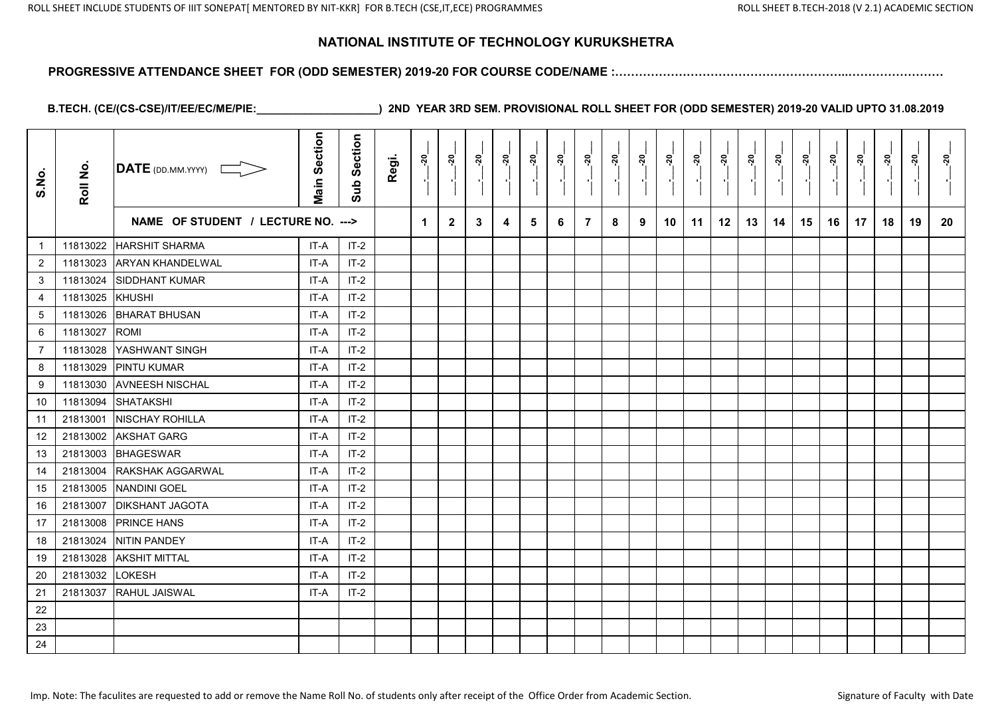#### **PROGRESSIVE ATTENDANCE SHEET FOR (ODD SEMESTER) 2019-20 FOR COURSE CODE/NAME :…………………………………………………..……………………**

| S.No.          | Roll No. | DATE (DD.MM.YYYY)                  | <b>Main Section</b> | Section<br>Sub | Regi. | នុ                   | <u>នុ</u>    | <u>នុ</u> | <u>័រ</u> | នុ | ្គុ | <u>នុ</u>      | នុ | ៷៓ | <u>នុ</u> | ្ពុ | នុ |    | នុ | <u>នុ</u> | នុ | <u>នុ</u><br>$\blacksquare$ | នុ | <u>នុ</u> | នុ |
|----------------|----------|------------------------------------|---------------------|----------------|-------|----------------------|--------------|-----------|-----------|----|-----|----------------|----|----|-----------|-----|----|----|----|-----------|----|-----------------------------|----|-----------|----|
|                |          | NAME OF STUDENT / LECTURE NO. ---> |                     |                |       | $\blacktriangleleft$ | $\mathbf{2}$ | 3         | 4         | 5  | 6   | $\overline{7}$ | 8  | 9  | 10        | 11  | 12 | 13 | 14 | 15        | 16 | 17                          | 18 | 19        | 20 |
| $\overline{1}$ | 11813022 | <b>HARSHIT SHARMA</b>              | IT-A                | $IT-2$         |       |                      |              |           |           |    |     |                |    |    |           |     |    |    |    |           |    |                             |    |           |    |
| $\overline{2}$ | 11813023 | <b>ARYAN KHANDELWAL</b>            | IT-A                | $IT-2$         |       |                      |              |           |           |    |     |                |    |    |           |     |    |    |    |           |    |                             |    |           |    |
| 3              | 11813024 | <b>SIDDHANT KUMAR</b>              | IT-A                | $IT-2$         |       |                      |              |           |           |    |     |                |    |    |           |     |    |    |    |           |    |                             |    |           |    |
| $\overline{4}$ | 11813025 | KHUSHI                             | IT-A                | $IT-2$         |       |                      |              |           |           |    |     |                |    |    |           |     |    |    |    |           |    |                             |    |           |    |
| 5              | 11813026 | <b>BHARAT BHUSAN</b>               | IT-A                | $IT-2$         |       |                      |              |           |           |    |     |                |    |    |           |     |    |    |    |           |    |                             |    |           |    |
| 6              | 11813027 | <b>ROMI</b>                        | IT-A                | $IT-2$         |       |                      |              |           |           |    |     |                |    |    |           |     |    |    |    |           |    |                             |    |           |    |
| $\overline{7}$ | 11813028 | YASHWANT SINGH                     | IT-A                | $IT-2$         |       |                      |              |           |           |    |     |                |    |    |           |     |    |    |    |           |    |                             |    |           |    |
| 8              | 11813029 | <b>PINTU KUMAR</b>                 | IT-A                | $IT-2$         |       |                      |              |           |           |    |     |                |    |    |           |     |    |    |    |           |    |                             |    |           |    |
| 9              | 11813030 | <b>AVNEESH NISCHAL</b>             | IT-A                | $IT-2$         |       |                      |              |           |           |    |     |                |    |    |           |     |    |    |    |           |    |                             |    |           |    |
| 10             | 11813094 | <b>SHATAKSHI</b>                   | IT-A                | $IT-2$         |       |                      |              |           |           |    |     |                |    |    |           |     |    |    |    |           |    |                             |    |           |    |
| 11             | 21813001 | NISCHAY ROHILLA                    | IT-A                | $IT-2$         |       |                      |              |           |           |    |     |                |    |    |           |     |    |    |    |           |    |                             |    |           |    |
| 12             | 21813002 | <b>AKSHAT GARG</b>                 | IT-A                | $IT-2$         |       |                      |              |           |           |    |     |                |    |    |           |     |    |    |    |           |    |                             |    |           |    |
| 13             | 21813003 | <b>BHAGESWAR</b>                   | IT-A                | $IT-2$         |       |                      |              |           |           |    |     |                |    |    |           |     |    |    |    |           |    |                             |    |           |    |
| 14             | 21813004 | RAKSHAK AGGARWAL                   | IT-A                | $IT-2$         |       |                      |              |           |           |    |     |                |    |    |           |     |    |    |    |           |    |                             |    |           |    |
| 15             | 21813005 | <b>NANDINI GOEL</b>                | IT-A                | $IT-2$         |       |                      |              |           |           |    |     |                |    |    |           |     |    |    |    |           |    |                             |    |           |    |
| 16             | 21813007 | <b>DIKSHANT JAGOTA</b>             | IT-A                | $IT-2$         |       |                      |              |           |           |    |     |                |    |    |           |     |    |    |    |           |    |                             |    |           |    |
| 17             | 21813008 | <b>PRINCE HANS</b>                 | IT-A                | $IT-2$         |       |                      |              |           |           |    |     |                |    |    |           |     |    |    |    |           |    |                             |    |           |    |
| 18             | 21813024 | <b>NITIN PANDEY</b>                | IT-A                | $IT-2$         |       |                      |              |           |           |    |     |                |    |    |           |     |    |    |    |           |    |                             |    |           |    |
| 19             | 21813028 | <b>AKSHIT MITTAL</b>               | IT-A                | $IT-2$         |       |                      |              |           |           |    |     |                |    |    |           |     |    |    |    |           |    |                             |    |           |    |
| 20             | 21813032 | <b>LOKESH</b>                      | IT-A                | $IT-2$         |       |                      |              |           |           |    |     |                |    |    |           |     |    |    |    |           |    |                             |    |           |    |
| 21             | 21813037 | RAHUL JAISWAL                      | IT-A                | $IT-2$         |       |                      |              |           |           |    |     |                |    |    |           |     |    |    |    |           |    |                             |    |           |    |
| 22             |          |                                    |                     |                |       |                      |              |           |           |    |     |                |    |    |           |     |    |    |    |           |    |                             |    |           |    |
| 23             |          |                                    |                     |                |       |                      |              |           |           |    |     |                |    |    |           |     |    |    |    |           |    |                             |    |           |    |
| 24             |          |                                    |                     |                |       |                      |              |           |           |    |     |                |    |    |           |     |    |    |    |           |    |                             |    |           |    |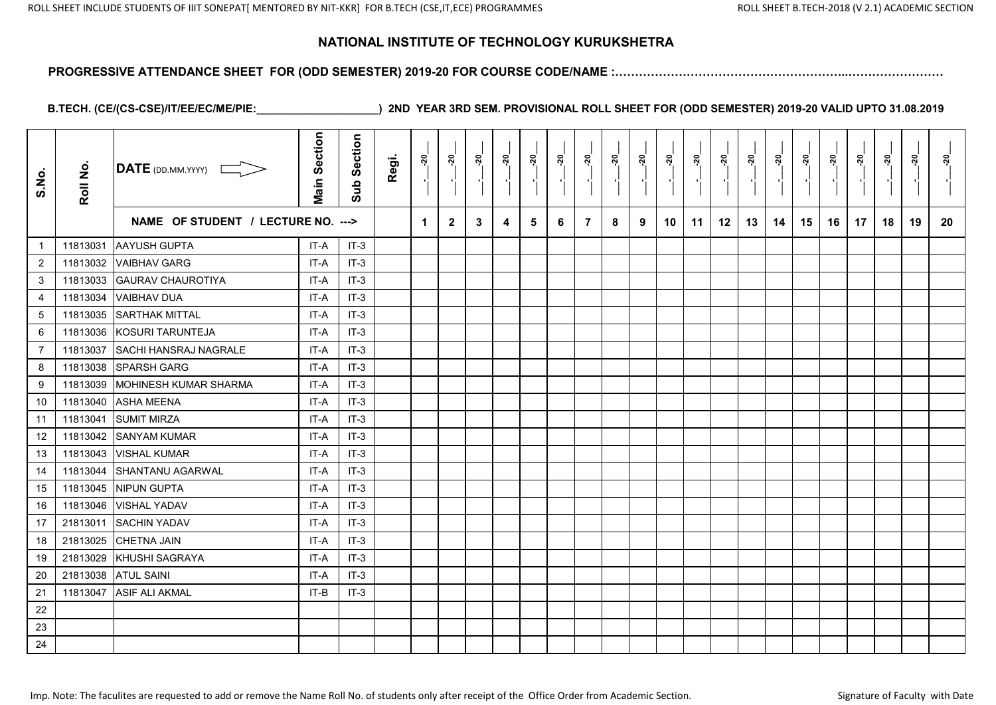#### **PROGRESSIVE ATTENDANCE SHEET FOR (ODD SEMESTER) 2019-20 FOR COURSE CODE/NAME :…………………………………………………..……………………**

| S.No.          | Roll No. | DATE (DD.MM.YYYY)                  | <b>Main Section</b> | Section<br>Sub | Regi. | <u>នុ</u> | <u>នុ</u>    | នុ | <u>នុ</u> | នុ | <u>នុ</u> | ៷៓<br>Pi       | នុ៎ | ៷៓ | <u> 20</u> | នុ | <u>នុ</u> | នុ | <u>នុ</u> | នុ៎ | នុ | <u>នុ</u> | នុ | <u>នុ</u> | <u>័រ</u> |
|----------------|----------|------------------------------------|---------------------|----------------|-------|-----------|--------------|----|-----------|----|-----------|----------------|-----|----|------------|----|-----------|----|-----------|-----|----|-----------|----|-----------|-----------|
|                |          | NAME OF STUDENT / LECTURE NO. ---> |                     |                |       | 1         | $\mathbf{2}$ | 3  | 4         | 5  | 6         | $\overline{7}$ | 8   | 9  | 10         | 11 | 12        | 13 | 14        | 15  | 16 | 17        | 18 | 19        | 20        |
| $\overline{1}$ | 11813031 | <b>AAYUSH GUPTA</b>                | IT-A                | $IT-3$         |       |           |              |    |           |    |           |                |     |    |            |    |           |    |           |     |    |           |    |           |           |
| 2              | 11813032 | <b>VAIBHAV GARG</b>                | IT-A                | $IT-3$         |       |           |              |    |           |    |           |                |     |    |            |    |           |    |           |     |    |           |    |           |           |
| 3              | 11813033 | <b>GAURAV CHAUROTIYA</b>           | IT-A                | $IT-3$         |       |           |              |    |           |    |           |                |     |    |            |    |           |    |           |     |    |           |    |           |           |
| 4              | 11813034 | <b>VAIBHAV DUA</b>                 | IT-A                | $IT-3$         |       |           |              |    |           |    |           |                |     |    |            |    |           |    |           |     |    |           |    |           |           |
| 5              | 11813035 | <b>SARTHAK MITTAL</b>              | IT-A                | $IT-3$         |       |           |              |    |           |    |           |                |     |    |            |    |           |    |           |     |    |           |    |           |           |
| 6              | 11813036 | KOSURI TARUNTEJA                   | IT-A                | $IT-3$         |       |           |              |    |           |    |           |                |     |    |            |    |           |    |           |     |    |           |    |           |           |
| $\overline{7}$ | 11813037 | <b>SACHI HANSRAJ NAGRALE</b>       | IT-A                | $IT-3$         |       |           |              |    |           |    |           |                |     |    |            |    |           |    |           |     |    |           |    |           |           |
| 8              | 11813038 | <b>SPARSH GARG</b>                 | IT-A                | $IT-3$         |       |           |              |    |           |    |           |                |     |    |            |    |           |    |           |     |    |           |    |           |           |
| 9              | 11813039 | MOHINESH KUMAR SHARMA              | IT-A                | $IT-3$         |       |           |              |    |           |    |           |                |     |    |            |    |           |    |           |     |    |           |    |           |           |
| 10             | 11813040 | <b>ASHA MEENA</b>                  | IT-A                | $IT-3$         |       |           |              |    |           |    |           |                |     |    |            |    |           |    |           |     |    |           |    |           |           |
| 11             | 11813041 | <b>SUMIT MIRZA</b>                 | IT-A                | $IT-3$         |       |           |              |    |           |    |           |                |     |    |            |    |           |    |           |     |    |           |    |           |           |
| 12             | 11813042 | <b>SANYAM KUMAR</b>                | IT-A                | $IT-3$         |       |           |              |    |           |    |           |                |     |    |            |    |           |    |           |     |    |           |    |           |           |
| 13             | 11813043 | <b>VISHAL KUMAR</b>                | IT-A                | $IT-3$         |       |           |              |    |           |    |           |                |     |    |            |    |           |    |           |     |    |           |    |           |           |
| 14             | 11813044 | <b>SHANTANU AGARWAL</b>            | IT-A                | $IT-3$         |       |           |              |    |           |    |           |                |     |    |            |    |           |    |           |     |    |           |    |           |           |
| 15             | 11813045 | <b>NIPUN GUPTA</b>                 | IT-A                | $IT-3$         |       |           |              |    |           |    |           |                |     |    |            |    |           |    |           |     |    |           |    |           |           |
| 16             | 11813046 | <b>VISHAL YADAV</b>                | IT-A                | $IT-3$         |       |           |              |    |           |    |           |                |     |    |            |    |           |    |           |     |    |           |    |           |           |
| 17             | 21813011 | <b>SACHIN YADAV</b>                | IT-A                | $IT-3$         |       |           |              |    |           |    |           |                |     |    |            |    |           |    |           |     |    |           |    |           |           |
| 18             | 21813025 | <b>CHETNA JAIN</b>                 | IT-A                | $IT-3$         |       |           |              |    |           |    |           |                |     |    |            |    |           |    |           |     |    |           |    |           |           |
| 19             | 21813029 | KHUSHI SAGRAYA                     | IT-A                | $IT-3$         |       |           |              |    |           |    |           |                |     |    |            |    |           |    |           |     |    |           |    |           |           |
| 20             | 21813038 | <b>ATUL SAINI</b>                  | IT-A                | $IT-3$         |       |           |              |    |           |    |           |                |     |    |            |    |           |    |           |     |    |           |    |           |           |
| 21             | 11813047 | <b>ASIF ALI AKMAL</b>              | IT-B                | $IT-3$         |       |           |              |    |           |    |           |                |     |    |            |    |           |    |           |     |    |           |    |           |           |
| 22             |          |                                    |                     |                |       |           |              |    |           |    |           |                |     |    |            |    |           |    |           |     |    |           |    |           |           |
| 23             |          |                                    |                     |                |       |           |              |    |           |    |           |                |     |    |            |    |           |    |           |     |    |           |    |           |           |
| 24             |          |                                    |                     |                |       |           |              |    |           |    |           |                |     |    |            |    |           |    |           |     |    |           |    |           |           |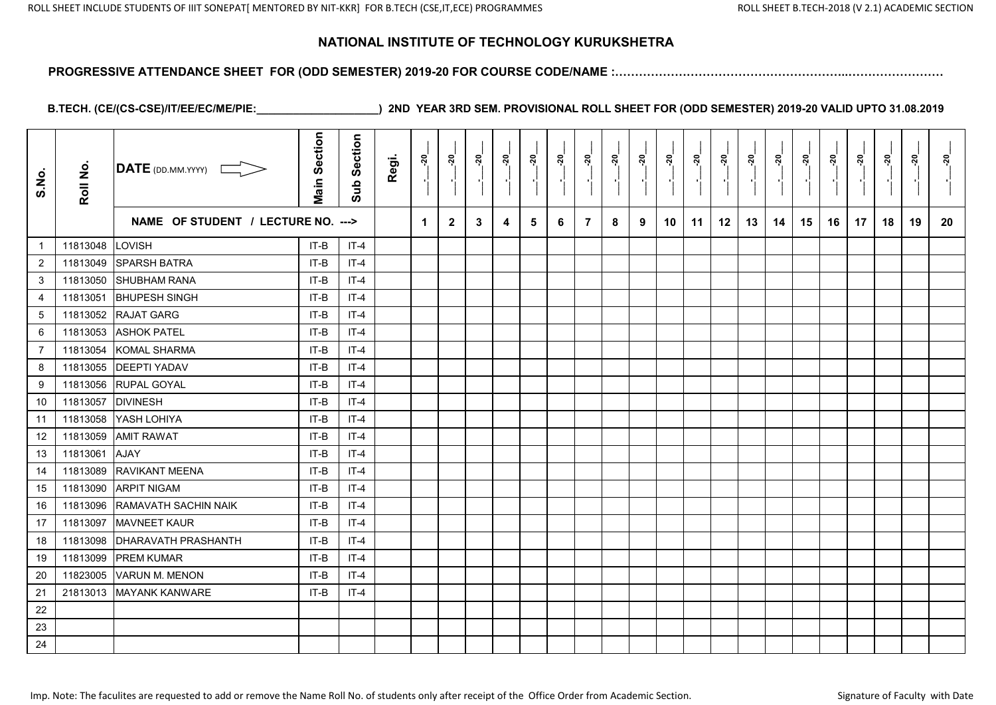#### **PROGRESSIVE ATTENDANCE SHEET FOR (ODD SEMESTER) 2019-20 FOR COURSE CODE/NAME :…………………………………………………..……………………**

| S.No.            | Roll No. | DATE (DD.MM.YYYY)                  | <b>Main Section</b> | Section<br>Sub | Regi. | នុ៎ | ៷៓           | នុ | នុ៎ | នុ | ៷៓ | នុ             | នុ | <u> ຊ</u> | នុ | ៷៓ | <u>នុ</u> | នុ | ្គុ | <u> ຊ</u> | <u>នុ</u> | ៷៓ | នុ | នុ<br>P. | នុ |
|------------------|----------|------------------------------------|---------------------|----------------|-------|-----|--------------|----|-----|----|----|----------------|----|-----------|----|----|-----------|----|-----|-----------|-----------|----|----|----------|----|
|                  |          | NAME OF STUDENT / LECTURE NO. ---> |                     |                |       | 1   | $\mathbf{2}$ | 3  | 4   | 5  | 6  | $\overline{7}$ | 8  | 9         | 10 | 11 | 12        | 13 | 14  | 15        | 16        | 17 | 18 | 19       | 20 |
| $\mathbf{1}$     | 11813048 | <b>LOVISH</b>                      | IT-B                | $IT-4$         |       |     |              |    |     |    |    |                |    |           |    |    |           |    |     |           |           |    |    |          |    |
| $\overline{2}$   | 11813049 | <b>SPARSH BATRA</b>                | IT-B                | $IT-4$         |       |     |              |    |     |    |    |                |    |           |    |    |           |    |     |           |           |    |    |          |    |
| 3                | 11813050 | <b>SHUBHAM RANA</b>                | IT-B                | $IT-4$         |       |     |              |    |     |    |    |                |    |           |    |    |           |    |     |           |           |    |    |          |    |
| $\overline{4}$   | 11813051 | <b>BHUPESH SINGH</b>               | IT-B                | IT-4           |       |     |              |    |     |    |    |                |    |           |    |    |           |    |     |           |           |    |    |          |    |
| $\sqrt{5}$       | 11813052 | <b>RAJAT GARG</b>                  | IT-B                | $IT-4$         |       |     |              |    |     |    |    |                |    |           |    |    |           |    |     |           |           |    |    |          |    |
| $\,6\,$          | 11813053 | <b>ASHOK PATEL</b>                 | IT-B                | $IT-4$         |       |     |              |    |     |    |    |                |    |           |    |    |           |    |     |           |           |    |    |          |    |
| $\overline{7}$   | 11813054 | <b>KOMAL SHARMA</b>                | IT-B                | $IT-4$         |       |     |              |    |     |    |    |                |    |           |    |    |           |    |     |           |           |    |    |          |    |
| 8                | 11813055 | <b>DEEPTI YADAV</b>                | IT-B                | $IT-4$         |       |     |              |    |     |    |    |                |    |           |    |    |           |    |     |           |           |    |    |          |    |
| $\boldsymbol{9}$ | 11813056 | <b>RUPAL GOYAL</b>                 | IT-B                | $IT-4$         |       |     |              |    |     |    |    |                |    |           |    |    |           |    |     |           |           |    |    |          |    |
| 10               | 11813057 | <b>DIVINESH</b>                    | IT-B                | $IT-4$         |       |     |              |    |     |    |    |                |    |           |    |    |           |    |     |           |           |    |    |          |    |
| 11               | 11813058 | YASH LOHIYA                        | IT-B                | $IT-4$         |       |     |              |    |     |    |    |                |    |           |    |    |           |    |     |           |           |    |    |          |    |
| 12               | 11813059 | <b>AMIT RAWAT</b>                  | IT-B                | $IT-4$         |       |     |              |    |     |    |    |                |    |           |    |    |           |    |     |           |           |    |    |          |    |
| 13               | 11813061 | <b>AJAY</b>                        | IT-B                | $IT-4$         |       |     |              |    |     |    |    |                |    |           |    |    |           |    |     |           |           |    |    |          |    |
| 14               | 11813089 | RAVIKANT MEENA                     | IT-B                | $IT-4$         |       |     |              |    |     |    |    |                |    |           |    |    |           |    |     |           |           |    |    |          |    |
| 15               | 11813090 | <b>ARPIT NIGAM</b>                 | IT-B                | $IT-4$         |       |     |              |    |     |    |    |                |    |           |    |    |           |    |     |           |           |    |    |          |    |
| 16               | 11813096 | RAMAVATH SACHIN NAIK               | IT-B                | $IT-4$         |       |     |              |    |     |    |    |                |    |           |    |    |           |    |     |           |           |    |    |          |    |
| 17               | 11813097 | <b>MAVNEET KAUR</b>                | IT-B                | $IT-4$         |       |     |              |    |     |    |    |                |    |           |    |    |           |    |     |           |           |    |    |          |    |
| 18               | 11813098 | <b>DHARAVATH PRASHANTH</b>         | IT-B                | $IT-4$         |       |     |              |    |     |    |    |                |    |           |    |    |           |    |     |           |           |    |    |          |    |
| 19               | 11813099 | <b>PREM KUMAR</b>                  | IT-B                | $IT-4$         |       |     |              |    |     |    |    |                |    |           |    |    |           |    |     |           |           |    |    |          |    |
| 20               | 11823005 | VARUN M. MENON                     | IT-B                | $IT-4$         |       |     |              |    |     |    |    |                |    |           |    |    |           |    |     |           |           |    |    |          |    |
| 21               | 21813013 | <b>MAYANK KANWARE</b>              | IT-B                | $IT-4$         |       |     |              |    |     |    |    |                |    |           |    |    |           |    |     |           |           |    |    |          |    |
| 22               |          |                                    |                     |                |       |     |              |    |     |    |    |                |    |           |    |    |           |    |     |           |           |    |    |          |    |
| 23               |          |                                    |                     |                |       |     |              |    |     |    |    |                |    |           |    |    |           |    |     |           |           |    |    |          |    |
| 24               |          |                                    |                     |                |       |     |              |    |     |    |    |                |    |           |    |    |           |    |     |           |           |    |    |          |    |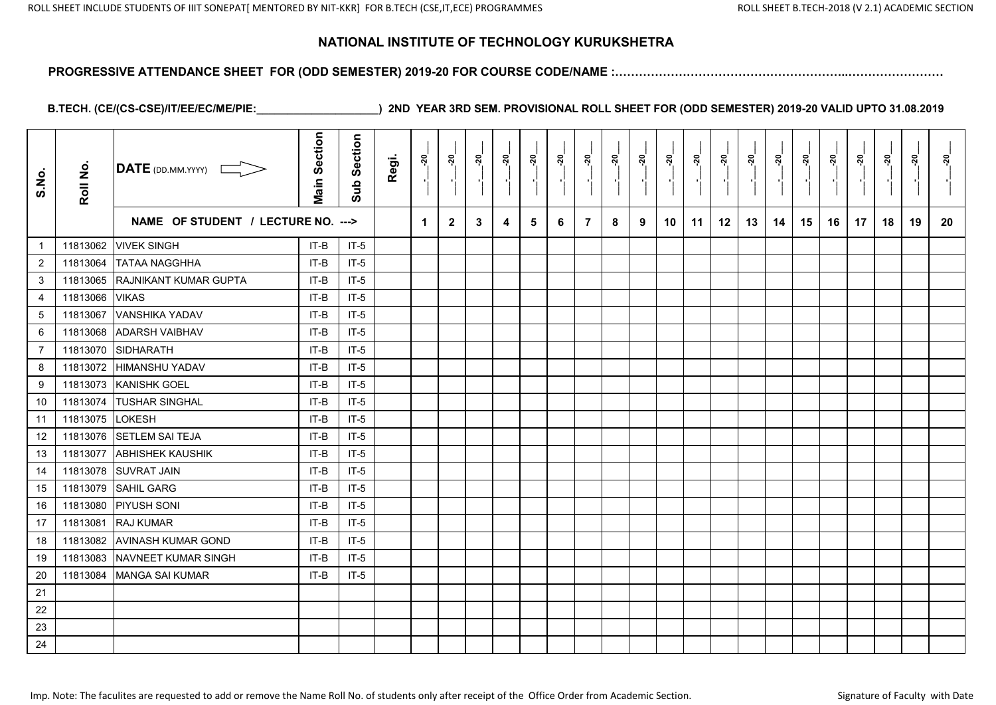#### **PROGRESSIVE ATTENDANCE SHEET FOR (ODD SEMESTER) 2019-20 FOR COURSE CODE/NAME :…………………………………………………..……………………**

| S.No.            | Roll No. | DATE (DD.MM.YYYY)                  | <b>Main Section</b> | Section<br>Sub | Regi. | ្គុ | នុ           | <u>នុ</u> | ្ពុ | ្គុ | <u>នុ</u> | ្គុ            | នុ<br>$\blacksquare$ | ៷៓ | នុ៎ | ្លុ<br>$\blacksquare$ | នុ៎ | ៷៓ | នុ | ៷៓ | <u> 20</u> | <u>នុ</u><br>$\blacksquare$ | នុ | <u>នុ</u> | នុ |
|------------------|----------|------------------------------------|---------------------|----------------|-------|-----|--------------|-----------|-----|-----|-----------|----------------|----------------------|----|-----|-----------------------|-----|----|----|----|------------|-----------------------------|----|-----------|----|
|                  |          | NAME OF STUDENT / LECTURE NO. ---> |                     |                |       | 1   | $\mathbf{2}$ | 3         | 4   | 5   | 6         | $\overline{7}$ | 8                    | 9  | 10  | 11                    | 12  | 13 | 14 | 15 | 16         | 17                          | 18 | 19        | 20 |
| $\mathbf{1}$     | 11813062 | <b>VIVEK SINGH</b>                 | IT-B                | $IT-5$         |       |     |              |           |     |     |           |                |                      |    |     |                       |     |    |    |    |            |                             |    |           |    |
| $\overline{2}$   | 11813064 | <b>TATAA NAGGHHA</b>               | IT-B                | $IT-5$         |       |     |              |           |     |     |           |                |                      |    |     |                       |     |    |    |    |            |                             |    |           |    |
| 3                | 11813065 | RAJNIKANT KUMAR GUPTA              | IT-B                | $IT-5$         |       |     |              |           |     |     |           |                |                      |    |     |                       |     |    |    |    |            |                             |    |           |    |
| $\overline{4}$   | 11813066 | <b>VIKAS</b>                       | IT-B                | $IT-5$         |       |     |              |           |     |     |           |                |                      |    |     |                       |     |    |    |    |            |                             |    |           |    |
| $\sqrt{5}$       | 11813067 | <b>VANSHIKA YADAV</b>              | IT-B                | $IT-5$         |       |     |              |           |     |     |           |                |                      |    |     |                       |     |    |    |    |            |                             |    |           |    |
| 6                | 11813068 | <b>ADARSH VAIBHAV</b>              | IT-B                | $IT-5$         |       |     |              |           |     |     |           |                |                      |    |     |                       |     |    |    |    |            |                             |    |           |    |
| $\overline{7}$   | 11813070 | <b>SIDHARATH</b>                   | IT-B                | $IT-5$         |       |     |              |           |     |     |           |                |                      |    |     |                       |     |    |    |    |            |                             |    |           |    |
| 8                | 11813072 | <b>HIMANSHU YADAV</b>              | IT-B                | $IT-5$         |       |     |              |           |     |     |           |                |                      |    |     |                       |     |    |    |    |            |                             |    |           |    |
| $\boldsymbol{9}$ | 11813073 | <b>KANISHK GOEL</b>                | IT-B                | $IT-5$         |       |     |              |           |     |     |           |                |                      |    |     |                       |     |    |    |    |            |                             |    |           |    |
| 10               | 11813074 | <b>TUSHAR SINGHAL</b>              | IT-B                | $IT-5$         |       |     |              |           |     |     |           |                |                      |    |     |                       |     |    |    |    |            |                             |    |           |    |
| 11               | 11813075 | <b>LOKESH</b>                      | IT-B                | $IT-5$         |       |     |              |           |     |     |           |                |                      |    |     |                       |     |    |    |    |            |                             |    |           |    |
| 12               | 11813076 | <b>SETLEM SAI TEJA</b>             | IT-B                | $IT-5$         |       |     |              |           |     |     |           |                |                      |    |     |                       |     |    |    |    |            |                             |    |           |    |
| 13               | 11813077 | <b>ABHISHEK KAUSHIK</b>            | IT-B                | $IT-5$         |       |     |              |           |     |     |           |                |                      |    |     |                       |     |    |    |    |            |                             |    |           |    |
| 14               | 11813078 | <b>SUVRAT JAIN</b>                 | IT-B                | $IT-5$         |       |     |              |           |     |     |           |                |                      |    |     |                       |     |    |    |    |            |                             |    |           |    |
| 15               | 11813079 | <b>SAHIL GARG</b>                  | IT-B                | $IT-5$         |       |     |              |           |     |     |           |                |                      |    |     |                       |     |    |    |    |            |                             |    |           |    |
| 16               | 11813080 | <b>PIYUSH SONI</b>                 | IT-B                | $IT-5$         |       |     |              |           |     |     |           |                |                      |    |     |                       |     |    |    |    |            |                             |    |           |    |
| 17               | 11813081 | <b>RAJ KUMAR</b>                   | IT-B                | $IT-5$         |       |     |              |           |     |     |           |                |                      |    |     |                       |     |    |    |    |            |                             |    |           |    |
| 18               | 11813082 | <b>AVINASH KUMAR GOND</b>          | IT-B                | $IT-5$         |       |     |              |           |     |     |           |                |                      |    |     |                       |     |    |    |    |            |                             |    |           |    |
| 19               | 11813083 | NAVNEET KUMAR SINGH                | IT-B                | $IT-5$         |       |     |              |           |     |     |           |                |                      |    |     |                       |     |    |    |    |            |                             |    |           |    |
| 20               | 11813084 | <b>MANGA SAI KUMAR</b>             | IT-B                | $IT-5$         |       |     |              |           |     |     |           |                |                      |    |     |                       |     |    |    |    |            |                             |    |           |    |
| 21               |          |                                    |                     |                |       |     |              |           |     |     |           |                |                      |    |     |                       |     |    |    |    |            |                             |    |           |    |
| 22               |          |                                    |                     |                |       |     |              |           |     |     |           |                |                      |    |     |                       |     |    |    |    |            |                             |    |           |    |
| 23               |          |                                    |                     |                |       |     |              |           |     |     |           |                |                      |    |     |                       |     |    |    |    |            |                             |    |           |    |
| 24               |          |                                    |                     |                |       |     |              |           |     |     |           |                |                      |    |     |                       |     |    |    |    |            |                             |    |           |    |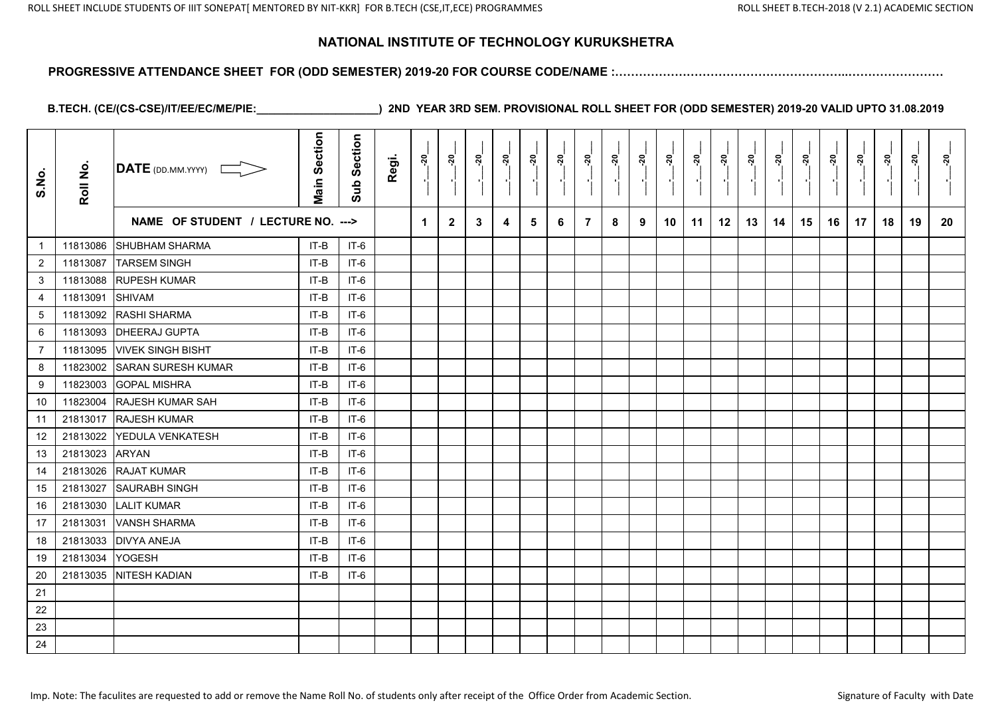#### **PROGRESSIVE ATTENDANCE SHEET FOR (ODD SEMESTER) 2019-20 FOR COURSE CODE/NAME :…………………………………………………..……………………**

| S.No.          | Roll No. | $\overline{\text{DATE}}$ (DD.MM.YYYY) | <b>Main Section</b> | Section<br>Sub | Regi. | នុ                   | នុ           | ៷ | នុ៎ | នុ | ្កុ | ្តុ            | <u>នុ</u> | ៷៓ | នុ | ្កុ | ៷  | នុ | នុ | នុ | ៷  | នុ<br>$\blacksquare$ | នុ | នុ | នុ |
|----------------|----------|---------------------------------------|---------------------|----------------|-------|----------------------|--------------|---|-----|----|-----|----------------|-----------|----|----|-----|----|----|----|----|----|----------------------|----|----|----|
|                |          | NAME OF STUDENT / LECTURE NO. --->    |                     |                |       | $\blacktriangleleft$ | $\mathbf{2}$ | 3 | 4   | 5  | 6   | $\overline{7}$ | 8         | 9  | 10 | 11  | 12 | 13 | 14 | 15 | 16 | 17                   | 18 | 19 | 20 |
| $\overline{1}$ | 11813086 | SHUBHAM SHARMA                        | IT-B                | $IT-6$         |       |                      |              |   |     |    |     |                |           |    |    |     |    |    |    |    |    |                      |    |    |    |
| $\overline{2}$ | 11813087 | <b>TARSEM SINGH</b>                   | IT-B                | IT-6           |       |                      |              |   |     |    |     |                |           |    |    |     |    |    |    |    |    |                      |    |    |    |
| 3              | 11813088 | <b>RUPESH KUMAR</b>                   | IT-B                | $IT-6$         |       |                      |              |   |     |    |     |                |           |    |    |     |    |    |    |    |    |                      |    |    |    |
| 4              | 11813091 | <b>SHIVAM</b>                         | IT-B                | IT-6           |       |                      |              |   |     |    |     |                |           |    |    |     |    |    |    |    |    |                      |    |    |    |
| 5              | 11813092 | <b>RASHI SHARMA</b>                   | $IT-B$              | $IT-6$         |       |                      |              |   |     |    |     |                |           |    |    |     |    |    |    |    |    |                      |    |    |    |
| 6              | 11813093 | <b>DHEERAJ GUPTA</b>                  | IT-B                | $IT-6$         |       |                      |              |   |     |    |     |                |           |    |    |     |    |    |    |    |    |                      |    |    |    |
| $\overline{7}$ | 11813095 | <b>VIVEK SINGH BISHT</b>              | IT-B                | IT-6           |       |                      |              |   |     |    |     |                |           |    |    |     |    |    |    |    |    |                      |    |    |    |
| 8              | 11823002 | <b>SARAN SURESH KUMAR</b>             | IT-B                | $IT-6$         |       |                      |              |   |     |    |     |                |           |    |    |     |    |    |    |    |    |                      |    |    |    |
| 9              | 11823003 | <b>GOPAL MISHRA</b>                   | IT-B                | IT-6           |       |                      |              |   |     |    |     |                |           |    |    |     |    |    |    |    |    |                      |    |    |    |
| 10             | 11823004 | <b>RAJESH KUMAR SAH</b>               | IT-B                | IT-6           |       |                      |              |   |     |    |     |                |           |    |    |     |    |    |    |    |    |                      |    |    |    |
| 11             | 21813017 | <b>RAJESH KUMAR</b>                   | IT-B                | IT-6           |       |                      |              |   |     |    |     |                |           |    |    |     |    |    |    |    |    |                      |    |    |    |
| 12             | 21813022 | <b>IYEDULA VENKATESH</b>              | IT-B                | IT-6           |       |                      |              |   |     |    |     |                |           |    |    |     |    |    |    |    |    |                      |    |    |    |
| 13             | 21813023 | <b>ARYAN</b>                          | IT-B                | $IT-6$         |       |                      |              |   |     |    |     |                |           |    |    |     |    |    |    |    |    |                      |    |    |    |
| 14             | 21813026 | <b>RAJAT KUMAR</b>                    | IT-B                | $IT-6$         |       |                      |              |   |     |    |     |                |           |    |    |     |    |    |    |    |    |                      |    |    |    |
| 15             | 21813027 | <b>SAURABH SINGH</b>                  | IT-B                | $IT-6$         |       |                      |              |   |     |    |     |                |           |    |    |     |    |    |    |    |    |                      |    |    |    |
| 16             | 21813030 | <b>LALIT KUMAR</b>                    | IT-B                | IT-6           |       |                      |              |   |     |    |     |                |           |    |    |     |    |    |    |    |    |                      |    |    |    |
| 17             | 21813031 | <b>VANSH SHARMA</b>                   | IT-B                | IT-6           |       |                      |              |   |     |    |     |                |           |    |    |     |    |    |    |    |    |                      |    |    |    |
| 18             | 21813033 | <b>DIVYA ANEJA</b>                    | IT-B                | $IT-6$         |       |                      |              |   |     |    |     |                |           |    |    |     |    |    |    |    |    |                      |    |    |    |
| 19             | 21813034 | <b>YOGESH</b>                         | IT-B                | $IT-6$         |       |                      |              |   |     |    |     |                |           |    |    |     |    |    |    |    |    |                      |    |    |    |
| 20             | 21813035 | <b>NITESH KADIAN</b>                  | $IT-B$              | $IT-6$         |       |                      |              |   |     |    |     |                |           |    |    |     |    |    |    |    |    |                      |    |    |    |
| 21             |          |                                       |                     |                |       |                      |              |   |     |    |     |                |           |    |    |     |    |    |    |    |    |                      |    |    |    |
| 22             |          |                                       |                     |                |       |                      |              |   |     |    |     |                |           |    |    |     |    |    |    |    |    |                      |    |    |    |
| 23             |          |                                       |                     |                |       |                      |              |   |     |    |     |                |           |    |    |     |    |    |    |    |    |                      |    |    |    |
| 24             |          |                                       |                     |                |       |                      |              |   |     |    |     |                |           |    |    |     |    |    |    |    |    |                      |    |    |    |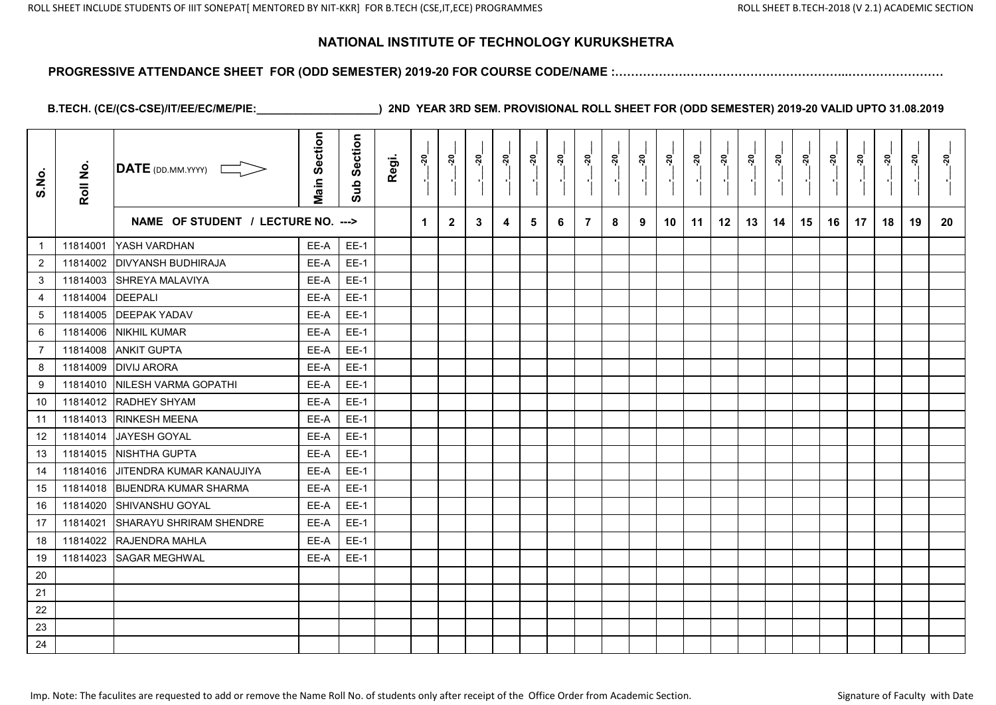#### **PROGRESSIVE ATTENDANCE SHEET FOR (ODD SEMESTER) 2019-20 FOR COURSE CODE/NAME :…………………………………………………..……………………**

| S.No.            | Roll No. | <b>DATE</b> (DD.MM.YYYY)           | <b>Main Section</b> | Section<br>Sub | Regi. | នុ | នុ           | <u> 20</u> | ្ពុ | ្កុ | ៷៓ | ្គុ            | <u>នុ</u><br>$\blacksquare$ | <u>នុ</u> | ៷៓ | ្តុ<br>$\blacksquare$ | នុ៎ | <u> ຊ</u> | នុ | <u>នុ</u> | <u>នុ</u> | <u>នុ</u><br>$\blacksquare$ | នុ | <u>នុ</u> | <u>នុ</u> |
|------------------|----------|------------------------------------|---------------------|----------------|-------|----|--------------|------------|-----|-----|----|----------------|-----------------------------|-----------|----|-----------------------|-----|-----------|----|-----------|-----------|-----------------------------|----|-----------|-----------|
|                  |          | NAME OF STUDENT / LECTURE NO. ---> |                     |                |       | 1  | $\mathbf{2}$ | 3          | 4   | 5   | 6  | $\overline{7}$ | 8                           | 9         | 10 | 11                    | 12  | 13        | 14 | 15        | 16        | 17                          | 18 | 19        | 20        |
| $\mathbf{1}$     | 11814001 | YASH VARDHAN                       | EE-A                | <b>EE-1</b>    |       |    |              |            |     |     |    |                |                             |           |    |                       |     |           |    |           |           |                             |    |           |           |
| $\overline{c}$   | 11814002 | <b>DIVYANSH BUDHIRAJA</b>          | EE-A                | $EE-1$         |       |    |              |            |     |     |    |                |                             |           |    |                       |     |           |    |           |           |                             |    |           |           |
| 3                | 11814003 | <b>SHREYA MALAVIYA</b>             | EE-A                | <b>EE-1</b>    |       |    |              |            |     |     |    |                |                             |           |    |                       |     |           |    |           |           |                             |    |           |           |
| $\overline{4}$   | 11814004 | <b>DEEPALI</b>                     | EE-A                | $EE-1$         |       |    |              |            |     |     |    |                |                             |           |    |                       |     |           |    |           |           |                             |    |           |           |
| $\sqrt{5}$       | 11814005 | <b>DEEPAK YADAV</b>                | EE-A                | $EE-1$         |       |    |              |            |     |     |    |                |                             |           |    |                       |     |           |    |           |           |                             |    |           |           |
| 6                | 11814006 | <b>NIKHIL KUMAR</b>                | EE-A                | $EE-1$         |       |    |              |            |     |     |    |                |                             |           |    |                       |     |           |    |           |           |                             |    |           |           |
| $\overline{7}$   | 11814008 | <b>ANKIT GUPTA</b>                 | EE-A                | $EE-1$         |       |    |              |            |     |     |    |                |                             |           |    |                       |     |           |    |           |           |                             |    |           |           |
| 8                | 11814009 | <b>DIVIJ ARORA</b>                 | EE-A                | $EE-1$         |       |    |              |            |     |     |    |                |                             |           |    |                       |     |           |    |           |           |                             |    |           |           |
| $\boldsymbol{9}$ | 11814010 | NILESH VARMA GOPATHI               | EE-A                | $EE-1$         |       |    |              |            |     |     |    |                |                             |           |    |                       |     |           |    |           |           |                             |    |           |           |
| 10               | 11814012 | <b>RADHEY SHYAM</b>                | EE-A                | $EE-1$         |       |    |              |            |     |     |    |                |                             |           |    |                       |     |           |    |           |           |                             |    |           |           |
| 11               | 11814013 | <b>RINKESH MEENA</b>               | EE-A                | $EE-1$         |       |    |              |            |     |     |    |                |                             |           |    |                       |     |           |    |           |           |                             |    |           |           |
| 12               | 11814014 | JAYESH GOYAL                       | EE-A                | $EE-1$         |       |    |              |            |     |     |    |                |                             |           |    |                       |     |           |    |           |           |                             |    |           |           |
| 13               | 11814015 | NISHTHA GUPTA                      | EE-A                | $EE-1$         |       |    |              |            |     |     |    |                |                             |           |    |                       |     |           |    |           |           |                             |    |           |           |
| 14               | 11814016 | <b>JITENDRA KUMAR KANAUJIYA</b>    | EE-A                | $EE-1$         |       |    |              |            |     |     |    |                |                             |           |    |                       |     |           |    |           |           |                             |    |           |           |
| 15               | 11814018 | <b>BIJENDRA KUMAR SHARMA</b>       | EE-A                | $EE-1$         |       |    |              |            |     |     |    |                |                             |           |    |                       |     |           |    |           |           |                             |    |           |           |
| 16               | 11814020 | SHIVANSHU GOYAL                    | EE-A                | $EE-1$         |       |    |              |            |     |     |    |                |                             |           |    |                       |     |           |    |           |           |                             |    |           |           |
| 17               | 11814021 | SHARAYU SHRIRAM SHENDRE            | EE-A                | <b>EE-1</b>    |       |    |              |            |     |     |    |                |                             |           |    |                       |     |           |    |           |           |                             |    |           |           |
| 18               | 11814022 | RAJENDRA MAHLA                     | EE-A                | <b>EE-1</b>    |       |    |              |            |     |     |    |                |                             |           |    |                       |     |           |    |           |           |                             |    |           |           |
| 19               | 11814023 | <b>SAGAR MEGHWAL</b>               | EE-A                | $EE-1$         |       |    |              |            |     |     |    |                |                             |           |    |                       |     |           |    |           |           |                             |    |           |           |
| 20               |          |                                    |                     |                |       |    |              |            |     |     |    |                |                             |           |    |                       |     |           |    |           |           |                             |    |           |           |
| 21               |          |                                    |                     |                |       |    |              |            |     |     |    |                |                             |           |    |                       |     |           |    |           |           |                             |    |           |           |
| 22               |          |                                    |                     |                |       |    |              |            |     |     |    |                |                             |           |    |                       |     |           |    |           |           |                             |    |           |           |
| 23               |          |                                    |                     |                |       |    |              |            |     |     |    |                |                             |           |    |                       |     |           |    |           |           |                             |    |           |           |
| 24               |          |                                    |                     |                |       |    |              |            |     |     |    |                |                             |           |    |                       |     |           |    |           |           |                             |    |           |           |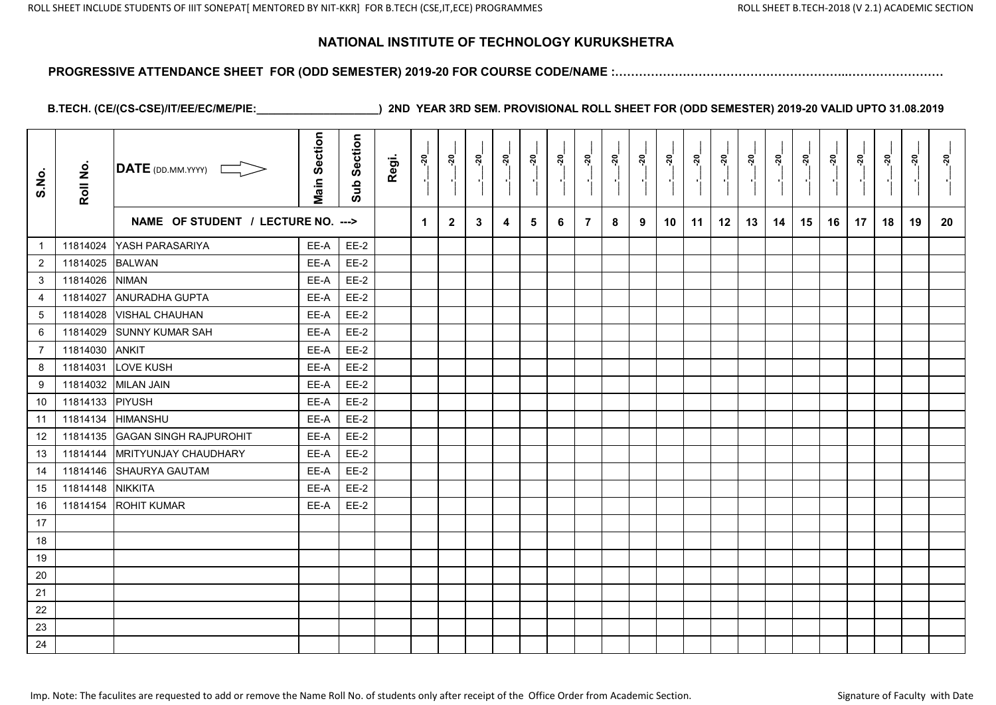# **PROGRESSIVE ATTENDANCE SHEET FOR (ODD SEMESTER) 2019-20 FOR COURSE CODE/NAME :…………………………………………………..……………………**

| S.No.           | Roll No. | DATE (DD.MM.YYYY)                  | <b>Main Section</b> | Sub Section | Regi. | ៷                    | <u>នុ</u>    | <u>នុ</u> | <u>នុ</u> | នុ | <u>នុ</u><br>$\blacksquare$ | <u>នុ</u>      | <u>នុ</u> | <u>នុ</u> | <u>្កុ</u> | <u>នុ</u> | នុ<br>- 11 | <u>នុ</u> | <u>នុ</u> | នុ៎ | <u>នុ</u> | <u>នុ</u> | <u>នុ</u><br>- 11 | <u> ខ្ពុ</u> | ನ್ನ |
|-----------------|----------|------------------------------------|---------------------|-------------|-------|----------------------|--------------|-----------|-----------|----|-----------------------------|----------------|-----------|-----------|------------|-----------|------------|-----------|-----------|-----|-----------|-----------|-------------------|--------------|-----|
|                 |          | NAME OF STUDENT / LECTURE NO. ---> |                     |             |       | $\blacktriangleleft$ | $\mathbf{2}$ | 3         | 4         | 5  | 6                           | $\overline{7}$ | 8         | 9         | 10         | 11        | 12         | 13        | 14        | 15  | 16        | 17        | 18                | 19           | 20  |
| $\mathbf{1}$    | 11814024 | YASH PARASARIYA                    | EE-A                | <b>EE-2</b> |       |                      |              |           |           |    |                             |                |           |           |            |           |            |           |           |     |           |           |                   |              |     |
| $\overline{2}$  | 11814025 | <b>BALWAN</b>                      | EE-A                | $EE-2$      |       |                      |              |           |           |    |                             |                |           |           |            |           |            |           |           |     |           |           |                   |              |     |
| 3               | 11814026 | <b>NIMAN</b>                       | EE-A                | $EE-2$      |       |                      |              |           |           |    |                             |                |           |           |            |           |            |           |           |     |           |           |                   |              |     |
| 4               | 11814027 | <b>ANURADHA GUPTA</b>              | EE-A                | <b>EE-2</b> |       |                      |              |           |           |    |                             |                |           |           |            |           |            |           |           |     |           |           |                   |              |     |
| $5\overline{)}$ | 11814028 | <b>VISHAL CHAUHAN</b>              | EE-A                | $EE-2$      |       |                      |              |           |           |    |                             |                |           |           |            |           |            |           |           |     |           |           |                   |              |     |
| 6               | 11814029 | <b>SUNNY KUMAR SAH</b>             | EE-A                | <b>EE-2</b> |       |                      |              |           |           |    |                             |                |           |           |            |           |            |           |           |     |           |           |                   |              |     |
| $\overline{7}$  | 11814030 | <b>ANKIT</b>                       | EE-A                | $EE-2$      |       |                      |              |           |           |    |                             |                |           |           |            |           |            |           |           |     |           |           |                   |              |     |
| 8               | 11814031 | LOVE KUSH                          | EE-A                | $EE-2$      |       |                      |              |           |           |    |                             |                |           |           |            |           |            |           |           |     |           |           |                   |              |     |
| 9               | 11814032 | <b>MILAN JAIN</b>                  | EE-A                | $EE-2$      |       |                      |              |           |           |    |                             |                |           |           |            |           |            |           |           |     |           |           |                   |              |     |
| 10              | 11814133 | PIYUSH                             | EE-A                | $EE-2$      |       |                      |              |           |           |    |                             |                |           |           |            |           |            |           |           |     |           |           |                   |              |     |
| 11              | 11814134 | <b>HIMANSHU</b>                    | EE-A                | $EE-2$      |       |                      |              |           |           |    |                             |                |           |           |            |           |            |           |           |     |           |           |                   |              |     |
| 12              | 11814135 | <b>GAGAN SINGH RAJPUROHIT</b>      | EE-A                | $EE-2$      |       |                      |              |           |           |    |                             |                |           |           |            |           |            |           |           |     |           |           |                   |              |     |
| 13              | 11814144 | <b>MRITYUNJAY CHAUDHARY</b>        | EE-A                | $EE-2$      |       |                      |              |           |           |    |                             |                |           |           |            |           |            |           |           |     |           |           |                   |              |     |
| 14              | 11814146 | SHAURYA GAUTAM                     | EE-A                | $EE-2$      |       |                      |              |           |           |    |                             |                |           |           |            |           |            |           |           |     |           |           |                   |              |     |
| 15              | 11814148 | <b>NIKKITA</b>                     | EE-A                | $EE-2$      |       |                      |              |           |           |    |                             |                |           |           |            |           |            |           |           |     |           |           |                   |              |     |
| 16              | 11814154 | <b>ROHIT KUMAR</b>                 | EE-A                | $EE-2$      |       |                      |              |           |           |    |                             |                |           |           |            |           |            |           |           |     |           |           |                   |              |     |
| 17              |          |                                    |                     |             |       |                      |              |           |           |    |                             |                |           |           |            |           |            |           |           |     |           |           |                   |              |     |
| 18              |          |                                    |                     |             |       |                      |              |           |           |    |                             |                |           |           |            |           |            |           |           |     |           |           |                   |              |     |
| 19              |          |                                    |                     |             |       |                      |              |           |           |    |                             |                |           |           |            |           |            |           |           |     |           |           |                   |              |     |
| $20\,$          |          |                                    |                     |             |       |                      |              |           |           |    |                             |                |           |           |            |           |            |           |           |     |           |           |                   |              |     |
| 21              |          |                                    |                     |             |       |                      |              |           |           |    |                             |                |           |           |            |           |            |           |           |     |           |           |                   |              |     |
| 22              |          |                                    |                     |             |       |                      |              |           |           |    |                             |                |           |           |            |           |            |           |           |     |           |           |                   |              |     |
| 23              |          |                                    |                     |             |       |                      |              |           |           |    |                             |                |           |           |            |           |            |           |           |     |           |           |                   |              |     |
| 24              |          |                                    |                     |             |       |                      |              |           |           |    |                             |                |           |           |            |           |            |           |           |     |           |           |                   |              |     |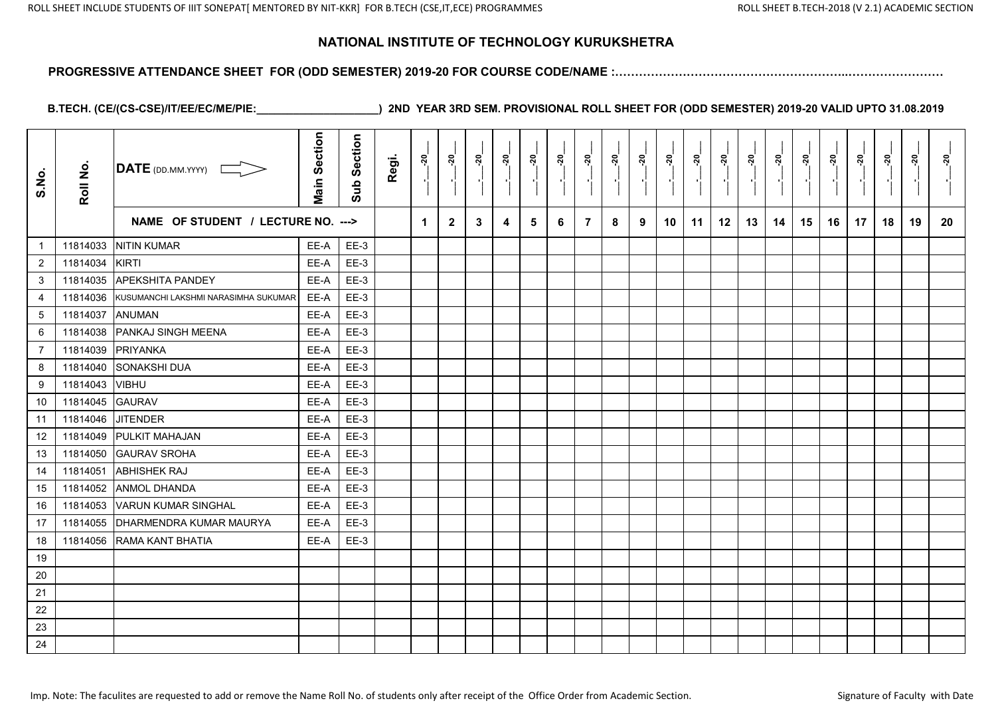#### **PROGRESSIVE ATTENDANCE SHEET FOR (ODD SEMESTER) 2019-20 FOR COURSE CODE/NAME :…………………………………………………..……………………**

| S.No.           | Roll No. | $\overline{\text{DATE}}$ (DD.MM.YYYY) | <b>Main Section</b> | Section<br>Sub: | Regi. | នុ | <u>នុ</u>    | <u>័</u> | <u>នុ</u> | នុ<br>$\blacksquare$ | <u>នុ</u><br>$\blacksquare$ | នុ | នុ<br>$\blacksquare$ | ៷ | ៷  | នុ | ៷  | <u>នុ</u> | នុ | <u>នុ</u> | នុ | ನ್ನ<br>$\blacksquare$ | នុ | <u>នុ</u> | នុ |
|-----------------|----------|---------------------------------------|---------------------|-----------------|-------|----|--------------|----------|-----------|----------------------|-----------------------------|----|----------------------|---|----|----|----|-----------|----|-----------|----|-----------------------|----|-----------|----|
|                 |          | NAME OF STUDENT / LECTURE NO. --->    |                     |                 |       | 1  | $\mathbf{2}$ | 3        | 4         | 5                    | 6                           | 7  | 8                    | 9 | 10 | 11 | 12 | 13        | 14 | 15        | 16 | 17                    | 18 | 19        | 20 |
| $\mathbf{1}$    | 11814033 | <b>NITIN KUMAR</b>                    | EE-A                | $EE-3$          |       |    |              |          |           |                      |                             |    |                      |   |    |    |    |           |    |           |    |                       |    |           |    |
| $\overline{2}$  | 11814034 | KIRTI                                 | EE-A                | $EE-3$          |       |    |              |          |           |                      |                             |    |                      |   |    |    |    |           |    |           |    |                       |    |           |    |
| 3               | 11814035 | <b>APEKSHITA PANDEY</b>               | EE-A                | $EE-3$          |       |    |              |          |           |                      |                             |    |                      |   |    |    |    |           |    |           |    |                       |    |           |    |
| 4               | 11814036 | KUSUMANCHI LAKSHMI NARASIMHA SUKUMAR  | EE-A                | $EE-3$          |       |    |              |          |           |                      |                             |    |                      |   |    |    |    |           |    |           |    |                       |    |           |    |
| $5\phantom{.0}$ | 11814037 | <b>ANUMAN</b>                         | EE-A                | $EE-3$          |       |    |              |          |           |                      |                             |    |                      |   |    |    |    |           |    |           |    |                       |    |           |    |
| 6               | 11814038 | PANKAJ SINGH MEENA                    | EE-A                | $EE-3$          |       |    |              |          |           |                      |                             |    |                      |   |    |    |    |           |    |           |    |                       |    |           |    |
| $\overline{7}$  | 11814039 | PRIYANKA                              | EE-A                | $EE-3$          |       |    |              |          |           |                      |                             |    |                      |   |    |    |    |           |    |           |    |                       |    |           |    |
| 8               | 11814040 | <b>SONAKSHI DUA</b>                   | EE-A                | $EE-3$          |       |    |              |          |           |                      |                             |    |                      |   |    |    |    |           |    |           |    |                       |    |           |    |
| 9               | 11814043 | <b>VIBHU</b>                          | EE-A                | $EE-3$          |       |    |              |          |           |                      |                             |    |                      |   |    |    |    |           |    |           |    |                       |    |           |    |
| 10              | 11814045 | <b>GAURAV</b>                         | EE-A                | $EE-3$          |       |    |              |          |           |                      |                             |    |                      |   |    |    |    |           |    |           |    |                       |    |           |    |
| 11              | 11814046 | <b>JITENDER</b>                       | EE-A                | $EE-3$          |       |    |              |          |           |                      |                             |    |                      |   |    |    |    |           |    |           |    |                       |    |           |    |
| 12              | 11814049 | <b>PULKIT MAHAJAN</b>                 | EE-A                | $EE-3$          |       |    |              |          |           |                      |                             |    |                      |   |    |    |    |           |    |           |    |                       |    |           |    |
| 13              | 11814050 | <b>GAURAV SROHA</b>                   | EE-A                | $EE-3$          |       |    |              |          |           |                      |                             |    |                      |   |    |    |    |           |    |           |    |                       |    |           |    |
| 14              | 11814051 | <b>ABHISHEK RAJ</b>                   | EE-A                | $EE-3$          |       |    |              |          |           |                      |                             |    |                      |   |    |    |    |           |    |           |    |                       |    |           |    |
| 15              | 11814052 | <b>ANMOL DHANDA</b>                   | EE-A                | $EE-3$          |       |    |              |          |           |                      |                             |    |                      |   |    |    |    |           |    |           |    |                       |    |           |    |
| 16              | 11814053 | <b>VARUN KUMAR SINGHAL</b>            | EE-A                | $EE-3$          |       |    |              |          |           |                      |                             |    |                      |   |    |    |    |           |    |           |    |                       |    |           |    |
| 17              | 11814055 | DHARMENDRA KUMAR MAURYA               | EE-A                | $EE-3$          |       |    |              |          |           |                      |                             |    |                      |   |    |    |    |           |    |           |    |                       |    |           |    |
| 18              | 11814056 | RAMA KANT BHATIA                      | EE-A                | $EE-3$          |       |    |              |          |           |                      |                             |    |                      |   |    |    |    |           |    |           |    |                       |    |           |    |
| 19              |          |                                       |                     |                 |       |    |              |          |           |                      |                             |    |                      |   |    |    |    |           |    |           |    |                       |    |           |    |
| $20\,$          |          |                                       |                     |                 |       |    |              |          |           |                      |                             |    |                      |   |    |    |    |           |    |           |    |                       |    |           |    |
| 21              |          |                                       |                     |                 |       |    |              |          |           |                      |                             |    |                      |   |    |    |    |           |    |           |    |                       |    |           |    |
| 22              |          |                                       |                     |                 |       |    |              |          |           |                      |                             |    |                      |   |    |    |    |           |    |           |    |                       |    |           |    |
| 23              |          |                                       |                     |                 |       |    |              |          |           |                      |                             |    |                      |   |    |    |    |           |    |           |    |                       |    |           |    |
| 24              |          |                                       |                     |                 |       |    |              |          |           |                      |                             |    |                      |   |    |    |    |           |    |           |    |                       |    |           |    |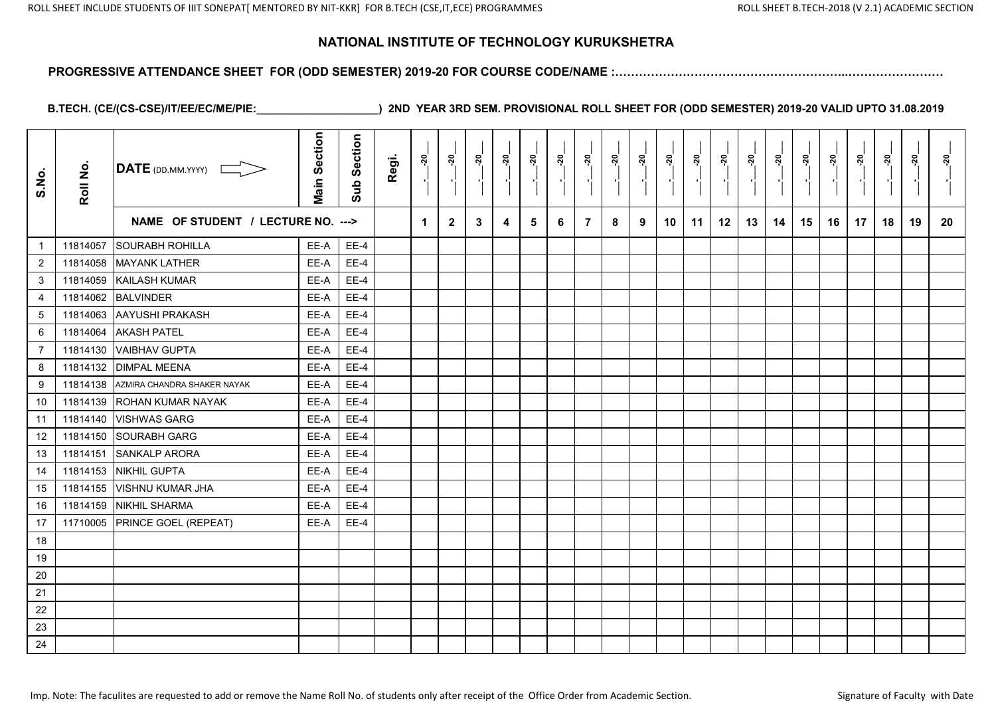#### **PROGRESSIVE ATTENDANCE SHEET FOR (ODD SEMESTER) 2019-20 FOR COURSE CODE/NAME :…………………………………………………..……………………**

| S.No.            | Roll No. | $\overline{\text{DATE}}$ (DD.MM.YYYY) | <b>Main Section</b> | Sub Section | Regi. | នុ | នុ៎          | នុ | <u>នុ</u> | ្លុ | ៷៓ | ៷៓<br>A.       | <u>នុ</u> | នុ៎ | នុ | ្គុ | នុ៎ | <u>នុ</u> | ៷  | <u>នុ</u> | <u>នុ</u> | នុ៎ | នុ | ្គុ | នុ |
|------------------|----------|---------------------------------------|---------------------|-------------|-------|----|--------------|----|-----------|-----|----|----------------|-----------|-----|----|-----|-----|-----------|----|-----------|-----------|-----|----|-----|----|
|                  |          | NAME OF STUDENT / LECTURE NO. --->    |                     |             |       | 1  | $\mathbf{2}$ | 3  | 4         | 5   | 6  | $\overline{7}$ | 8         | 9   | 10 | 11  | 12  | 13        | 14 | 15        | 16        | 17  | 18 | 19  | 20 |
| $\mathbf{1}$     | 11814057 | <b>SOURABH ROHILLA</b>                | EE-A                | $EE-4$      |       |    |              |    |           |     |    |                |           |     |    |     |     |           |    |           |           |     |    |     |    |
| $\overline{2}$   | 11814058 | <b>MAYANK LATHER</b>                  | EE-A                | $EE-4$      |       |    |              |    |           |     |    |                |           |     |    |     |     |           |    |           |           |     |    |     |    |
| $\mathbf{3}$     | 11814059 | <b>KAILASH KUMAR</b>                  | EE-A                | $EE-4$      |       |    |              |    |           |     |    |                |           |     |    |     |     |           |    |           |           |     |    |     |    |
| 4                | 11814062 | <b>BALVINDER</b>                      | EE-A                | $EE-4$      |       |    |              |    |           |     |    |                |           |     |    |     |     |           |    |           |           |     |    |     |    |
| $\sqrt{5}$       | 11814063 | AAYUSHI PRAKASH                       | EE-A                | $EE-4$      |       |    |              |    |           |     |    |                |           |     |    |     |     |           |    |           |           |     |    |     |    |
| 6                | 11814064 | <b>AKASH PATEL</b>                    | EE-A                | $EE-4$      |       |    |              |    |           |     |    |                |           |     |    |     |     |           |    |           |           |     |    |     |    |
| $\overline{7}$   | 11814130 | <b>VAIBHAV GUPTA</b>                  | EE-A                | $EE-4$      |       |    |              |    |           |     |    |                |           |     |    |     |     |           |    |           |           |     |    |     |    |
| 8                | 11814132 | <b>DIMPAL MEENA</b>                   | EE-A                | $EE-4$      |       |    |              |    |           |     |    |                |           |     |    |     |     |           |    |           |           |     |    |     |    |
| $\boldsymbol{9}$ | 11814138 | AZMIRA CHANDRA SHAKER NAYAK           | EE-A                | $EE-4$      |       |    |              |    |           |     |    |                |           |     |    |     |     |           |    |           |           |     |    |     |    |
| 10               | 11814139 | ROHAN KUMAR NAYAK                     | EE-A                | $EE-4$      |       |    |              |    |           |     |    |                |           |     |    |     |     |           |    |           |           |     |    |     |    |
| 11               | 11814140 | <b>VISHWAS GARG</b>                   | EE-A                | $EE-4$      |       |    |              |    |           |     |    |                |           |     |    |     |     |           |    |           |           |     |    |     |    |
| 12               | 11814150 | <b>SOURABH GARG</b>                   | EE-A                | $EE-4$      |       |    |              |    |           |     |    |                |           |     |    |     |     |           |    |           |           |     |    |     |    |
| 13               | 11814151 | <b>SANKALP ARORA</b>                  | EE-A                | $EE-4$      |       |    |              |    |           |     |    |                |           |     |    |     |     |           |    |           |           |     |    |     |    |
| 14               | 11814153 | NIKHIL GUPTA                          | EE-A                | $EE-4$      |       |    |              |    |           |     |    |                |           |     |    |     |     |           |    |           |           |     |    |     |    |
| 15               | 11814155 | <b>VISHNU KUMAR JHA</b>               | EE-A                | $EE-4$      |       |    |              |    |           |     |    |                |           |     |    |     |     |           |    |           |           |     |    |     |    |
| 16               | 11814159 | <b>NIKHIL SHARMA</b>                  | EE-A                | $EE-4$      |       |    |              |    |           |     |    |                |           |     |    |     |     |           |    |           |           |     |    |     |    |
| 17               | 11710005 | <b>PRINCE GOEL (REPEAT)</b>           | EE-A                | $EE-4$      |       |    |              |    |           |     |    |                |           |     |    |     |     |           |    |           |           |     |    |     |    |
| 18               |          |                                       |                     |             |       |    |              |    |           |     |    |                |           |     |    |     |     |           |    |           |           |     |    |     |    |
| 19               |          |                                       |                     |             |       |    |              |    |           |     |    |                |           |     |    |     |     |           |    |           |           |     |    |     |    |
| 20               |          |                                       |                     |             |       |    |              |    |           |     |    |                |           |     |    |     |     |           |    |           |           |     |    |     |    |
| 21               |          |                                       |                     |             |       |    |              |    |           |     |    |                |           |     |    |     |     |           |    |           |           |     |    |     |    |
| 22               |          |                                       |                     |             |       |    |              |    |           |     |    |                |           |     |    |     |     |           |    |           |           |     |    |     |    |
| 23               |          |                                       |                     |             |       |    |              |    |           |     |    |                |           |     |    |     |     |           |    |           |           |     |    |     |    |
| 24               |          |                                       |                     |             |       |    |              |    |           |     |    |                |           |     |    |     |     |           |    |           |           |     |    |     |    |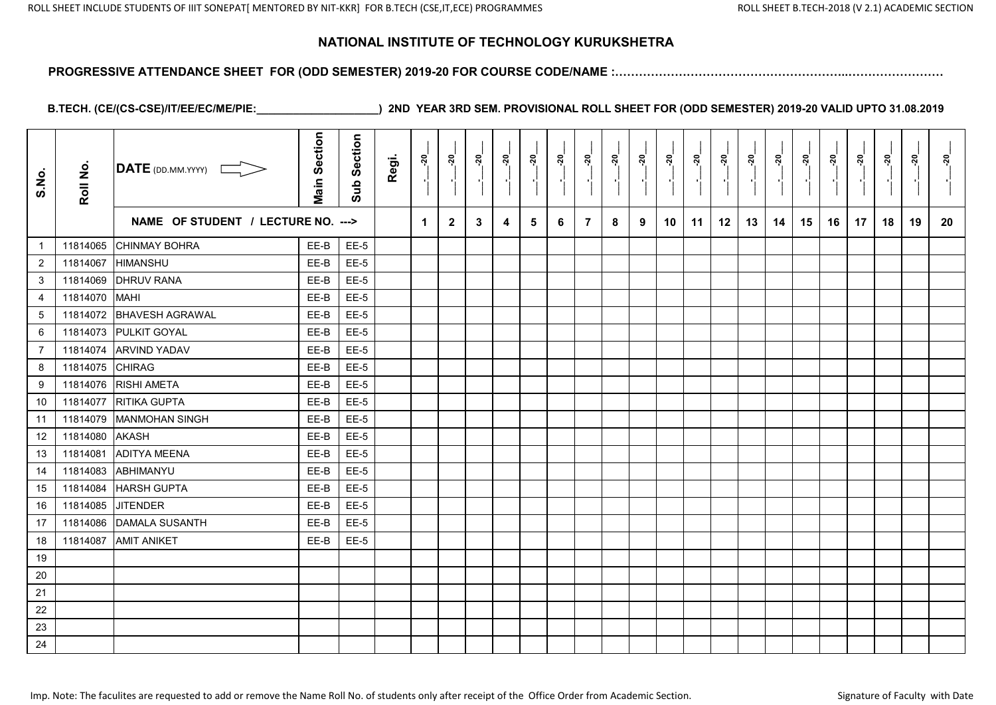#### **PROGRESSIVE ATTENDANCE SHEET FOR (ODD SEMESTER) 2019-20 FOR COURSE CODE/NAME :…………………………………………………..……………………**

| S.No.           | Roll No. | DATE (DD.MM.YYYY)                  | <b>Main Section</b> | Section<br>Sub | Regi. | ៷                    | <u>នុ</u>    | ៷៓ | ៷៓ | ្គុ<br>$\blacksquare$ | នុ៎<br>-9 | ್ಲೆ | ್ಲ<br>$\blacksquare$ | ៷៓ | ຸສຸ່ | ្គុ<br>$\blacksquare$ | នុ៎ | ៷៓ | នុ | <u>នុ</u> | <u>នុ</u> | ್ಲೆ<br>$\blacksquare$ | នុ | <u>នុ</u> | <u>នុ</u> |
|-----------------|----------|------------------------------------|---------------------|----------------|-------|----------------------|--------------|----|----|-----------------------|-----------|-----|----------------------|----|------|-----------------------|-----|----|----|-----------|-----------|-----------------------|----|-----------|-----------|
|                 |          | NAME OF STUDENT / LECTURE NO. ---> |                     |                |       | $\blacktriangleleft$ | $\mathbf{2}$ | 3  | 4  | 5                     | 6         | 7   | 8                    | 9  | 10   | 11                    | 12  | 13 | 14 | 15        | 16        | 17                    | 18 | 19        | 20        |
| $\mathbf{1}$    | 11814065 | <b>CHINMAY BOHRA</b>               | EE-B                | EE-5           |       |                      |              |    |    |                       |           |     |                      |    |      |                       |     |    |    |           |           |                       |    |           |           |
| $\overline{2}$  | 11814067 | <b>HIMANSHU</b>                    | EE-B                | $EE-5$         |       |                      |              |    |    |                       |           |     |                      |    |      |                       |     |    |    |           |           |                       |    |           |           |
| 3               | 11814069 | <b>DHRUV RANA</b>                  | EE-B                | $EE-5$         |       |                      |              |    |    |                       |           |     |                      |    |      |                       |     |    |    |           |           |                       |    |           |           |
| $\overline{4}$  | 11814070 | <b>MAHI</b>                        | EE-B                | $EE-5$         |       |                      |              |    |    |                       |           |     |                      |    |      |                       |     |    |    |           |           |                       |    |           |           |
| $5\phantom{.0}$ | 11814072 | <b>BHAVESH AGRAWAL</b>             | EE-B                | EE-5           |       |                      |              |    |    |                       |           |     |                      |    |      |                       |     |    |    |           |           |                       |    |           |           |
| 6               | 11814073 | <b>PULKIT GOYAL</b>                | EE-B                | $EE-5$         |       |                      |              |    |    |                       |           |     |                      |    |      |                       |     |    |    |           |           |                       |    |           |           |
| $\overline{7}$  | 11814074 | <b>ARVIND YADAV</b>                | EE-B                | EE-5           |       |                      |              |    |    |                       |           |     |                      |    |      |                       |     |    |    |           |           |                       |    |           |           |
| 8               | 11814075 | <b>CHIRAG</b>                      | EE-B                | $EE-5$         |       |                      |              |    |    |                       |           |     |                      |    |      |                       |     |    |    |           |           |                       |    |           |           |
| 9               | 11814076 | <b>RISHI AMETA</b>                 | EE-B                | EE-5           |       |                      |              |    |    |                       |           |     |                      |    |      |                       |     |    |    |           |           |                       |    |           |           |
| 10              | 11814077 | RITIKA GUPTA                       | EE-B                | $EE-5$         |       |                      |              |    |    |                       |           |     |                      |    |      |                       |     |    |    |           |           |                       |    |           |           |
| 11              | 11814079 | <b>MANMOHAN SINGH</b>              | EE-B                | EE-5           |       |                      |              |    |    |                       |           |     |                      |    |      |                       |     |    |    |           |           |                       |    |           |           |
| 12              | 11814080 | <b>AKASH</b>                       | EE-B                | $EE-5$         |       |                      |              |    |    |                       |           |     |                      |    |      |                       |     |    |    |           |           |                       |    |           |           |
| 13              | 11814081 | <b>ADITYA MEENA</b>                | EE-B                | $EE-5$         |       |                      |              |    |    |                       |           |     |                      |    |      |                       |     |    |    |           |           |                       |    |           |           |
| 14              | 11814083 | <b>ABHIMANYU</b>                   | EE-B                | $EE-5$         |       |                      |              |    |    |                       |           |     |                      |    |      |                       |     |    |    |           |           |                       |    |           |           |
| 15              | 11814084 | <b>HARSH GUPTA</b>                 | EE-B                | $EE-5$         |       |                      |              |    |    |                       |           |     |                      |    |      |                       |     |    |    |           |           |                       |    |           |           |
| 16              | 11814085 | <b>JITENDER</b>                    | EE-B                | <b>EE-5</b>    |       |                      |              |    |    |                       |           |     |                      |    |      |                       |     |    |    |           |           |                       |    |           |           |
| 17              | 11814086 | <b>DAMALA SUSANTH</b>              | EE-B                | EE-5           |       |                      |              |    |    |                       |           |     |                      |    |      |                       |     |    |    |           |           |                       |    |           |           |
| 18              | 11814087 | <b>AMIT ANIKET</b>                 | EE-B                | <b>EE-5</b>    |       |                      |              |    |    |                       |           |     |                      |    |      |                       |     |    |    |           |           |                       |    |           |           |
| 19              |          |                                    |                     |                |       |                      |              |    |    |                       |           |     |                      |    |      |                       |     |    |    |           |           |                       |    |           |           |
| 20              |          |                                    |                     |                |       |                      |              |    |    |                       |           |     |                      |    |      |                       |     |    |    |           |           |                       |    |           |           |
| 21              |          |                                    |                     |                |       |                      |              |    |    |                       |           |     |                      |    |      |                       |     |    |    |           |           |                       |    |           |           |
| 22              |          |                                    |                     |                |       |                      |              |    |    |                       |           |     |                      |    |      |                       |     |    |    |           |           |                       |    |           |           |
| 23              |          |                                    |                     |                |       |                      |              |    |    |                       |           |     |                      |    |      |                       |     |    |    |           |           |                       |    |           |           |
| 24              |          |                                    |                     |                |       |                      |              |    |    |                       |           |     |                      |    |      |                       |     |    |    |           |           |                       |    |           |           |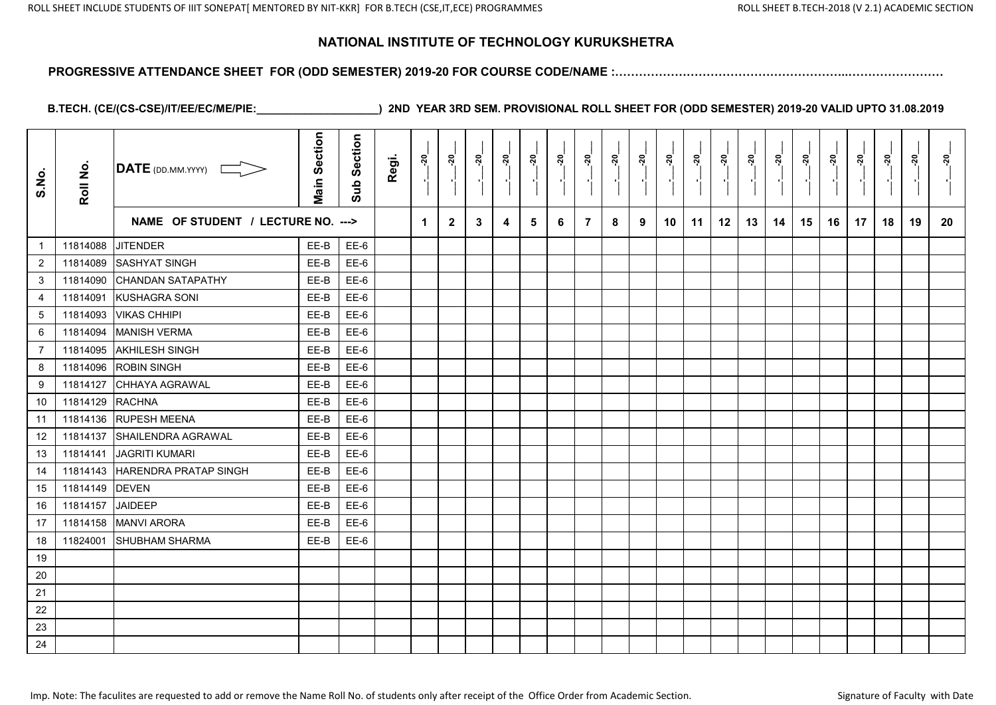#### **PROGRESSIVE ATTENDANCE SHEET FOR (ODD SEMESTER) 2019-20 FOR COURSE CODE/NAME :…………………………………………………..……………………**

| S.No.           | Roll No. | $\overline{\mathsf{DATE}}$ (DD.MM.YYYY) | <b>Main Section</b> | Section<br>Sub | Regi. | <u>នុ</u>            | <u>នុ</u>    | នុ៎ | ៷៓ | ៷<br>$\blacksquare$ | នុ៎<br>τ, | ្គុ | ನ್ನ<br>$\mathbf{r}$ | <u>នុ</u> | ្ពុ | នុ<br>$\blacksquare$ | នុ | <u>នុ</u> | នុ |    | នុ | <u>នុ</u><br>$\mathbf{r}$ | នុ | <u>នុ</u> | <u>នុ</u> |
|-----------------|----------|-----------------------------------------|---------------------|----------------|-------|----------------------|--------------|-----|----|---------------------|-----------|-----|---------------------|-----------|-----|----------------------|----|-----------|----|----|----|---------------------------|----|-----------|-----------|
|                 |          | NAME OF STUDENT / LECTURE NO. --->      |                     |                |       | $\blacktriangleleft$ | $\mathbf{2}$ | 3   | 4  | 5                   | 6         | 7   | 8                   | 9         | 10  | 11                   | 12 | 13        | 14 | 15 | 16 | 17                        | 18 | 19        | 20        |
| $\mathbf{1}$    | 11814088 | <b>JITENDER</b>                         | EE-B                | EE-6           |       |                      |              |     |    |                     |           |     |                     |           |     |                      |    |           |    |    |    |                           |    |           |           |
| $\overline{2}$  | 11814089 | <b>SASHYAT SINGH</b>                    | EE-B                | $EE-6$         |       |                      |              |     |    |                     |           |     |                     |           |     |                      |    |           |    |    |    |                           |    |           |           |
| 3               | 11814090 | <b>CHANDAN SATAPATHY</b>                | EE-B                | EE-6           |       |                      |              |     |    |                     |           |     |                     |           |     |                      |    |           |    |    |    |                           |    |           |           |
| $\overline{4}$  | 11814091 | <b>KUSHAGRA SONI</b>                    | EE-B                | $EE-6$         |       |                      |              |     |    |                     |           |     |                     |           |     |                      |    |           |    |    |    |                           |    |           |           |
| $5\phantom{.0}$ | 11814093 | <b>VIKAS CHHIPI</b>                     | EE-B                | EE-6           |       |                      |              |     |    |                     |           |     |                     |           |     |                      |    |           |    |    |    |                           |    |           |           |
| 6               | 11814094 | <b>MANISH VERMA</b>                     | EE-B                | $EE-6$         |       |                      |              |     |    |                     |           |     |                     |           |     |                      |    |           |    |    |    |                           |    |           |           |
| $\overline{7}$  | 11814095 | <b>AKHILESH SINGH</b>                   | EE-B                | EE-6           |       |                      |              |     |    |                     |           |     |                     |           |     |                      |    |           |    |    |    |                           |    |           |           |
| 8               | 11814096 | <b>ROBIN SINGH</b>                      | EE-B                | $EE-6$         |       |                      |              |     |    |                     |           |     |                     |           |     |                      |    |           |    |    |    |                           |    |           |           |
| 9               | 11814127 | CHHAYA AGRAWAL                          | EE-B                | EE-6           |       |                      |              |     |    |                     |           |     |                     |           |     |                      |    |           |    |    |    |                           |    |           |           |
| 10              | 11814129 | <b>RACHNA</b>                           | EE-B                | $EE-6$         |       |                      |              |     |    |                     |           |     |                     |           |     |                      |    |           |    |    |    |                           |    |           |           |
| 11              | 11814136 | <b>RUPESH MEENA</b>                     | EE-B                | EE-6           |       |                      |              |     |    |                     |           |     |                     |           |     |                      |    |           |    |    |    |                           |    |           |           |
| 12              | 11814137 | SHAILENDRA AGRAWAL                      | EE-B                | $EE-6$         |       |                      |              |     |    |                     |           |     |                     |           |     |                      |    |           |    |    |    |                           |    |           |           |
| 13              | 11814141 | <b>JAGRITI KUMARI</b>                   | EE-B                | EE-6           |       |                      |              |     |    |                     |           |     |                     |           |     |                      |    |           |    |    |    |                           |    |           |           |
| 14              | 11814143 | <b>HARENDRA PRATAP SINGH</b>            | EE-B                | $EE-6$         |       |                      |              |     |    |                     |           |     |                     |           |     |                      |    |           |    |    |    |                           |    |           |           |
| 15              | 11814149 | <b>DEVEN</b>                            | EE-B                | EE-6           |       |                      |              |     |    |                     |           |     |                     |           |     |                      |    |           |    |    |    |                           |    |           |           |
| 16              | 11814157 | <b>JAIDEEP</b>                          | EE-B                | $EE-6$         |       |                      |              |     |    |                     |           |     |                     |           |     |                      |    |           |    |    |    |                           |    |           |           |
| 17              | 11814158 | <b>MANVI ARORA</b>                      | EE-B                | EE-6           |       |                      |              |     |    |                     |           |     |                     |           |     |                      |    |           |    |    |    |                           |    |           |           |
| 18              | 11824001 | <b>SHUBHAM SHARMA</b>                   | EE-B                | $EE-6$         |       |                      |              |     |    |                     |           |     |                     |           |     |                      |    |           |    |    |    |                           |    |           |           |
| 19              |          |                                         |                     |                |       |                      |              |     |    |                     |           |     |                     |           |     |                      |    |           |    |    |    |                           |    |           |           |
| 20              |          |                                         |                     |                |       |                      |              |     |    |                     |           |     |                     |           |     |                      |    |           |    |    |    |                           |    |           |           |
| 21              |          |                                         |                     |                |       |                      |              |     |    |                     |           |     |                     |           |     |                      |    |           |    |    |    |                           |    |           |           |
| 22              |          |                                         |                     |                |       |                      |              |     |    |                     |           |     |                     |           |     |                      |    |           |    |    |    |                           |    |           |           |
| 23              |          |                                         |                     |                |       |                      |              |     |    |                     |           |     |                     |           |     |                      |    |           |    |    |    |                           |    |           |           |
| 24              |          |                                         |                     |                |       |                      |              |     |    |                     |           |     |                     |           |     |                      |    |           |    |    |    |                           |    |           |           |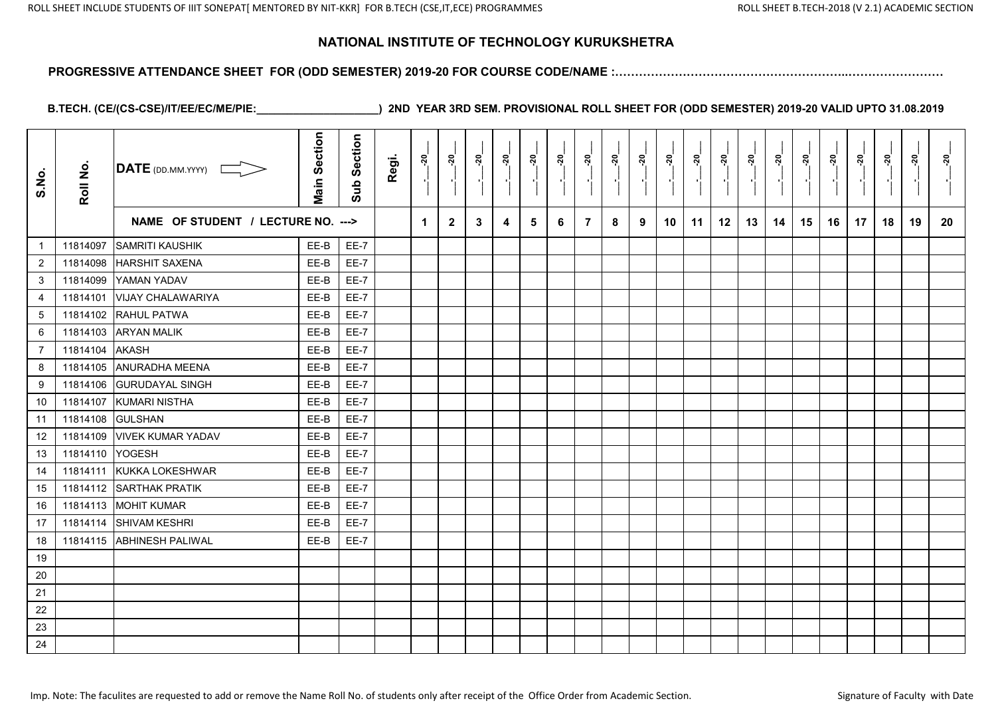#### **PROGRESSIVE ATTENDANCE SHEET FOR (ODD SEMESTER) 2019-20 FOR COURSE CODE/NAME :…………………………………………………..……………………**

| S.No.            | Roll No. | $\overline{\text{DATE}}$ (DD.MM.YYYY) | <b>Main Section</b> | Section<br>Sub | Regi. | នុ | នុ៎          | ສ່ | <u>នុ</u> | ៷ | ្លុ | ្គុ            | នុ៎ | នុ៎ | នុ | ្គុ | នុ | ៷៓ | ៷៓ | ៷៓ | ្គុ | ្គុ | នុ | ្តុ | នុ |
|------------------|----------|---------------------------------------|---------------------|----------------|-------|----|--------------|----|-----------|---|-----|----------------|-----|-----|----|-----|----|----|----|----|-----|-----|----|-----|----|
|                  |          | NAME OF STUDENT / LECTURE NO. --->    |                     |                |       | 1  | $\mathbf{2}$ | 3  | 4         | 5 | 6   | $\overline{7}$ | 8   | 9   | 10 | 11  | 12 | 13 | 14 | 15 | 16  | 17  | 18 | 19  | 20 |
| $\mathbf{1}$     | 11814097 | <b>SAMRITI KAUSHIK</b>                | EE-B                | EE-7           |       |    |              |    |           |   |     |                |     |     |    |     |    |    |    |    |     |     |    |     |    |
| $\overline{2}$   | 11814098 | <b>HARSHIT SAXENA</b>                 | EE-B                | <b>EE-7</b>    |       |    |              |    |           |   |     |                |     |     |    |     |    |    |    |    |     |     |    |     |    |
| 3                | 11814099 | YAMAN YADAV                           | EE-B                | <b>EE-7</b>    |       |    |              |    |           |   |     |                |     |     |    |     |    |    |    |    |     |     |    |     |    |
| $\overline{4}$   | 11814101 | <b>VIJAY CHALAWARIYA</b>              | EE-B                | EE-7           |       |    |              |    |           |   |     |                |     |     |    |     |    |    |    |    |     |     |    |     |    |
| $\sqrt{5}$       | 11814102 | RAHUL PATWA                           | EE-B                | <b>EE-7</b>    |       |    |              |    |           |   |     |                |     |     |    |     |    |    |    |    |     |     |    |     |    |
| 6                | 11814103 | <b>ARYAN MALIK</b>                    | EE-B                | $EE-7$         |       |    |              |    |           |   |     |                |     |     |    |     |    |    |    |    |     |     |    |     |    |
| $\overline{7}$   | 11814104 | <b>AKASH</b>                          | EE-B                | EE-7           |       |    |              |    |           |   |     |                |     |     |    |     |    |    |    |    |     |     |    |     |    |
| 8                | 11814105 | <b>ANURADHA MEENA</b>                 | EE-B                | $EE-7$         |       |    |              |    |           |   |     |                |     |     |    |     |    |    |    |    |     |     |    |     |    |
| $\boldsymbol{9}$ | 11814106 | <b>GURUDAYAL SINGH</b>                | EE-B                | EE-7           |       |    |              |    |           |   |     |                |     |     |    |     |    |    |    |    |     |     |    |     |    |
| 10               | 11814107 | <b>KUMARI NISTHA</b>                  | EE-B                | $EE-7$         |       |    |              |    |           |   |     |                |     |     |    |     |    |    |    |    |     |     |    |     |    |
| 11               | 11814108 | <b>GULSHAN</b>                        | EE-B                | EE-7           |       |    |              |    |           |   |     |                |     |     |    |     |    |    |    |    |     |     |    |     |    |
| 12               | 11814109 | <b>VIVEK KUMAR YADAV</b>              | EE-B                | <b>EE-7</b>    |       |    |              |    |           |   |     |                |     |     |    |     |    |    |    |    |     |     |    |     |    |
| 13               | 11814110 | <b>YOGESH</b>                         | EE-B                | $EE-7$         |       |    |              |    |           |   |     |                |     |     |    |     |    |    |    |    |     |     |    |     |    |
| 14               | 11814111 | KUKKA LOKESHWAR                       | EE-B                | $EE-7$         |       |    |              |    |           |   |     |                |     |     |    |     |    |    |    |    |     |     |    |     |    |
| 15               | 11814112 | <b>SARTHAK PRATIK</b>                 | EE-B                | <b>EE-7</b>    |       |    |              |    |           |   |     |                |     |     |    |     |    |    |    |    |     |     |    |     |    |
| 16               | 11814113 | <b>MOHIT KUMAR</b>                    | EE-B                | $EE-7$         |       |    |              |    |           |   |     |                |     |     |    |     |    |    |    |    |     |     |    |     |    |
| 17               | 11814114 | <b>SHIVAM KESHRI</b>                  | EE-B                | EE-7           |       |    |              |    |           |   |     |                |     |     |    |     |    |    |    |    |     |     |    |     |    |
| 18               |          | 11814115 ABHINESH PALIWAL             | EE-B                | $EE-7$         |       |    |              |    |           |   |     |                |     |     |    |     |    |    |    |    |     |     |    |     |    |
| 19               |          |                                       |                     |                |       |    |              |    |           |   |     |                |     |     |    |     |    |    |    |    |     |     |    |     |    |
| $20\,$           |          |                                       |                     |                |       |    |              |    |           |   |     |                |     |     |    |     |    |    |    |    |     |     |    |     |    |
| 21               |          |                                       |                     |                |       |    |              |    |           |   |     |                |     |     |    |     |    |    |    |    |     |     |    |     |    |
| 22               |          |                                       |                     |                |       |    |              |    |           |   |     |                |     |     |    |     |    |    |    |    |     |     |    |     |    |
| 23               |          |                                       |                     |                |       |    |              |    |           |   |     |                |     |     |    |     |    |    |    |    |     |     |    |     |    |
| 24               |          |                                       |                     |                |       |    |              |    |           |   |     |                |     |     |    |     |    |    |    |    |     |     |    |     |    |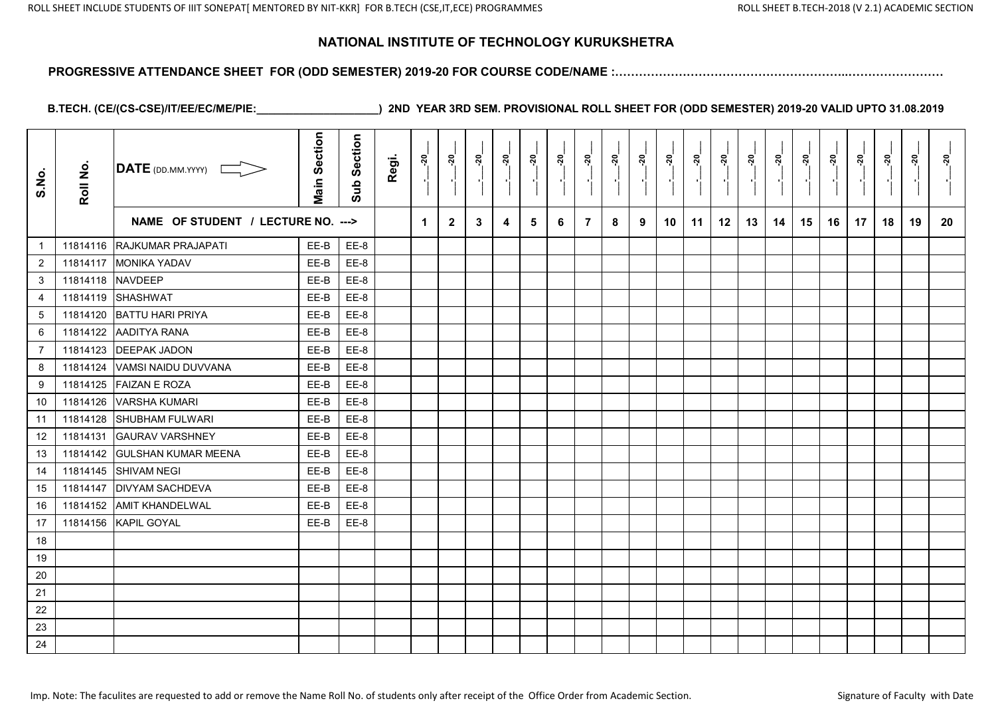#### **PROGRESSIVE ATTENDANCE SHEET FOR (ODD SEMESTER) 2019-20 FOR COURSE CODE/NAME :…………………………………………………..……………………**

| S.No.            | Roll No. | <b>DATE</b> (DD.MM.YYYY)           | <b>Main Section</b> | Section<br>Sub | Regi. | ្គុ                  | <u>នុ</u>    | ៷៓           | ៷៓ | ្គុ<br>$\blacksquare$ | <u>នុ</u><br>P. |   | ್ಲ<br>$\blacksquare$ | នុ៎ | $\frac{5}{20}$ | ្លុ | នុ | នុ<br>×, | $\frac{5}{2}$ | ៷៓ | នុ៎<br>٠, | ្ភុ | នុ | <u>នុ</u><br>$\blacksquare$ | នុ |
|------------------|----------|------------------------------------|---------------------|----------------|-------|----------------------|--------------|--------------|----|-----------------------|-----------------|---|----------------------|-----|----------------|-----|----|----------|---------------|----|-----------|-----|----|-----------------------------|----|
|                  |          | NAME OF STUDENT / LECTURE NO. ---> |                     |                |       | $\blacktriangleleft$ | $\mathbf{2}$ | $\mathbf{3}$ | 4  | 5                     | 6               | 7 | 8                    | 9   | 10             | 11  | 12 | 13       | 14            | 15 | 16        | 17  | 18 | 19                          | 20 |
| $\mathbf{1}$     |          | 11814116 RAJKUMAR PRAJAPATI        | EE-B                | EE-8           |       |                      |              |              |    |                       |                 |   |                      |     |                |     |    |          |               |    |           |     |    |                             |    |
| $\overline{c}$   | 11814117 | <b>MONIKA YADAV</b>                | EE-B                | EE-8           |       |                      |              |              |    |                       |                 |   |                      |     |                |     |    |          |               |    |           |     |    |                             |    |
| 3                | 11814118 | <b>NAVDEEP</b>                     | EE-B                | EE-8           |       |                      |              |              |    |                       |                 |   |                      |     |                |     |    |          |               |    |           |     |    |                             |    |
| $\overline{4}$   |          | 11814119 SHASHWAT                  | EE-B                | EE-8           |       |                      |              |              |    |                       |                 |   |                      |     |                |     |    |          |               |    |           |     |    |                             |    |
| $5\phantom{.0}$  | 11814120 | BATTU HARI PRIYA                   | EE-B                | EE-8           |       |                      |              |              |    |                       |                 |   |                      |     |                |     |    |          |               |    |           |     |    |                             |    |
| $\,6\,$          | 11814122 | AADITYA RANA                       | EE-B                | EE-8           |       |                      |              |              |    |                       |                 |   |                      |     |                |     |    |          |               |    |           |     |    |                             |    |
| $\overline{7}$   | 11814123 | <b>DEEPAK JADON</b>                | EE-B                | EE-8           |       |                      |              |              |    |                       |                 |   |                      |     |                |     |    |          |               |    |           |     |    |                             |    |
| 8                | 11814124 | VAMSI NAIDU DUVVANA                | EE-B                | EE-8           |       |                      |              |              |    |                       |                 |   |                      |     |                |     |    |          |               |    |           |     |    |                             |    |
| $\boldsymbol{9}$ | 11814125 | <b>FAIZAN E ROZA</b>               | EE-B                | EE-8           |       |                      |              |              |    |                       |                 |   |                      |     |                |     |    |          |               |    |           |     |    |                             |    |
| 10               | 11814126 | <b>VARSHA KUMARI</b>               | EE-B                | EE-8           |       |                      |              |              |    |                       |                 |   |                      |     |                |     |    |          |               |    |           |     |    |                             |    |
| 11               | 11814128 | <b>SHUBHAM FULWARI</b>             | EE-B                | EE-8           |       |                      |              |              |    |                       |                 |   |                      |     |                |     |    |          |               |    |           |     |    |                             |    |
| 12               | 11814131 | <b>GAURAV VARSHNEY</b>             | EE-B                | EE-8           |       |                      |              |              |    |                       |                 |   |                      |     |                |     |    |          |               |    |           |     |    |                             |    |
| 13               | 11814142 | <b>GULSHAN KUMAR MEENA</b>         | EE-B                | EE-8           |       |                      |              |              |    |                       |                 |   |                      |     |                |     |    |          |               |    |           |     |    |                             |    |
| 14               | 11814145 | <b>SHIVAM NEGI</b>                 | EE-B                | EE-8           |       |                      |              |              |    |                       |                 |   |                      |     |                |     |    |          |               |    |           |     |    |                             |    |
| 15               | 11814147 | <b>DIVYAM SACHDEVA</b>             | EE-B                | EE-8           |       |                      |              |              |    |                       |                 |   |                      |     |                |     |    |          |               |    |           |     |    |                             |    |
| 16               | 11814152 | <b>AMIT KHANDELWAL</b>             | EE-B                | EE-8           |       |                      |              |              |    |                       |                 |   |                      |     |                |     |    |          |               |    |           |     |    |                             |    |
| 17               | 11814156 | KAPIL GOYAL                        | EE-B                | EE-8           |       |                      |              |              |    |                       |                 |   |                      |     |                |     |    |          |               |    |           |     |    |                             |    |
| 18               |          |                                    |                     |                |       |                      |              |              |    |                       |                 |   |                      |     |                |     |    |          |               |    |           |     |    |                             |    |
| 19               |          |                                    |                     |                |       |                      |              |              |    |                       |                 |   |                      |     |                |     |    |          |               |    |           |     |    |                             |    |
| 20               |          |                                    |                     |                |       |                      |              |              |    |                       |                 |   |                      |     |                |     |    |          |               |    |           |     |    |                             |    |
| 21               |          |                                    |                     |                |       |                      |              |              |    |                       |                 |   |                      |     |                |     |    |          |               |    |           |     |    |                             |    |
| 22               |          |                                    |                     |                |       |                      |              |              |    |                       |                 |   |                      |     |                |     |    |          |               |    |           |     |    |                             |    |
| 23               |          |                                    |                     |                |       |                      |              |              |    |                       |                 |   |                      |     |                |     |    |          |               |    |           |     |    |                             |    |
| 24               |          |                                    |                     |                |       |                      |              |              |    |                       |                 |   |                      |     |                |     |    |          |               |    |           |     |    |                             |    |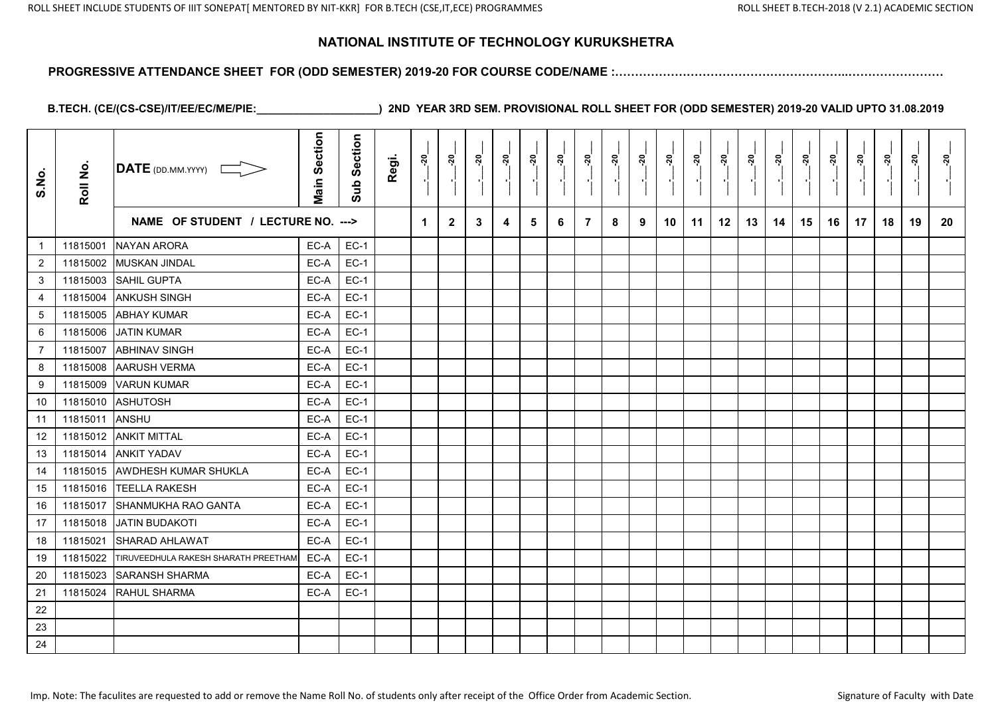#### **PROGRESSIVE ATTENDANCE SHEET FOR (ODD SEMESTER) 2019-20 FOR COURSE CODE/NAME :…………………………………………………..……………………**

| S.No.          | Roll No. | DATE (DD.MM.YYYY)                    | Section<br>Main | <b>Section</b><br>Sub | Regi. | ៷           | <u>័រ</u>      | <u>នុ</u>   | <u>.50</u> | នុ | <u>នុ</u><br>- 11 | ្ពុ | <u>នុ</u> | នុ | <u>នុ</u> | <u>នុ</u> | ៷  | នុ | នុ | <u>នុ</u> | នុ | <u>នុ</u><br>$\blacksquare$ | នុ | <u>នុ</u> | នុ |
|----------------|----------|--------------------------------------|-----------------|-----------------------|-------|-------------|----------------|-------------|------------|----|-------------------|-----|-----------|----|-----------|-----------|----|----|----|-----------|----|-----------------------------|----|-----------|----|
|                |          | NAME OF STUDENT / LECTURE NO. --->   |                 |                       |       | $\mathbf 1$ | $\overline{2}$ | $3^{\circ}$ | 4          | 5  | 6                 | 7   | 8         | 9  | 10        | 11        | 12 | 13 | 14 | 15        | 16 | 17                          | 18 | 19        | 20 |
| $\overline{1}$ | 11815001 | <b>NAYAN ARORA</b>                   | EC-A            | $EC-1$                |       |             |                |             |            |    |                   |     |           |    |           |           |    |    |    |           |    |                             |    |           |    |
| $\overline{2}$ | 11815002 | <b>MUSKAN JINDAL</b>                 | EC-A            | $EC-1$                |       |             |                |             |            |    |                   |     |           |    |           |           |    |    |    |           |    |                             |    |           |    |
| 3              | 11815003 | <b>SAHIL GUPTA</b>                   | EC-A            | $EC-1$                |       |             |                |             |            |    |                   |     |           |    |           |           |    |    |    |           |    |                             |    |           |    |
| $\overline{4}$ | 11815004 | <b>ANKUSH SINGH</b>                  | EC-A            | $EC-1$                |       |             |                |             |            |    |                   |     |           |    |           |           |    |    |    |           |    |                             |    |           |    |
| 5              | 11815005 | <b>ABHAY KUMAR</b>                   | EC-A            | $EC-1$                |       |             |                |             |            |    |                   |     |           |    |           |           |    |    |    |           |    |                             |    |           |    |
| 6              | 11815006 | <b>JATIN KUMAR</b>                   | EC-A            | $EC-1$                |       |             |                |             |            |    |                   |     |           |    |           |           |    |    |    |           |    |                             |    |           |    |
| $\overline{7}$ | 11815007 | <b>ABHINAV SINGH</b>                 | EC-A            | $EC-1$                |       |             |                |             |            |    |                   |     |           |    |           |           |    |    |    |           |    |                             |    |           |    |
| 8              | 11815008 | <b>AARUSH VERMA</b>                  | EC-A            | $EC-1$                |       |             |                |             |            |    |                   |     |           |    |           |           |    |    |    |           |    |                             |    |           |    |
| 9              | 11815009 | <b>VARUN KUMAR</b>                   | EC-A            | $EC-1$                |       |             |                |             |            |    |                   |     |           |    |           |           |    |    |    |           |    |                             |    |           |    |
| 10             | 11815010 | <b>ASHUTOSH</b>                      | EC-A            | $EC-1$                |       |             |                |             |            |    |                   |     |           |    |           |           |    |    |    |           |    |                             |    |           |    |
| 11             | 11815011 | <b>ANSHU</b>                         | EC-A            | $EC-1$                |       |             |                |             |            |    |                   |     |           |    |           |           |    |    |    |           |    |                             |    |           |    |
| 12             | 11815012 | <b>ANKIT MITTAL</b>                  | EC-A            | $EC-1$                |       |             |                |             |            |    |                   |     |           |    |           |           |    |    |    |           |    |                             |    |           |    |
| 13             | 11815014 | <b>ANKIT YADAV</b>                   | EC-A            | $EC-1$                |       |             |                |             |            |    |                   |     |           |    |           |           |    |    |    |           |    |                             |    |           |    |
| 14             | 11815015 | <b>AWDHESH KUMAR SHUKLA</b>          | EC-A            | $EC-1$                |       |             |                |             |            |    |                   |     |           |    |           |           |    |    |    |           |    |                             |    |           |    |
| 15             | 11815016 | <b>TEELLA RAKESH</b>                 | EC-A            | $EC-1$                |       |             |                |             |            |    |                   |     |           |    |           |           |    |    |    |           |    |                             |    |           |    |
| 16             | 11815017 | SHANMUKHA RAO GANTA                  | EC-A            | $EC-1$                |       |             |                |             |            |    |                   |     |           |    |           |           |    |    |    |           |    |                             |    |           |    |
| 17             | 11815018 | <b>JATIN BUDAKOTI</b>                | EC-A            | $EC-1$                |       |             |                |             |            |    |                   |     |           |    |           |           |    |    |    |           |    |                             |    |           |    |
| 18             | 11815021 | <b>SHARAD AHLAWAT</b>                | EC-A            | $EC-1$                |       |             |                |             |            |    |                   |     |           |    |           |           |    |    |    |           |    |                             |    |           |    |
| 19             | 11815022 | TIRUVEEDHULA RAKESH SHARATH PREETHAM | EC-A            | $EC-1$                |       |             |                |             |            |    |                   |     |           |    |           |           |    |    |    |           |    |                             |    |           |    |
| 20             | 11815023 | <b>SARANSH SHARMA</b>                | EC-A            | $EC-1$                |       |             |                |             |            |    |                   |     |           |    |           |           |    |    |    |           |    |                             |    |           |    |
| 21             | 11815024 | RAHUL SHARMA                         | EC-A            | $EC-1$                |       |             |                |             |            |    |                   |     |           |    |           |           |    |    |    |           |    |                             |    |           |    |
| 22             |          |                                      |                 |                       |       |             |                |             |            |    |                   |     |           |    |           |           |    |    |    |           |    |                             |    |           |    |
| 23             |          |                                      |                 |                       |       |             |                |             |            |    |                   |     |           |    |           |           |    |    |    |           |    |                             |    |           |    |
| 24             |          |                                      |                 |                       |       |             |                |             |            |    |                   |     |           |    |           |           |    |    |    |           |    |                             |    |           |    |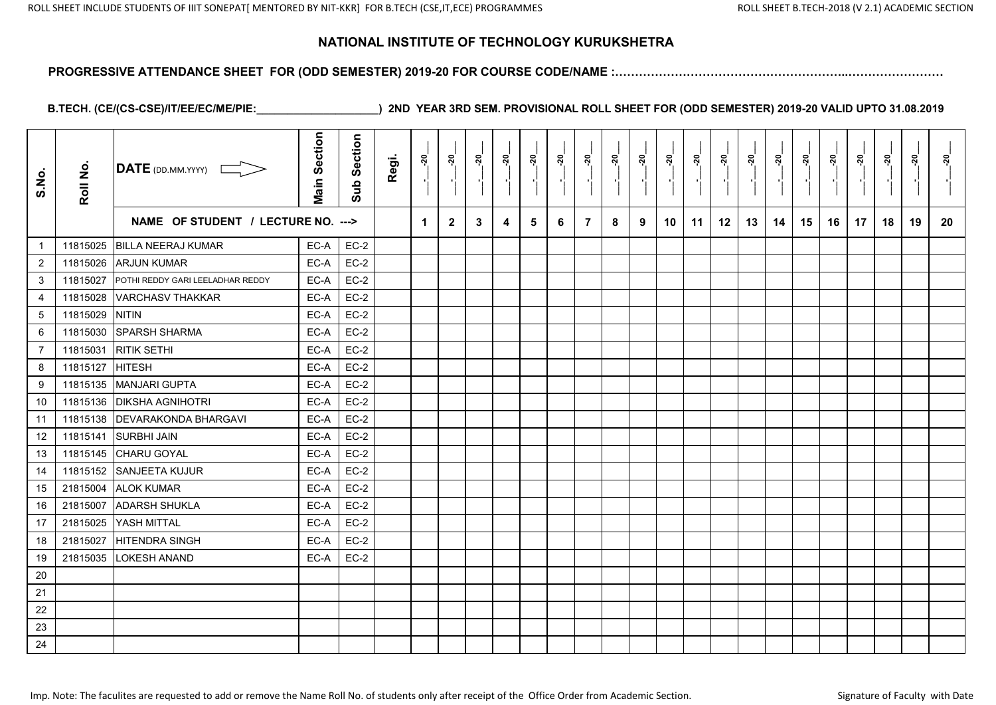#### **PROGRESSIVE ATTENDANCE SHEET FOR (ODD SEMESTER) 2019-20 FOR COURSE CODE/NAME :…………………………………………………..……………………**

| S.No.            | Roll No. | <b>DATE</b> (DD.MM.YYYY)           | <b>Main Section</b> | Section<br>Sub | Regi. | <u>ុរ</u> | នុ           | <u>នុ</u> | ្ពុ | ្កុ | ៷៓ | ្គុ            | នុ<br>$\blacksquare$ | <u>នុ</u> | ៷៓ | ្តុ<br>$\blacksquare$ | នុ៎ | <u> ຊ</u> | នុ | <u>នុ</u> | <u>នុ</u> | <u>នុ</u><br>$\blacksquare$ | នុ | <u>នុ</u> | <u>នុ</u> |
|------------------|----------|------------------------------------|---------------------|----------------|-------|-----------|--------------|-----------|-----|-----|----|----------------|----------------------|-----------|----|-----------------------|-----|-----------|----|-----------|-----------|-----------------------------|----|-----------|-----------|
|                  |          | NAME OF STUDENT / LECTURE NO. ---> |                     |                |       | 1         | $\mathbf{2}$ | 3         | 4   | 5   | 6  | $\overline{7}$ | 8                    | 9         | 10 | 11                    | 12  | 13        | 14 | 15        | 16        | 17                          | 18 | 19        | 20        |
| $\overline{1}$   | 11815025 | <b>BILLA NEERAJ KUMAR</b>          | EC-A                | $EC-2$         |       |           |              |           |     |     |    |                |                      |           |    |                       |     |           |    |           |           |                             |    |           |           |
| $\overline{c}$   | 11815026 | <b>ARJUN KUMAR</b>                 | EC-A                | $EC-2$         |       |           |              |           |     |     |    |                |                      |           |    |                       |     |           |    |           |           |                             |    |           |           |
| 3                | 11815027 | POTHI REDDY GARI LEELADHAR REDDY   | EC-A                | $EC-2$         |       |           |              |           |     |     |    |                |                      |           |    |                       |     |           |    |           |           |                             |    |           |           |
| $\overline{4}$   | 11815028 | <b>VARCHASV THAKKAR</b>            | EC-A                | $EC-2$         |       |           |              |           |     |     |    |                |                      |           |    |                       |     |           |    |           |           |                             |    |           |           |
| $\sqrt{5}$       | 11815029 | <b>NITIN</b>                       | EC-A                | $EC-2$         |       |           |              |           |     |     |    |                |                      |           |    |                       |     |           |    |           |           |                             |    |           |           |
| $\,6\,$          | 11815030 | <b>SPARSH SHARMA</b>               | EC-A                | $EC-2$         |       |           |              |           |     |     |    |                |                      |           |    |                       |     |           |    |           |           |                             |    |           |           |
| $\overline{7}$   | 11815031 | <b>RITIK SETHI</b>                 | EC-A                | $EC-2$         |       |           |              |           |     |     |    |                |                      |           |    |                       |     |           |    |           |           |                             |    |           |           |
| 8                | 11815127 | <b>HITESH</b>                      | EC-A                | $EC-2$         |       |           |              |           |     |     |    |                |                      |           |    |                       |     |           |    |           |           |                             |    |           |           |
| $\boldsymbol{9}$ | 11815135 | <b>MANJARI GUPTA</b>               | EC-A                | $EC-2$         |       |           |              |           |     |     |    |                |                      |           |    |                       |     |           |    |           |           |                             |    |           |           |
| 10               | 11815136 | <b>DIKSHA AGNIHOTRI</b>            | EC-A                | $EC-2$         |       |           |              |           |     |     |    |                |                      |           |    |                       |     |           |    |           |           |                             |    |           |           |
| 11               | 11815138 | <b>DEVARAKONDA BHARGAVI</b>        | EC-A                | $EC-2$         |       |           |              |           |     |     |    |                |                      |           |    |                       |     |           |    |           |           |                             |    |           |           |
| 12               | 11815141 | <b>SURBHI JAIN</b>                 | EC-A                | $EC-2$         |       |           |              |           |     |     |    |                |                      |           |    |                       |     |           |    |           |           |                             |    |           |           |
| 13               | 11815145 | <b>CHARU GOYAL</b>                 | EC-A                | $EC-2$         |       |           |              |           |     |     |    |                |                      |           |    |                       |     |           |    |           |           |                             |    |           |           |
| 14               | 11815152 | <b>SANJEETA KUJUR</b>              | EC-A                | $EC-2$         |       |           |              |           |     |     |    |                |                      |           |    |                       |     |           |    |           |           |                             |    |           |           |
| 15               | 21815004 | <b>ALOK KUMAR</b>                  | EC-A                | $EC-2$         |       |           |              |           |     |     |    |                |                      |           |    |                       |     |           |    |           |           |                             |    |           |           |
| 16               | 21815007 | <b>ADARSH SHUKLA</b>               | EC-A                | $EC-2$         |       |           |              |           |     |     |    |                |                      |           |    |                       |     |           |    |           |           |                             |    |           |           |
| 17               | 21815025 | YASH MITTAL                        | EC-A                | $EC-2$         |       |           |              |           |     |     |    |                |                      |           |    |                       |     |           |    |           |           |                             |    |           |           |
| 18               | 21815027 | <b>HITENDRA SINGH</b>              | EC-A                | $EC-2$         |       |           |              |           |     |     |    |                |                      |           |    |                       |     |           |    |           |           |                             |    |           |           |
| 19               | 21815035 | <b>LOKESH ANAND</b>                | EC-A                | $EC-2$         |       |           |              |           |     |     |    |                |                      |           |    |                       |     |           |    |           |           |                             |    |           |           |
| 20               |          |                                    |                     |                |       |           |              |           |     |     |    |                |                      |           |    |                       |     |           |    |           |           |                             |    |           |           |
| 21               |          |                                    |                     |                |       |           |              |           |     |     |    |                |                      |           |    |                       |     |           |    |           |           |                             |    |           |           |
| 22               |          |                                    |                     |                |       |           |              |           |     |     |    |                |                      |           |    |                       |     |           |    |           |           |                             |    |           |           |
| 23               |          |                                    |                     |                |       |           |              |           |     |     |    |                |                      |           |    |                       |     |           |    |           |           |                             |    |           |           |
| 24               |          |                                    |                     |                |       |           |              |           |     |     |    |                |                      |           |    |                       |     |           |    |           |           |                             |    |           |           |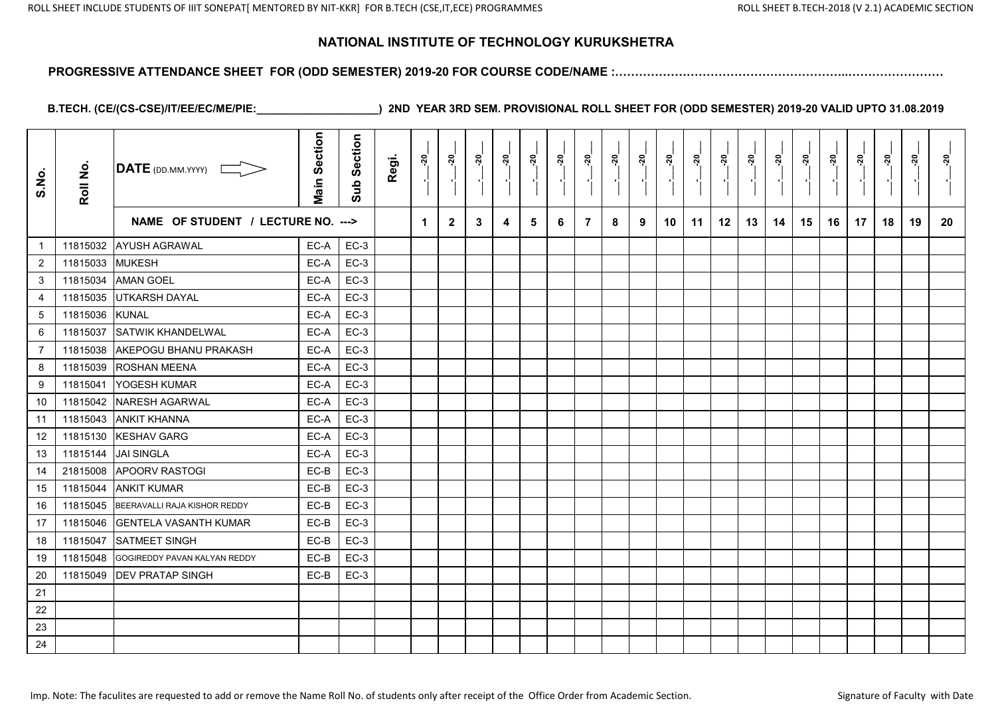#### **PROGRESSIVE ATTENDANCE SHEET FOR (ODD SEMESTER) 2019-20 FOR COURSE CODE/NAME :…………………………………………………..……………………**

| S.No.          | Roll No. | $\overline{\mathsf{DATE}}$ (DD.MM.YYYY) | <b>Main Section</b> | Section<br>Sub | Regi. | $\frac{5}{2}$ | នុ           | <u>នុ</u> | <u>នុ</u> | ្កុ | <u>នុ</u> | ្គុ            | នុ<br>$\blacksquare$ | <u>នុ</u> | នុ៎ | ្លុ<br>$\blacksquare$ | នុ៎ | <u>នុ</u> | នុ | ៷៓ | <u>នុ</u> | <u>នុ</u><br>$\blacksquare$ | នុ | <u>នុ</u> | នុ |
|----------------|----------|-----------------------------------------|---------------------|----------------|-------|---------------|--------------|-----------|-----------|-----|-----------|----------------|----------------------|-----------|-----|-----------------------|-----|-----------|----|----|-----------|-----------------------------|----|-----------|----|
|                |          | NAME OF STUDENT / LECTURE NO. --->      |                     |                |       | 1             | $\mathbf{2}$ | 3         | 4         | 5   | 6         | $\overline{7}$ | 8                    | 9         | 10  | 11                    | 12  | 13        | 14 | 15 | 16        | 17                          | 18 | 19        | 20 |
| $\mathbf{1}$   | 11815032 | AYUSH AGRAWAL                           | EC-A                | $EC-3$         |       |               |              |           |           |     |           |                |                      |           |     |                       |     |           |    |    |           |                             |    |           |    |
| $\overline{2}$ | 11815033 | <b>MUKESH</b>                           | EC-A                | $EC-3$         |       |               |              |           |           |     |           |                |                      |           |     |                       |     |           |    |    |           |                             |    |           |    |
| 3              | 11815034 | <b>AMAN GOEL</b>                        | EC-A                | $EC-3$         |       |               |              |           |           |     |           |                |                      |           |     |                       |     |           |    |    |           |                             |    |           |    |
| 4              | 11815035 | UTKARSH DAYAL                           | EC-A                | $EC-3$         |       |               |              |           |           |     |           |                |                      |           |     |                       |     |           |    |    |           |                             |    |           |    |
| $\sqrt{5}$     | 11815036 | <b>KUNAL</b>                            | EC-A                | $EC-3$         |       |               |              |           |           |     |           |                |                      |           |     |                       |     |           |    |    |           |                             |    |           |    |
| 6              | 11815037 | SATWIK KHANDELWAL                       | EC-A                | $EC-3$         |       |               |              |           |           |     |           |                |                      |           |     |                       |     |           |    |    |           |                             |    |           |    |
| $\overline{7}$ | 11815038 | <b>AKEPOGU BHANU PRAKASH</b>            | EC-A                | $EC-3$         |       |               |              |           |           |     |           |                |                      |           |     |                       |     |           |    |    |           |                             |    |           |    |
| 8              | 11815039 | <b>ROSHAN MEENA</b>                     | EC-A                | $EC-3$         |       |               |              |           |           |     |           |                |                      |           |     |                       |     |           |    |    |           |                             |    |           |    |
| 9              | 11815041 | <b>YOGESH KUMAR</b>                     | EC-A                | $EC-3$         |       |               |              |           |           |     |           |                |                      |           |     |                       |     |           |    |    |           |                             |    |           |    |
| 10             | 11815042 | NARESH AGARWAL                          | EC-A                | $EC-3$         |       |               |              |           |           |     |           |                |                      |           |     |                       |     |           |    |    |           |                             |    |           |    |
| 11             | 11815043 | <b>ANKIT KHANNA</b>                     | EC-A                | $EC-3$         |       |               |              |           |           |     |           |                |                      |           |     |                       |     |           |    |    |           |                             |    |           |    |
| 12             | 11815130 | <b>KESHAV GARG</b>                      | EC-A                | $EC-3$         |       |               |              |           |           |     |           |                |                      |           |     |                       |     |           |    |    |           |                             |    |           |    |
| 13             | 11815144 | <b>JAI SINGLA</b>                       | EC-A                | $EC-3$         |       |               |              |           |           |     |           |                |                      |           |     |                       |     |           |    |    |           |                             |    |           |    |
| 14             | 21815008 | <b>APOORV RASTOGI</b>                   | EC-B                | $EC-3$         |       |               |              |           |           |     |           |                |                      |           |     |                       |     |           |    |    |           |                             |    |           |    |
| 15             | 11815044 | <b>ANKIT KUMAR</b>                      | EC-B                | $EC-3$         |       |               |              |           |           |     |           |                |                      |           |     |                       |     |           |    |    |           |                             |    |           |    |
| 16             | 11815045 | BEERAVALLI RAJA KISHOR REDDY            | EC-B                | $EC-3$         |       |               |              |           |           |     |           |                |                      |           |     |                       |     |           |    |    |           |                             |    |           |    |
| 17             | 11815046 | <b>IGENTELA VASANTH KUMAR</b>           | EC-B                | $EC-3$         |       |               |              |           |           |     |           |                |                      |           |     |                       |     |           |    |    |           |                             |    |           |    |
| 18             | 11815047 | <b>SATMEET SINGH</b>                    | EC-B                | $EC-3$         |       |               |              |           |           |     |           |                |                      |           |     |                       |     |           |    |    |           |                             |    |           |    |
| 19             | 11815048 | GOGIREDDY PAVAN KALYAN REDDY            | EC-B                | $EC-3$         |       |               |              |           |           |     |           |                |                      |           |     |                       |     |           |    |    |           |                             |    |           |    |
| $20\,$         | 11815049 | <b>DEV PRATAP SINGH</b>                 | EC-B                | $EC-3$         |       |               |              |           |           |     |           |                |                      |           |     |                       |     |           |    |    |           |                             |    |           |    |
| 21             |          |                                         |                     |                |       |               |              |           |           |     |           |                |                      |           |     |                       |     |           |    |    |           |                             |    |           |    |
| 22             |          |                                         |                     |                |       |               |              |           |           |     |           |                |                      |           |     |                       |     |           |    |    |           |                             |    |           |    |
| 23             |          |                                         |                     |                |       |               |              |           |           |     |           |                |                      |           |     |                       |     |           |    |    |           |                             |    |           |    |
| 24             |          |                                         |                     |                |       |               |              |           |           |     |           |                |                      |           |     |                       |     |           |    |    |           |                             |    |           |    |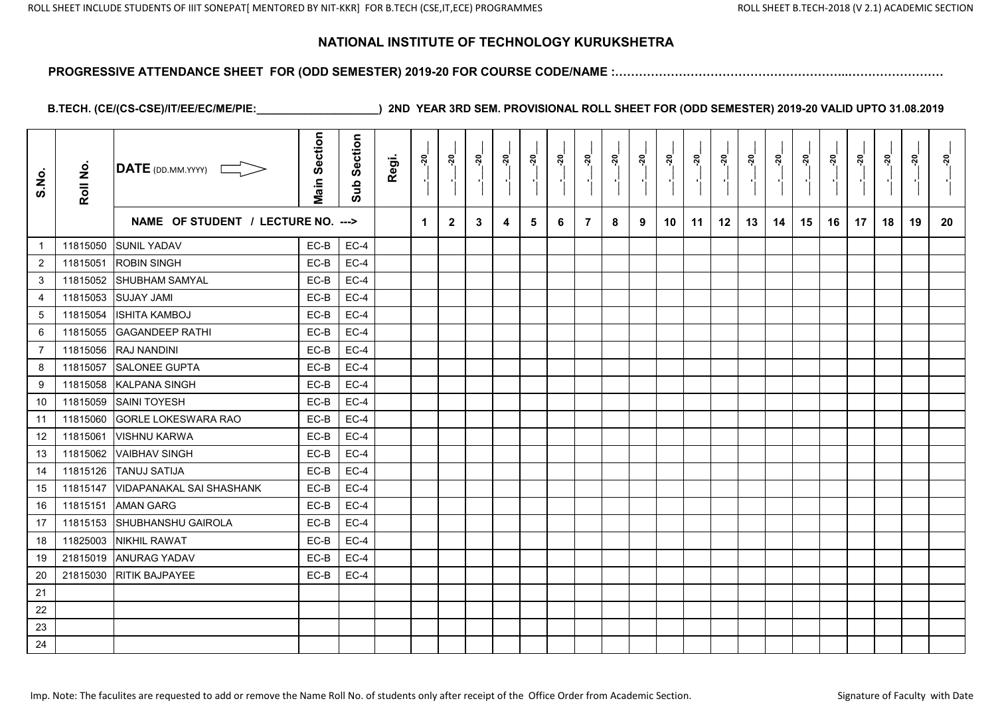#### **PROGRESSIVE ATTENDANCE SHEET FOR (ODD SEMESTER) 2019-20 FOR COURSE CODE/NAME :…………………………………………………..……………………**

| S.No.            | Roll No. | $\overline{\mathsf{DATE}}$ (DD.MM.YYYY) | <b>Main Section</b> | Section<br>Sub | Regi. | $\frac{5}{2}$ | នុ           | <u>នុ</u> | <u>នុ</u> | ្គុ | <u>នុ</u> | ្គុ            | នុ<br>$\blacksquare$ | ៷៓ | នុ៎ | ្លុ<br>$\blacksquare$ | នុ៎ | <u>នុ</u> | នុ | ៷៓ | <u>នុ</u> | <u>នុ</u><br>$\blacksquare$ | នុ | <u>នុ</u> | នុ |
|------------------|----------|-----------------------------------------|---------------------|----------------|-------|---------------|--------------|-----------|-----------|-----|-----------|----------------|----------------------|----|-----|-----------------------|-----|-----------|----|----|-----------|-----------------------------|----|-----------|----|
|                  |          | NAME OF STUDENT / LECTURE NO. --->      |                     |                |       | 1             | $\mathbf{2}$ | 3         | 4         | 5   | 6         | $\overline{7}$ | 8                    | 9  | 10  | 11                    | 12  | 13        | 14 | 15 | 16        | 17                          | 18 | 19        | 20 |
| $\mathbf{1}$     | 11815050 | <b>SUNIL YADAV</b>                      | EC-B                | $EC-4$         |       |               |              |           |           |     |           |                |                      |    |     |                       |     |           |    |    |           |                             |    |           |    |
| $\overline{2}$   | 11815051 | <b>ROBIN SINGH</b>                      | EC-B                | $EC-4$         |       |               |              |           |           |     |           |                |                      |    |     |                       |     |           |    |    |           |                             |    |           |    |
| 3                | 11815052 | SHUBHAM SAMYAL                          | EC-B                | $EC-4$         |       |               |              |           |           |     |           |                |                      |    |     |                       |     |           |    |    |           |                             |    |           |    |
| $\overline{4}$   | 11815053 | <b>SUJAY JAMI</b>                       | EC-B                | $EC-4$         |       |               |              |           |           |     |           |                |                      |    |     |                       |     |           |    |    |           |                             |    |           |    |
| $\sqrt{5}$       | 11815054 | <b>ISHITA KAMBOJ</b>                    | EC-B                | $EC-4$         |       |               |              |           |           |     |           |                |                      |    |     |                       |     |           |    |    |           |                             |    |           |    |
| 6                | 11815055 | <b>GAGANDEEP RATHI</b>                  | EC-B                | $EC-4$         |       |               |              |           |           |     |           |                |                      |    |     |                       |     |           |    |    |           |                             |    |           |    |
| $\overline{7}$   | 11815056 | <b>RAJ NANDINI</b>                      | EC-B                | $EC-4$         |       |               |              |           |           |     |           |                |                      |    |     |                       |     |           |    |    |           |                             |    |           |    |
| 8                | 11815057 | SALONEE GUPTA                           | EC-B                | $EC-4$         |       |               |              |           |           |     |           |                |                      |    |     |                       |     |           |    |    |           |                             |    |           |    |
| $\boldsymbol{9}$ | 11815058 | <b>KALPANA SINGH</b>                    | EC-B                | $EC-4$         |       |               |              |           |           |     |           |                |                      |    |     |                       |     |           |    |    |           |                             |    |           |    |
| 10               | 11815059 | <b>SAINI TOYESH</b>                     | EC-B                | $EC-4$         |       |               |              |           |           |     |           |                |                      |    |     |                       |     |           |    |    |           |                             |    |           |    |
| 11               | 11815060 | <b>GORLE LOKESWARA RAO</b>              | EC-B                | $EC-4$         |       |               |              |           |           |     |           |                |                      |    |     |                       |     |           |    |    |           |                             |    |           |    |
| 12               | 11815061 | <b>VISHNU KARWA</b>                     | EC-B                | $EC-4$         |       |               |              |           |           |     |           |                |                      |    |     |                       |     |           |    |    |           |                             |    |           |    |
| 13               | 11815062 | <b>VAIBHAV SINGH</b>                    | EC-B                | $EC-4$         |       |               |              |           |           |     |           |                |                      |    |     |                       |     |           |    |    |           |                             |    |           |    |
| 14               | 11815126 | <b>TANUJ SATIJA</b>                     | EC-B                | $EC-4$         |       |               |              |           |           |     |           |                |                      |    |     |                       |     |           |    |    |           |                             |    |           |    |
| 15               | 11815147 | <b>VIDAPANAKAL SAI SHASHANK</b>         | EC-B                | $EC-4$         |       |               |              |           |           |     |           |                |                      |    |     |                       |     |           |    |    |           |                             |    |           |    |
| 16               | 11815151 | <b>AMAN GARG</b>                        | EC-B                | $EC-4$         |       |               |              |           |           |     |           |                |                      |    |     |                       |     |           |    |    |           |                             |    |           |    |
| 17               | 11815153 | <b>SHUBHANSHU GAIROLA</b>               | EC-B                | $EC-4$         |       |               |              |           |           |     |           |                |                      |    |     |                       |     |           |    |    |           |                             |    |           |    |
| 18               | 11825003 | <b>NIKHIL RAWAT</b>                     | EC-B                | $EC-4$         |       |               |              |           |           |     |           |                |                      |    |     |                       |     |           |    |    |           |                             |    |           |    |
| 19               |          | 21815019 ANURAG YADAV                   | EC-B                | $EC-4$         |       |               |              |           |           |     |           |                |                      |    |     |                       |     |           |    |    |           |                             |    |           |    |
| $20\,$           | 21815030 | <b>RITIK BAJPAYEE</b>                   | EC-B                | $EC-4$         |       |               |              |           |           |     |           |                |                      |    |     |                       |     |           |    |    |           |                             |    |           |    |
| 21               |          |                                         |                     |                |       |               |              |           |           |     |           |                |                      |    |     |                       |     |           |    |    |           |                             |    |           |    |
| 22               |          |                                         |                     |                |       |               |              |           |           |     |           |                |                      |    |     |                       |     |           |    |    |           |                             |    |           |    |
| 23               |          |                                         |                     |                |       |               |              |           |           |     |           |                |                      |    |     |                       |     |           |    |    |           |                             |    |           |    |
| 24               |          |                                         |                     |                |       |               |              |           |           |     |           |                |                      |    |     |                       |     |           |    |    |           |                             |    |           |    |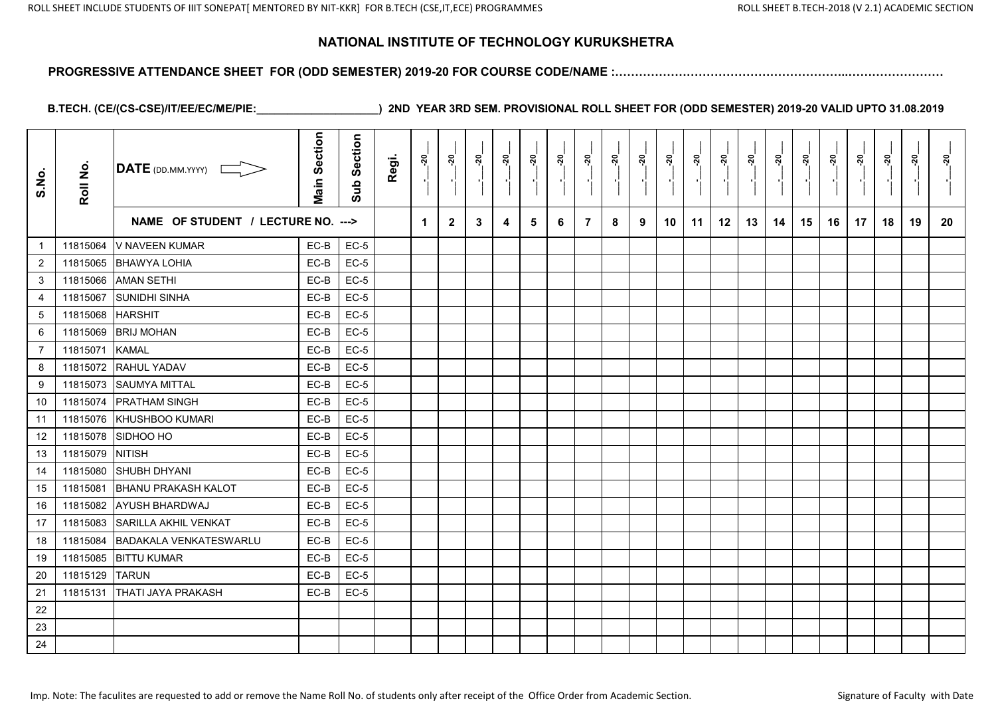#### **PROGRESSIVE ATTENDANCE SHEET FOR (ODD SEMESTER) 2019-20 FOR COURSE CODE/NAME :…………………………………………………..……………………**

| S.No.          | Roll No. | $\overline{\mathsf{DATE}}$ (DD.MM.YYYY) | <b>Main Section</b> | Section<br>Sub | Regi. | នុ                   | <u>នុ</u>    | នុ | <u>័រ</u> | ៷ | <u>នុ</u> | <u>នុ</u>      | នុ | ៷៓ | នុ | ្ពុ | នុ | <u>នុ</u> | នុ | ៷៓ | <u>នុ</u> | <u>នុ</u><br>$\blacksquare$ | នុ | <u>នុ</u> | នុ |
|----------------|----------|-----------------------------------------|---------------------|----------------|-------|----------------------|--------------|----|-----------|---|-----------|----------------|----|----|----|-----|----|-----------|----|----|-----------|-----------------------------|----|-----------|----|
|                |          | NAME OF STUDENT / LECTURE NO. --->      |                     |                |       | $\blacktriangleleft$ | $\mathbf{2}$ | 3  | 4         | 5 | 6         | $\overline{7}$ | 8  | 9  | 10 | 11  | 12 | 13        | 14 | 15 | 16        | 17                          | 18 | 19        | 20 |
| $\overline{1}$ | 11815064 | V NAVEEN KUMAR                          | EC-B                | $EC-5$         |       |                      |              |    |           |   |           |                |    |    |    |     |    |           |    |    |           |                             |    |           |    |
| $\overline{2}$ | 11815065 | <b>BHAWYA LOHIA</b>                     | EC-B                | $EC-5$         |       |                      |              |    |           |   |           |                |    |    |    |     |    |           |    |    |           |                             |    |           |    |
| 3              | 11815066 | <b>AMAN SETHI</b>                       | EC-B                | $EC-5$         |       |                      |              |    |           |   |           |                |    |    |    |     |    |           |    |    |           |                             |    |           |    |
| 4              | 11815067 | <b>SUNIDHI SINHA</b>                    | EC-B                | $EC-5$         |       |                      |              |    |           |   |           |                |    |    |    |     |    |           |    |    |           |                             |    |           |    |
| 5              | 11815068 | <b>HARSHIT</b>                          | EC-B                | $EC-5$         |       |                      |              |    |           |   |           |                |    |    |    |     |    |           |    |    |           |                             |    |           |    |
| 6              | 11815069 | <b>BRIJ MOHAN</b>                       | EC-B                | $EC-5$         |       |                      |              |    |           |   |           |                |    |    |    |     |    |           |    |    |           |                             |    |           |    |
| 7              | 11815071 | <b>KAMAL</b>                            | EC-B                | $EC-5$         |       |                      |              |    |           |   |           |                |    |    |    |     |    |           |    |    |           |                             |    |           |    |
| 8              | 11815072 | <b>RAHUL YADAV</b>                      | EC-B                | $EC-5$         |       |                      |              |    |           |   |           |                |    |    |    |     |    |           |    |    |           |                             |    |           |    |
| 9              | 11815073 | <b>SAUMYA MITTAL</b>                    | EC-B                | $EC-5$         |       |                      |              |    |           |   |           |                |    |    |    |     |    |           |    |    |           |                             |    |           |    |
| 10             | 11815074 | <b>IPRATHAM SINGH</b>                   | EC-B                | $EC-5$         |       |                      |              |    |           |   |           |                |    |    |    |     |    |           |    |    |           |                             |    |           |    |
| 11             | 11815076 | KHUSHBOO KUMARI                         | EC-B                | $EC-5$         |       |                      |              |    |           |   |           |                |    |    |    |     |    |           |    |    |           |                             |    |           |    |
| 12             | 11815078 | <b>SIDHOO HO</b>                        | EC-B                | $EC-5$         |       |                      |              |    |           |   |           |                |    |    |    |     |    |           |    |    |           |                             |    |           |    |
| 13             | 11815079 | <b>NITISH</b>                           | EC-B                | $EC-5$         |       |                      |              |    |           |   |           |                |    |    |    |     |    |           |    |    |           |                             |    |           |    |
| 14             | 11815080 | <b>SHUBH DHYANI</b>                     | EC-B                | $EC-5$         |       |                      |              |    |           |   |           |                |    |    |    |     |    |           |    |    |           |                             |    |           |    |
| 15             | 11815081 | <b>BHANU PRAKASH KALOT</b>              | EC-B                | $EC-5$         |       |                      |              |    |           |   |           |                |    |    |    |     |    |           |    |    |           |                             |    |           |    |
| 16             | 11815082 | <b>AYUSH BHARDWAJ</b>                   | EC-B                | $EC-5$         |       |                      |              |    |           |   |           |                |    |    |    |     |    |           |    |    |           |                             |    |           |    |
| 17             | 11815083 | <b>SARILLA AKHIL VENKAT</b>             | EC-B                | $EC-5$         |       |                      |              |    |           |   |           |                |    |    |    |     |    |           |    |    |           |                             |    |           |    |
| 18             | 11815084 | <b>BADAKALA VENKATESWARLU</b>           | EC-B                | $EC-5$         |       |                      |              |    |           |   |           |                |    |    |    |     |    |           |    |    |           |                             |    |           |    |
| 19             | 11815085 | <b>BITTU KUMAR</b>                      | EC-B                | $EC-5$         |       |                      |              |    |           |   |           |                |    |    |    |     |    |           |    |    |           |                             |    |           |    |
| 20             | 11815129 | <b>TARUN</b>                            | EC-B                | $EC-5$         |       |                      |              |    |           |   |           |                |    |    |    |     |    |           |    |    |           |                             |    |           |    |
| 21             | 11815131 | <b>THATI JAYA PRAKASH</b>               | EC-B                | $EC-5$         |       |                      |              |    |           |   |           |                |    |    |    |     |    |           |    |    |           |                             |    |           |    |
| 22             |          |                                         |                     |                |       |                      |              |    |           |   |           |                |    |    |    |     |    |           |    |    |           |                             |    |           |    |
| 23             |          |                                         |                     |                |       |                      |              |    |           |   |           |                |    |    |    |     |    |           |    |    |           |                             |    |           |    |
| 24             |          |                                         |                     |                |       |                      |              |    |           |   |           |                |    |    |    |     |    |           |    |    |           |                             |    |           |    |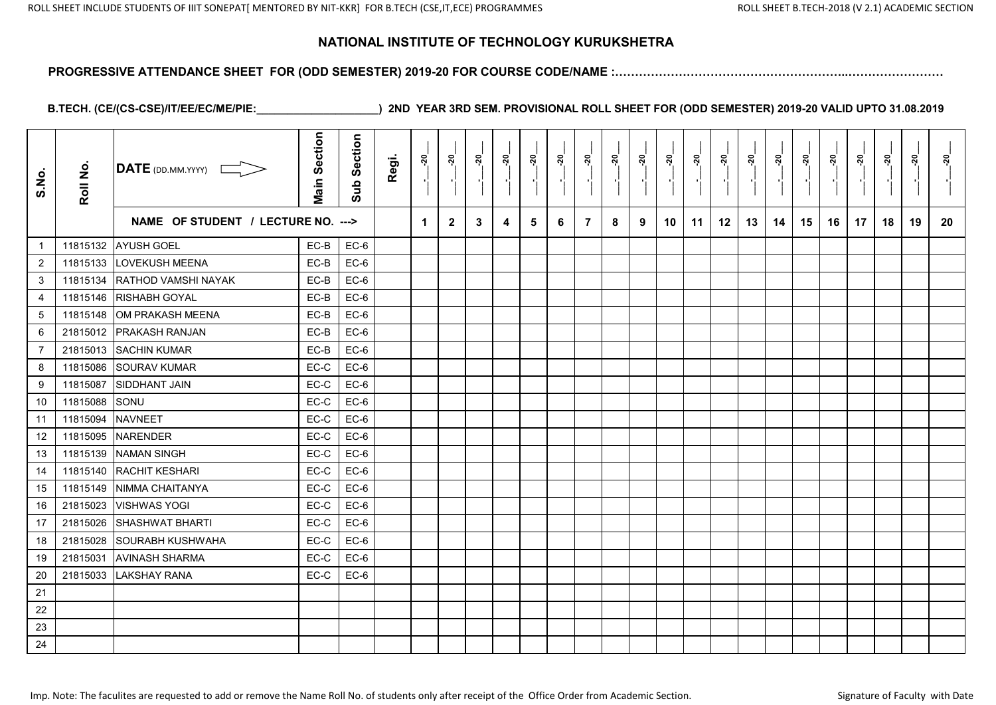#### **PROGRESSIVE ATTENDANCE SHEET FOR (ODD SEMESTER) 2019-20 FOR COURSE CODE/NAME :…………………………………………………..……………………**

| S.No.            | Roll No. | $\overline{\text{DATE}}$ (DD.MM.YYYY) | <b>Main Section</b> | Section<br>Sub | Regi. | $\frac{5}{2}$ | នុ           | <u>នុ</u> | <u>នុ</u> | ្កុ | <u>នុ</u> | ្គុ            | នុ<br>$\blacksquare$ | <u>នុ</u> | នុ៎ | ្លុ<br>$\blacksquare$ | នុ៎ | <u>នុ</u> | នុ | ៷៓ | <u> 20</u> | <u>នុ</u><br>$\blacksquare$ | នុ | <u>នុ</u> | នុ |
|------------------|----------|---------------------------------------|---------------------|----------------|-------|---------------|--------------|-----------|-----------|-----|-----------|----------------|----------------------|-----------|-----|-----------------------|-----|-----------|----|----|------------|-----------------------------|----|-----------|----|
|                  |          | NAME OF STUDENT / LECTURE NO. --->    |                     |                |       | 1             | $\mathbf{2}$ | 3         | 4         | 5   | 6         | $\overline{7}$ | 8                    | 9         | 10  | 11                    | 12  | 13        | 14 | 15 | 16         | 17                          | 18 | 19        | 20 |
| $\mathbf{1}$     |          | 11815132 AYUSH GOEL                   | EC-B                | $EC-6$         |       |               |              |           |           |     |           |                |                      |           |     |                       |     |           |    |    |            |                             |    |           |    |
| $\overline{2}$   | 11815133 | <b>LOVEKUSH MEENA</b>                 | EC-B                | $EC-6$         |       |               |              |           |           |     |           |                |                      |           |     |                       |     |           |    |    |            |                             |    |           |    |
| 3                | 11815134 | RATHOD VAMSHI NAYAK                   | EC-B                | $EC-6$         |       |               |              |           |           |     |           |                |                      |           |     |                       |     |           |    |    |            |                             |    |           |    |
| $\overline{4}$   | 11815146 | <b>RISHABH GOYAL</b>                  | EC-B                | $EC-6$         |       |               |              |           |           |     |           |                |                      |           |     |                       |     |           |    |    |            |                             |    |           |    |
| $\sqrt{5}$       | 11815148 | OM PRAKASH MEENA                      | EC-B                | $EC-6$         |       |               |              |           |           |     |           |                |                      |           |     |                       |     |           |    |    |            |                             |    |           |    |
| 6                | 21815012 | <b>PRAKASH RANJAN</b>                 | EC-B                | $EC-6$         |       |               |              |           |           |     |           |                |                      |           |     |                       |     |           |    |    |            |                             |    |           |    |
| $\overline{7}$   | 21815013 | <b>SACHIN KUMAR</b>                   | EC-B                | $EC-6$         |       |               |              |           |           |     |           |                |                      |           |     |                       |     |           |    |    |            |                             |    |           |    |
| 8                | 11815086 | <b>SOURAV KUMAR</b>                   | EC-C                | $EC-6$         |       |               |              |           |           |     |           |                |                      |           |     |                       |     |           |    |    |            |                             |    |           |    |
| $\boldsymbol{9}$ | 11815087 | <b>SIDDHANT JAIN</b>                  | EC-C                | $EC-6$         |       |               |              |           |           |     |           |                |                      |           |     |                       |     |           |    |    |            |                             |    |           |    |
| 10               | 11815088 | <b>SONU</b>                           | EC-C                | $EC-6$         |       |               |              |           |           |     |           |                |                      |           |     |                       |     |           |    |    |            |                             |    |           |    |
| 11               | 11815094 | <b>NAVNEET</b>                        | EC-C                | $EC-6$         |       |               |              |           |           |     |           |                |                      |           |     |                       |     |           |    |    |            |                             |    |           |    |
| 12               | 11815095 | <b>NARENDER</b>                       | EC-C                | $EC-6$         |       |               |              |           |           |     |           |                |                      |           |     |                       |     |           |    |    |            |                             |    |           |    |
| 13               | 11815139 | <b>NAMAN SINGH</b>                    | EC-C                | $EC-6$         |       |               |              |           |           |     |           |                |                      |           |     |                       |     |           |    |    |            |                             |    |           |    |
| 14               | 11815140 | <b>RACHIT KESHARI</b>                 | EC-C                | $EC-6$         |       |               |              |           |           |     |           |                |                      |           |     |                       |     |           |    |    |            |                             |    |           |    |
| 15               | 11815149 | NIMMA CHAITANYA                       | EC-C                | $EC-6$         |       |               |              |           |           |     |           |                |                      |           |     |                       |     |           |    |    |            |                             |    |           |    |
| 16               | 21815023 | <b>VISHWAS YOGI</b>                   | EC-C                | $EC-6$         |       |               |              |           |           |     |           |                |                      |           |     |                       |     |           |    |    |            |                             |    |           |    |
| 17               | 21815026 | <b>SHASHWAT BHARTI</b>                | EC-C                | $EC-6$         |       |               |              |           |           |     |           |                |                      |           |     |                       |     |           |    |    |            |                             |    |           |    |
| 18               | 21815028 | SOURABH KUSHWAHA                      | EC-C                | $EC-6$         |       |               |              |           |           |     |           |                |                      |           |     |                       |     |           |    |    |            |                             |    |           |    |
| 19               | 21815031 | <b>AVINASH SHARMA</b>                 | EC-C                | $EC-6$         |       |               |              |           |           |     |           |                |                      |           |     |                       |     |           |    |    |            |                             |    |           |    |
| 20               | 21815033 | <b>LAKSHAY RANA</b>                   | EC-C                | $EC-6$         |       |               |              |           |           |     |           |                |                      |           |     |                       |     |           |    |    |            |                             |    |           |    |
| 21               |          |                                       |                     |                |       |               |              |           |           |     |           |                |                      |           |     |                       |     |           |    |    |            |                             |    |           |    |
| 22               |          |                                       |                     |                |       |               |              |           |           |     |           |                |                      |           |     |                       |     |           |    |    |            |                             |    |           |    |
| 23               |          |                                       |                     |                |       |               |              |           |           |     |           |                |                      |           |     |                       |     |           |    |    |            |                             |    |           |    |
| 24               |          |                                       |                     |                |       |               |              |           |           |     |           |                |                      |           |     |                       |     |           |    |    |            |                             |    |           |    |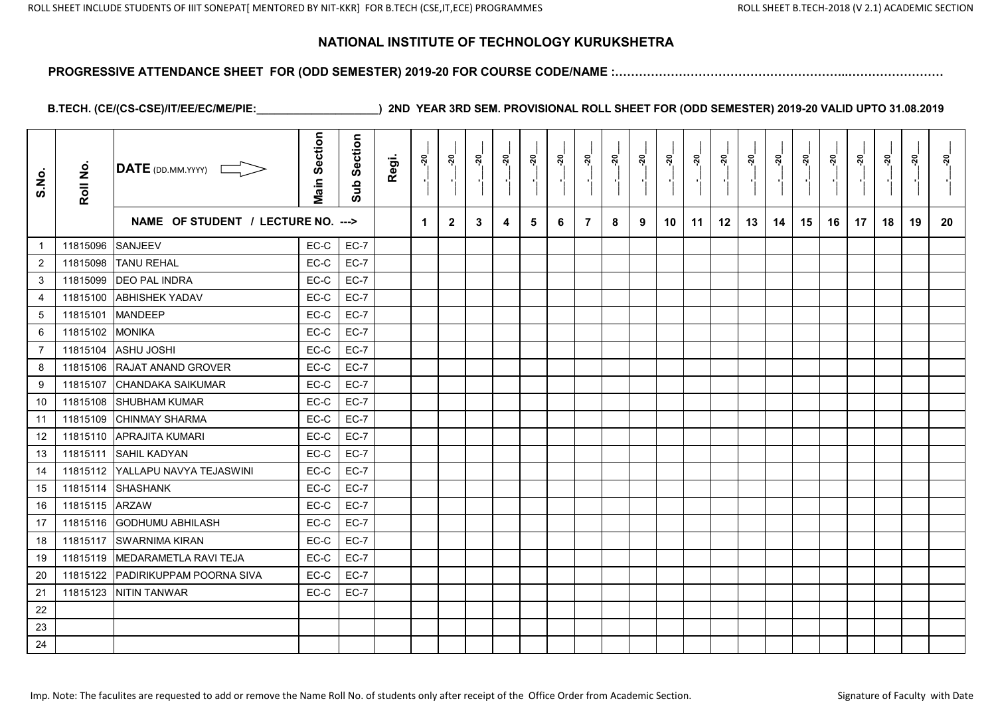#### **PROGRESSIVE ATTENDANCE SHEET FOR (ODD SEMESTER) 2019-20 FOR COURSE CODE/NAME :…………………………………………………..……………………**

| S.No.          | Roll No. | DATE (DD.MM.YYYY) [                | <b>Main Section</b> | Section<br>Sub | Regi. | នុ                   | <u>នុ</u>    | <u>នុ</u> | <u>័រ</u> | នុ | <u>នុ</u><br>$\blacksquare$ | <u>នុ</u>      | <u>នុ</u> | ៷៓ | នុ | ្ពុ | នុ<br>п, |    | នុ | ៷៓ | <u>នុ</u> | <u>នុ</u><br>$\blacksquare$ | នុ | <u>នុ</u> | នុ |
|----------------|----------|------------------------------------|---------------------|----------------|-------|----------------------|--------------|-----------|-----------|----|-----------------------------|----------------|-----------|----|----|-----|----------|----|----|----|-----------|-----------------------------|----|-----------|----|
|                |          | NAME OF STUDENT / LECTURE NO. ---> |                     |                |       | $\blacktriangleleft$ | $\mathbf{2}$ | 3         | 4         | 5  | 6                           | $\overline{7}$ | 8         | 9  | 10 | 11  | 12       | 13 | 14 | 15 | 16        | 17                          | 18 | 19        | 20 |
| $\overline{1}$ | 11815096 | SANJEEV                            | EC-C                | $EC-7$         |       |                      |              |           |           |    |                             |                |           |    |    |     |          |    |    |    |           |                             |    |           |    |
| $\overline{2}$ | 11815098 | <b>TANU REHAL</b>                  | EC-C                | $EC-7$         |       |                      |              |           |           |    |                             |                |           |    |    |     |          |    |    |    |           |                             |    |           |    |
| 3              | 11815099 | <b>DEO PAL INDRA</b>               | EC-C                | $EC-7$         |       |                      |              |           |           |    |                             |                |           |    |    |     |          |    |    |    |           |                             |    |           |    |
| 4              | 11815100 | <b>ABHISHEK YADAV</b>              | EC-C                | $EC-7$         |       |                      |              |           |           |    |                             |                |           |    |    |     |          |    |    |    |           |                             |    |           |    |
| 5              | 11815101 | <b>MANDEEP</b>                     | EC-C                | $EC-7$         |       |                      |              |           |           |    |                             |                |           |    |    |     |          |    |    |    |           |                             |    |           |    |
| 6              | 11815102 | <b>MONIKA</b>                      | EC-C                | $EC-7$         |       |                      |              |           |           |    |                             |                |           |    |    |     |          |    |    |    |           |                             |    |           |    |
| 7              | 11815104 | <b>ASHU JOSHI</b>                  | EC-C                | $EC-7$         |       |                      |              |           |           |    |                             |                |           |    |    |     |          |    |    |    |           |                             |    |           |    |
| 8              | 11815106 | <b>RAJAT ANAND GROVER</b>          | EC-C                | $EC-7$         |       |                      |              |           |           |    |                             |                |           |    |    |     |          |    |    |    |           |                             |    |           |    |
| 9              | 11815107 | <b>CHANDAKA SAIKUMAR</b>           | EC-C                | $EC-7$         |       |                      |              |           |           |    |                             |                |           |    |    |     |          |    |    |    |           |                             |    |           |    |
| 10             | 11815108 | <b>SHUBHAM KUMAR</b>               | EC-C                | $EC-7$         |       |                      |              |           |           |    |                             |                |           |    |    |     |          |    |    |    |           |                             |    |           |    |
| 11             | 11815109 | <b>CHINMAY SHARMA</b>              | EC-C                | $EC-7$         |       |                      |              |           |           |    |                             |                |           |    |    |     |          |    |    |    |           |                             |    |           |    |
| 12             | 11815110 | <b>APRAJITA KUMARI</b>             | EC-C                | $EC-7$         |       |                      |              |           |           |    |                             |                |           |    |    |     |          |    |    |    |           |                             |    |           |    |
| 13             | 11815111 | <b>SAHIL KADYAN</b>                | EC-C                | $EC-7$         |       |                      |              |           |           |    |                             |                |           |    |    |     |          |    |    |    |           |                             |    |           |    |
| 14             | 11815112 | YALLAPU NAVYA TEJASWINI            | EC-C                | $EC-7$         |       |                      |              |           |           |    |                             |                |           |    |    |     |          |    |    |    |           |                             |    |           |    |
| 15             | 11815114 | <b>SHASHANK</b>                    | EC-C                | $EC-7$         |       |                      |              |           |           |    |                             |                |           |    |    |     |          |    |    |    |           |                             |    |           |    |
| 16             | 11815115 | <b>ARZAW</b>                       | EC-C                | $EC-7$         |       |                      |              |           |           |    |                             |                |           |    |    |     |          |    |    |    |           |                             |    |           |    |
| 17             | 11815116 | <b>GODHUMU ABHILASH</b>            | EC-C                | $EC-7$         |       |                      |              |           |           |    |                             |                |           |    |    |     |          |    |    |    |           |                             |    |           |    |
| 18             | 11815117 | <b>SWARNIMA KIRAN</b>              | EC-C                | $EC-7$         |       |                      |              |           |           |    |                             |                |           |    |    |     |          |    |    |    |           |                             |    |           |    |
| 19             | 11815119 | MEDARAMETLA RAVI TEJA              | EC-C                | $EC-7$         |       |                      |              |           |           |    |                             |                |           |    |    |     |          |    |    |    |           |                             |    |           |    |
| 20             | 11815122 | PADIRIKUPPAM POORNA SIVA           | EC-C                | $EC-7$         |       |                      |              |           |           |    |                             |                |           |    |    |     |          |    |    |    |           |                             |    |           |    |
| 21             | 11815123 | <b>NITIN TANWAR</b>                | $EC-C$              | $EC-7$         |       |                      |              |           |           |    |                             |                |           |    |    |     |          |    |    |    |           |                             |    |           |    |
| 22             |          |                                    |                     |                |       |                      |              |           |           |    |                             |                |           |    |    |     |          |    |    |    |           |                             |    |           |    |
| 23             |          |                                    |                     |                |       |                      |              |           |           |    |                             |                |           |    |    |     |          |    |    |    |           |                             |    |           |    |
| 24             |          |                                    |                     |                |       |                      |              |           |           |    |                             |                |           |    |    |     |          |    |    |    |           |                             |    |           |    |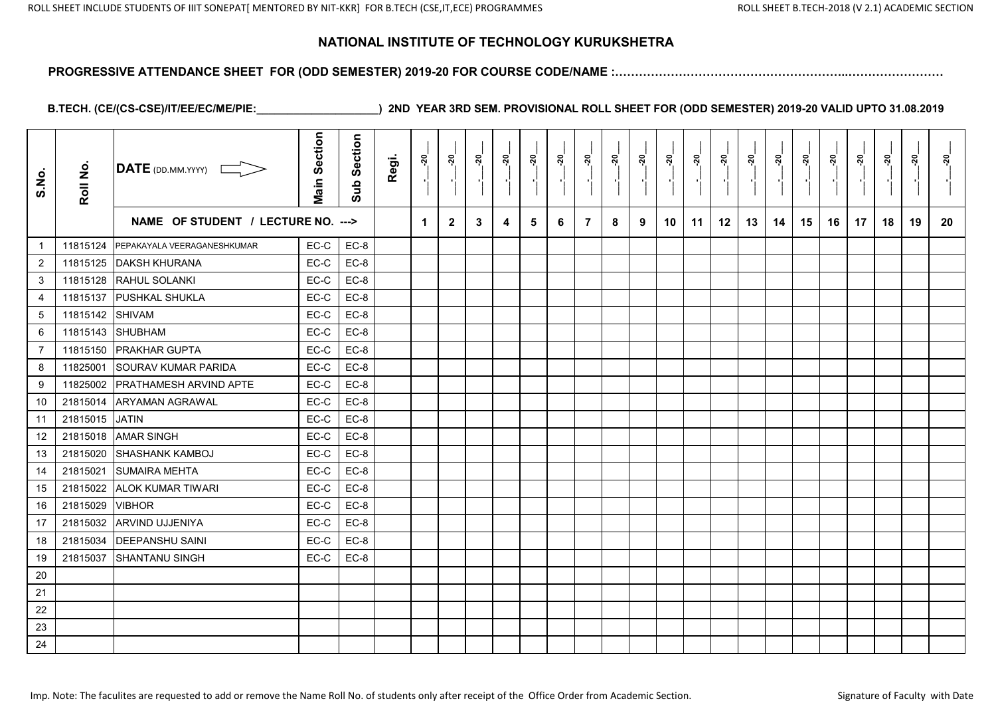#### **PROGRESSIVE ATTENDANCE SHEET FOR (ODD SEMESTER) 2019-20 FOR COURSE CODE/NAME :…………………………………………………..……………………**

| S.No.          | Roll No. | $\overline{\mathsf{DATE}}$ (DD.MM.YYYY) | <b>Main Section</b> | Section<br>Sub | Regi. | នុ | <u>នុ</u>    | នុ | នុ៎ | នុ | <u>នុ</u> | នុ             | <u>នុ</u> | <u>នុ</u> | $\overline{a}$ . | <u>នុ</u> | ៷  | ៷៓ | <u>នុ</u> | <u>នុ</u> | <u>នុ</u> | <u>នុ</u> | នុ | ្កុ | <u>ຊ່</u> |
|----------------|----------|-----------------------------------------|---------------------|----------------|-------|----|--------------|----|-----|----|-----------|----------------|-----------|-----------|------------------|-----------|----|----|-----------|-----------|-----------|-----------|----|-----|-----------|
|                |          | NAME OF STUDENT / LECTURE NO. --->      |                     |                |       | 1  | $\mathbf{2}$ | 3  | 4   | 5  | 6         | $\overline{7}$ | 8         | 9         | 10               | 11        | 12 | 13 | 14        | 15        | 16        | 17        | 18 | 19  | 20        |
| $\overline{1}$ | 11815124 | PEPAKAYALA VEERAGANESHKUMAR             | EC-C                | $EC-8$         |       |    |              |    |     |    |           |                |           |           |                  |           |    |    |           |           |           |           |    |     |           |
| $\overline{2}$ | 11815125 | <b>DAKSH KHURANA</b>                    | EC-C                | $EC-8$         |       |    |              |    |     |    |           |                |           |           |                  |           |    |    |           |           |           |           |    |     |           |
| 3              | 11815128 | RAHUL SOLANKI                           | EC-C                | $EC-8$         |       |    |              |    |     |    |           |                |           |           |                  |           |    |    |           |           |           |           |    |     |           |
| 4              | 11815137 | <b>PUSHKAL SHUKLA</b>                   | EC-C                | EC-8           |       |    |              |    |     |    |           |                |           |           |                  |           |    |    |           |           |           |           |    |     |           |
| 5              | 11815142 | <b>SHIVAM</b>                           | EC-C                | $EC-8$         |       |    |              |    |     |    |           |                |           |           |                  |           |    |    |           |           |           |           |    |     |           |
| 6              | 11815143 | SHUBHAM                                 | EC-C                | $EC-8$         |       |    |              |    |     |    |           |                |           |           |                  |           |    |    |           |           |           |           |    |     |           |
| 7              | 11815150 | <b>IPRAKHAR GUPTA</b>                   | EC-C                | EC-8           |       |    |              |    |     |    |           |                |           |           |                  |           |    |    |           |           |           |           |    |     |           |
| 8              | 11825001 | <b>SOURAV KUMAR PARIDA</b>              | EC-C                | $EC-8$         |       |    |              |    |     |    |           |                |           |           |                  |           |    |    |           |           |           |           |    |     |           |
| 9              | 11825002 | <b>PRATHAMESH ARVIND APTE</b>           | EC-C                | $EC-8$         |       |    |              |    |     |    |           |                |           |           |                  |           |    |    |           |           |           |           |    |     |           |
| 10             | 21815014 | <b>ARYAMAN AGRAWAL</b>                  | EC-C                | $EC-8$         |       |    |              |    |     |    |           |                |           |           |                  |           |    |    |           |           |           |           |    |     |           |
| 11             | 21815015 | <b>JATIN</b>                            | EC-C                | EC-8           |       |    |              |    |     |    |           |                |           |           |                  |           |    |    |           |           |           |           |    |     |           |
| 12             | 21815018 | <b>AMAR SINGH</b>                       | EC-C                | EC-8           |       |    |              |    |     |    |           |                |           |           |                  |           |    |    |           |           |           |           |    |     |           |
| 13             | 21815020 | <b>SHASHANK KAMBOJ</b>                  | EC-C                | $EC-8$         |       |    |              |    |     |    |           |                |           |           |                  |           |    |    |           |           |           |           |    |     |           |
| 14             | 21815021 | <b>SUMAIRA MEHTA</b>                    | EC-C                | $EC-8$         |       |    |              |    |     |    |           |                |           |           |                  |           |    |    |           |           |           |           |    |     |           |
| 15             | 21815022 | <b>ALOK KUMAR TIWARI</b>                | EC-C                | $EC-8$         |       |    |              |    |     |    |           |                |           |           |                  |           |    |    |           |           |           |           |    |     |           |
| 16             | 21815029 | <b>VIBHOR</b>                           | EC-C                | $EC-8$         |       |    |              |    |     |    |           |                |           |           |                  |           |    |    |           |           |           |           |    |     |           |
| 17             | 21815032 | <b>ARVIND UJJENIYA</b>                  | EC-C                | EC-8           |       |    |              |    |     |    |           |                |           |           |                  |           |    |    |           |           |           |           |    |     |           |
| 18             | 21815034 | <b>DEEPANSHU SAINI</b>                  | EC-C                | $EC-8$         |       |    |              |    |     |    |           |                |           |           |                  |           |    |    |           |           |           |           |    |     |           |
| 19             | 21815037 | <b>SHANTANU SINGH</b>                   | EC-C                | EC-8           |       |    |              |    |     |    |           |                |           |           |                  |           |    |    |           |           |           |           |    |     |           |
| 20             |          |                                         |                     |                |       |    |              |    |     |    |           |                |           |           |                  |           |    |    |           |           |           |           |    |     |           |
| 21             |          |                                         |                     |                |       |    |              |    |     |    |           |                |           |           |                  |           |    |    |           |           |           |           |    |     |           |
| 22             |          |                                         |                     |                |       |    |              |    |     |    |           |                |           |           |                  |           |    |    |           |           |           |           |    |     |           |
| 23             |          |                                         |                     |                |       |    |              |    |     |    |           |                |           |           |                  |           |    |    |           |           |           |           |    |     |           |
| 24             |          |                                         |                     |                |       |    |              |    |     |    |           |                |           |           |                  |           |    |    |           |           |           |           |    |     |           |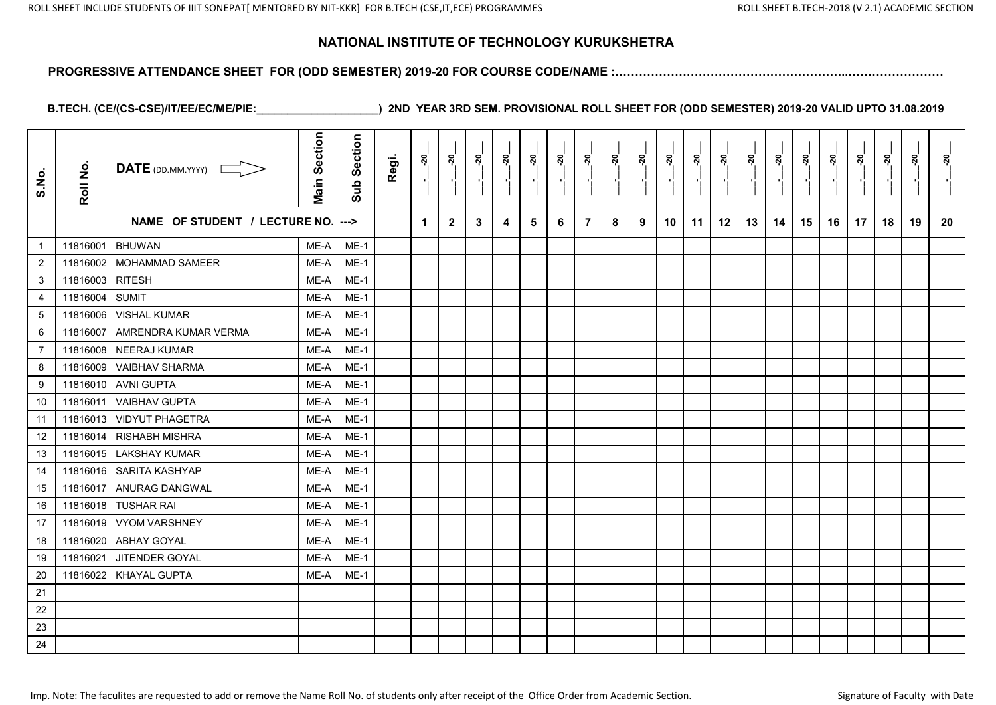#### **PROGRESSIVE ATTENDANCE SHEET FOR (ODD SEMESTER) 2019-20 FOR COURSE CODE/NAME :…………………………………………………..……………………**

| S.No.            | Roll No. | DATE (DD.MM.YYYY)                  | <b>Main Section</b> | Section<br>Sub | Regi. | $\frac{5}{2}$ | នុ           | <u>នុ</u> | <u>នុ</u> | ្កុ | <u>នុ</u> | ្គុ            | នុ<br>$\blacksquare$ | <u>នុ</u> | នុ៎ | ្តុ<br>$\blacksquare$ | នុ៎ | <u>នុ</u> | នុ | <u>នុ</u> | <u>នុ</u> | <u>នុ</u><br>$\blacksquare$ | នុ | <u>នុ</u> | នុ |
|------------------|----------|------------------------------------|---------------------|----------------|-------|---------------|--------------|-----------|-----------|-----|-----------|----------------|----------------------|-----------|-----|-----------------------|-----|-----------|----|-----------|-----------|-----------------------------|----|-----------|----|
|                  |          | NAME OF STUDENT / LECTURE NO. ---> |                     |                |       | 1             | $\mathbf{2}$ | 3         | 4         | 5   | 6         | $\overline{7}$ | 8                    | 9         | 10  | 11                    | 12  | 13        | 14 | 15        | 16        | 17                          | 18 | 19        | 20 |
| $\mathbf{1}$     | 11816001 | <b>BHUWAN</b>                      | ME-A                | $ME-1$         |       |               |              |           |           |     |           |                |                      |           |     |                       |     |           |    |           |           |                             |    |           |    |
| $\overline{2}$   | 11816002 | <b>MOHAMMAD SAMEER</b>             | ME-A                | $ME-1$         |       |               |              |           |           |     |           |                |                      |           |     |                       |     |           |    |           |           |                             |    |           |    |
| 3                | 11816003 | <b>RITESH</b>                      | ME-A                | $ME-1$         |       |               |              |           |           |     |           |                |                      |           |     |                       |     |           |    |           |           |                             |    |           |    |
| 4                | 11816004 | <b>SUMIT</b>                       | ME-A                | $ME-1$         |       |               |              |           |           |     |           |                |                      |           |     |                       |     |           |    |           |           |                             |    |           |    |
| $\sqrt{5}$       | 11816006 | <b>VISHAL KUMAR</b>                | ME-A                | $ME-1$         |       |               |              |           |           |     |           |                |                      |           |     |                       |     |           |    |           |           |                             |    |           |    |
| 6                | 11816007 | <b>AMRENDRA KUMAR VERMA</b>        | ME-A                | $ME-1$         |       |               |              |           |           |     |           |                |                      |           |     |                       |     |           |    |           |           |                             |    |           |    |
| $\overline{7}$   | 11816008 | <b>NEERAJ KUMAR</b>                | ME-A                | $ME-1$         |       |               |              |           |           |     |           |                |                      |           |     |                       |     |           |    |           |           |                             |    |           |    |
| 8                | 11816009 | <b>VAIBHAV SHARMA</b>              | ME-A                | $ME-1$         |       |               |              |           |           |     |           |                |                      |           |     |                       |     |           |    |           |           |                             |    |           |    |
| $\boldsymbol{9}$ | 11816010 | <b>AVNI GUPTA</b>                  | ME-A                | $ME-1$         |       |               |              |           |           |     |           |                |                      |           |     |                       |     |           |    |           |           |                             |    |           |    |
| 10               | 11816011 | <b>VAIBHAV GUPTA</b>               | ME-A                | $ME-1$         |       |               |              |           |           |     |           |                |                      |           |     |                       |     |           |    |           |           |                             |    |           |    |
| 11               | 11816013 | <b>VIDYUT PHAGETRA</b>             | ME-A                | $ME-1$         |       |               |              |           |           |     |           |                |                      |           |     |                       |     |           |    |           |           |                             |    |           |    |
| 12               | 11816014 | <b>RISHABH MISHRA</b>              | ME-A                | $ME-1$         |       |               |              |           |           |     |           |                |                      |           |     |                       |     |           |    |           |           |                             |    |           |    |
| 13               | 11816015 | <b>LAKSHAY KUMAR</b>               | ME-A                | $ME-1$         |       |               |              |           |           |     |           |                |                      |           |     |                       |     |           |    |           |           |                             |    |           |    |
| 14               | 11816016 | SARITA KASHYAP                     | ME-A                | $ME-1$         |       |               |              |           |           |     |           |                |                      |           |     |                       |     |           |    |           |           |                             |    |           |    |
| 15               | 11816017 | <b>ANURAG DANGWAL</b>              | ME-A                | $ME-1$         |       |               |              |           |           |     |           |                |                      |           |     |                       |     |           |    |           |           |                             |    |           |    |
| 16               | 11816018 | <b>TUSHAR RAI</b>                  | ME-A                | $ME-1$         |       |               |              |           |           |     |           |                |                      |           |     |                       |     |           |    |           |           |                             |    |           |    |
| 17               | 11816019 | <b>VYOM VARSHNEY</b>               | ME-A                | $ME-1$         |       |               |              |           |           |     |           |                |                      |           |     |                       |     |           |    |           |           |                             |    |           |    |
| 18               | 11816020 | <b>ABHAY GOYAL</b>                 | ME-A                | $ME-1$         |       |               |              |           |           |     |           |                |                      |           |     |                       |     |           |    |           |           |                             |    |           |    |
| 19               | 11816021 | JITENDER GOYAL                     | ME-A                | $ME-1$         |       |               |              |           |           |     |           |                |                      |           |     |                       |     |           |    |           |           |                             |    |           |    |
| $20\,$           | 11816022 | <b>KHAYAL GUPTA</b>                | ME-A                | $ME-1$         |       |               |              |           |           |     |           |                |                      |           |     |                       |     |           |    |           |           |                             |    |           |    |
| 21               |          |                                    |                     |                |       |               |              |           |           |     |           |                |                      |           |     |                       |     |           |    |           |           |                             |    |           |    |
| 22               |          |                                    |                     |                |       |               |              |           |           |     |           |                |                      |           |     |                       |     |           |    |           |           |                             |    |           |    |
| 23               |          |                                    |                     |                |       |               |              |           |           |     |           |                |                      |           |     |                       |     |           |    |           |           |                             |    |           |    |
| 24               |          |                                    |                     |                |       |               |              |           |           |     |           |                |                      |           |     |                       |     |           |    |           |           |                             |    |           |    |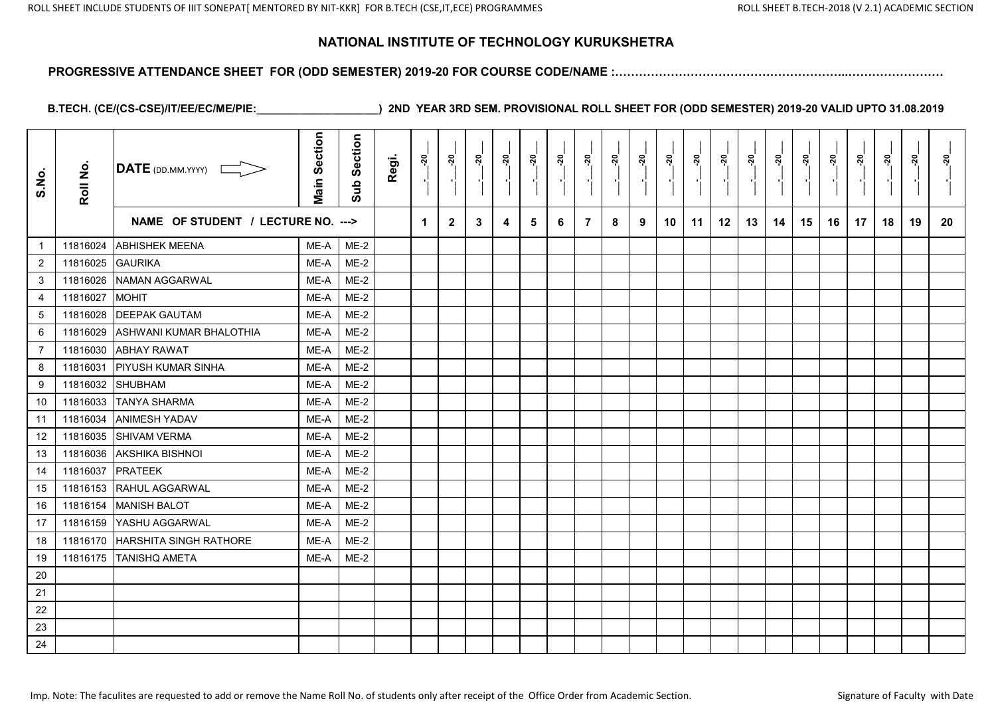#### **PROGRESSIVE ATTENDANCE SHEET FOR (ODD SEMESTER) 2019-20 FOR COURSE CODE/NAME :…………………………………………………..……………………**

| S.No.          | Roll No. | $\overline{\text{DATE}}$ (DD.MM.YYYY) | <b>Main Section</b> | Section<br>Sub | Regi. | ្តុ | នុ           | ៷ | នុ | ្កុ | ្តុ | ្គុ            | នុ | <u>នុ</u> | ៷  | នុ | ៷  | នុ | នុ | នុ | ៷  | នុ<br>$\overline{\phantom{a}}$ | នុ | នុ | នុ |
|----------------|----------|---------------------------------------|---------------------|----------------|-------|-----|--------------|---|----|-----|-----|----------------|----|-----------|----|----|----|----|----|----|----|--------------------------------|----|----|----|
|                |          | NAME OF STUDENT / LECTURE NO. --->    |                     |                |       | 1   | $\mathbf{2}$ | 3 | 4  | 5   | 6   | $\overline{7}$ | 8  | 9         | 10 | 11 | 12 | 13 | 14 | 15 | 16 | 17                             | 18 | 19 | 20 |
| $\mathbf{1}$   | 11816024 | <b>ABHISHEK MEENA</b>                 | ME-A                | $ME-2$         |       |     |              |   |    |     |     |                |    |           |    |    |    |    |    |    |    |                                |    |    |    |
| $\overline{2}$ | 11816025 | <b>GAURIKA</b>                        | ME-A                | $ME-2$         |       |     |              |   |    |     |     |                |    |           |    |    |    |    |    |    |    |                                |    |    |    |
| 3              | 11816026 | <b>NAMAN AGGARWAL</b>                 | ME-A                | $ME-2$         |       |     |              |   |    |     |     |                |    |           |    |    |    |    |    |    |    |                                |    |    |    |
| 4              | 11816027 | <b>MOHIT</b>                          | ME-A                | $ME-2$         |       |     |              |   |    |     |     |                |    |           |    |    |    |    |    |    |    |                                |    |    |    |
| $\sqrt{5}$     | 11816028 | <b>DEEPAK GAUTAM</b>                  | ME-A                | $ME-2$         |       |     |              |   |    |     |     |                |    |           |    |    |    |    |    |    |    |                                |    |    |    |
| 6              | 11816029 | ASHWANI KUMAR BHALOTHIA               | ME-A                | $ME-2$         |       |     |              |   |    |     |     |                |    |           |    |    |    |    |    |    |    |                                |    |    |    |
| $\overline{7}$ | 11816030 | <b>ABHAY RAWAT</b>                    | ME-A                | $ME-2$         |       |     |              |   |    |     |     |                |    |           |    |    |    |    |    |    |    |                                |    |    |    |
| 8              | 11816031 | <b>PIYUSH KUMAR SINHA</b>             | ME-A                | $ME-2$         |       |     |              |   |    |     |     |                |    |           |    |    |    |    |    |    |    |                                |    |    |    |
| 9              | 11816032 | <b>SHUBHAM</b>                        | ME-A                | $ME-2$         |       |     |              |   |    |     |     |                |    |           |    |    |    |    |    |    |    |                                |    |    |    |
| 10             | 11816033 | <b>TANYA SHARMA</b>                   | ME-A                | $ME-2$         |       |     |              |   |    |     |     |                |    |           |    |    |    |    |    |    |    |                                |    |    |    |
| 11             | 11816034 | <b>ANIMESH YADAV</b>                  | ME-A                | $ME-2$         |       |     |              |   |    |     |     |                |    |           |    |    |    |    |    |    |    |                                |    |    |    |
| 12             | 11816035 | <b>SHIVAM VERMA</b>                   | ME-A                | $ME-2$         |       |     |              |   |    |     |     |                |    |           |    |    |    |    |    |    |    |                                |    |    |    |
| 13             | 11816036 | <b>AKSHIKA BISHNOI</b>                | ME-A                | $ME-2$         |       |     |              |   |    |     |     |                |    |           |    |    |    |    |    |    |    |                                |    |    |    |
| 14             | 11816037 | <b>PRATEEK</b>                        | ME-A                | $ME-2$         |       |     |              |   |    |     |     |                |    |           |    |    |    |    |    |    |    |                                |    |    |    |
| 15             | 11816153 | RAHUL AGGARWAL                        | ME-A                | $ME-2$         |       |     |              |   |    |     |     |                |    |           |    |    |    |    |    |    |    |                                |    |    |    |
| 16             | 11816154 | <b>MANISH BALOT</b>                   | ME-A                | $ME-2$         |       |     |              |   |    |     |     |                |    |           |    |    |    |    |    |    |    |                                |    |    |    |
| 17             | 11816159 | <b>YASHU AGGARWAL</b>                 | ME-A                | $ME-2$         |       |     |              |   |    |     |     |                |    |           |    |    |    |    |    |    |    |                                |    |    |    |
| 18             | 11816170 | <b>HARSHITA SINGH RATHORE</b>         | ME-A                | $ME-2$         |       |     |              |   |    |     |     |                |    |           |    |    |    |    |    |    |    |                                |    |    |    |
| 19             |          | 11816175 TANISHQ AMETA                | ME-A                | $ME-2$         |       |     |              |   |    |     |     |                |    |           |    |    |    |    |    |    |    |                                |    |    |    |
| 20             |          |                                       |                     |                |       |     |              |   |    |     |     |                |    |           |    |    |    |    |    |    |    |                                |    |    |    |
| 21             |          |                                       |                     |                |       |     |              |   |    |     |     |                |    |           |    |    |    |    |    |    |    |                                |    |    |    |
| 22             |          |                                       |                     |                |       |     |              |   |    |     |     |                |    |           |    |    |    |    |    |    |    |                                |    |    |    |
| 23             |          |                                       |                     |                |       |     |              |   |    |     |     |                |    |           |    |    |    |    |    |    |    |                                |    |    |    |
| 24             |          |                                       |                     |                |       |     |              |   |    |     |     |                |    |           |    |    |    |    |    |    |    |                                |    |    |    |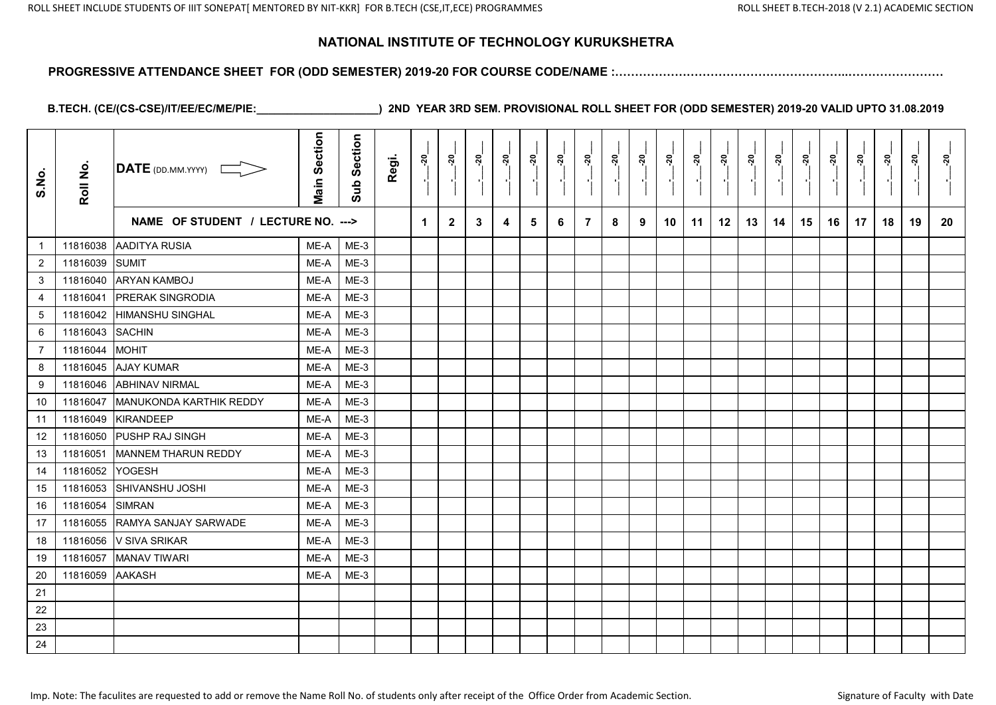#### **PROGRESSIVE ATTENDANCE SHEET FOR (ODD SEMESTER) 2019-20 FOR COURSE CODE/NAME :…………………………………………………..……………………**

| S.No.          | Roll No. | DATE (DD.MM.YYYY)                  | <b>Main Section</b> | Section<br>Sub | Regi. | ្តុ | នុ           | <u>នុ</u> | នុ | ្កុ | ្តុ | ្គុ            | <u>នុ</u> | <u>នុ</u> | ៷  | នុ | ៷  | នុ | នុ | នុ | ៷  | នុ<br>$\overline{\phantom{a}}$ | នុ | នុ | នុ |
|----------------|----------|------------------------------------|---------------------|----------------|-------|-----|--------------|-----------|----|-----|-----|----------------|-----------|-----------|----|----|----|----|----|----|----|--------------------------------|----|----|----|
|                |          | NAME OF STUDENT / LECTURE NO. ---> |                     |                |       | 1   | $\mathbf{2}$ | 3         | 4  | 5   | 6   | $\overline{7}$ | 8         | 9         | 10 | 11 | 12 | 13 | 14 | 15 | 16 | 17                             | 18 | 19 | 20 |
| $\mathbf{1}$   | 11816038 | AADITYA RUSIA                      | ME-A                | $ME-3$         |       |     |              |           |    |     |     |                |           |           |    |    |    |    |    |    |    |                                |    |    |    |
| $\overline{2}$ | 11816039 | <b>SUMIT</b>                       | ME-A                | $ME-3$         |       |     |              |           |    |     |     |                |           |           |    |    |    |    |    |    |    |                                |    |    |    |
| 3              | 11816040 | <b>ARYAN KAMBOJ</b>                | ME-A                | $ME-3$         |       |     |              |           |    |     |     |                |           |           |    |    |    |    |    |    |    |                                |    |    |    |
| 4              | 11816041 | <b>PRERAK SINGRODIA</b>            | ME-A                | $ME-3$         |       |     |              |           |    |     |     |                |           |           |    |    |    |    |    |    |    |                                |    |    |    |
| $\,$ 5 $\,$    | 11816042 | <b>HIMANSHU SINGHAL</b>            | ME-A                | $ME-3$         |       |     |              |           |    |     |     |                |           |           |    |    |    |    |    |    |    |                                |    |    |    |
| 6              | 11816043 | <b>SACHIN</b>                      | ME-A                | $ME-3$         |       |     |              |           |    |     |     |                |           |           |    |    |    |    |    |    |    |                                |    |    |    |
| $\overline{7}$ | 11816044 | <b>MOHIT</b>                       | ME-A                | $ME-3$         |       |     |              |           |    |     |     |                |           |           |    |    |    |    |    |    |    |                                |    |    |    |
| 8              | 11816045 | <b>AJAY KUMAR</b>                  | ME-A                | $ME-3$         |       |     |              |           |    |     |     |                |           |           |    |    |    |    |    |    |    |                                |    |    |    |
| 9              | 11816046 | <b>ABHINAV NIRMAL</b>              | ME-A                | $ME-3$         |       |     |              |           |    |     |     |                |           |           |    |    |    |    |    |    |    |                                |    |    |    |
| 10             | 11816047 | MANUKONDA KARTHIK REDDY            | ME-A                | $ME-3$         |       |     |              |           |    |     |     |                |           |           |    |    |    |    |    |    |    |                                |    |    |    |
| 11             | 11816049 | <b>KIRANDEEP</b>                   | ME-A                | $ME-3$         |       |     |              |           |    |     |     |                |           |           |    |    |    |    |    |    |    |                                |    |    |    |
| 12             | 11816050 | <b>PUSHP RAJ SINGH</b>             | ME-A                | $ME-3$         |       |     |              |           |    |     |     |                |           |           |    |    |    |    |    |    |    |                                |    |    |    |
| 13             | 11816051 | MANNEM THARUN REDDY                | ME-A                | $ME-3$         |       |     |              |           |    |     |     |                |           |           |    |    |    |    |    |    |    |                                |    |    |    |
| 14             | 11816052 | <b>YOGESH</b>                      | ME-A                | $ME-3$         |       |     |              |           |    |     |     |                |           |           |    |    |    |    |    |    |    |                                |    |    |    |
| 15             | 11816053 | SHIVANSHU JOSHI                    | ME-A                | $ME-3$         |       |     |              |           |    |     |     |                |           |           |    |    |    |    |    |    |    |                                |    |    |    |
| 16             | 11816054 | <b>SIMRAN</b>                      | ME-A                | $ME-3$         |       |     |              |           |    |     |     |                |           |           |    |    |    |    |    |    |    |                                |    |    |    |
| 17             | 11816055 | RAMYA SANJAY SARWADE               | ME-A                | $ME-3$         |       |     |              |           |    |     |     |                |           |           |    |    |    |    |    |    |    |                                |    |    |    |
| 18             | 11816056 | V SIVA SRIKAR                      | ME-A                | $ME-3$         |       |     |              |           |    |     |     |                |           |           |    |    |    |    |    |    |    |                                |    |    |    |
| 19             | 11816057 | <b>MANAV TIWARI</b>                | ME-A                | $ME-3$         |       |     |              |           |    |     |     |                |           |           |    |    |    |    |    |    |    |                                |    |    |    |
| $20\,$         | 11816059 | <b>AAKASH</b>                      | ME-A                | $ME-3$         |       |     |              |           |    |     |     |                |           |           |    |    |    |    |    |    |    |                                |    |    |    |
| 21             |          |                                    |                     |                |       |     |              |           |    |     |     |                |           |           |    |    |    |    |    |    |    |                                |    |    |    |
| 22             |          |                                    |                     |                |       |     |              |           |    |     |     |                |           |           |    |    |    |    |    |    |    |                                |    |    |    |
| 23             |          |                                    |                     |                |       |     |              |           |    |     |     |                |           |           |    |    |    |    |    |    |    |                                |    |    |    |
| 24             |          |                                    |                     |                |       |     |              |           |    |     |     |                |           |           |    |    |    |    |    |    |    |                                |    |    |    |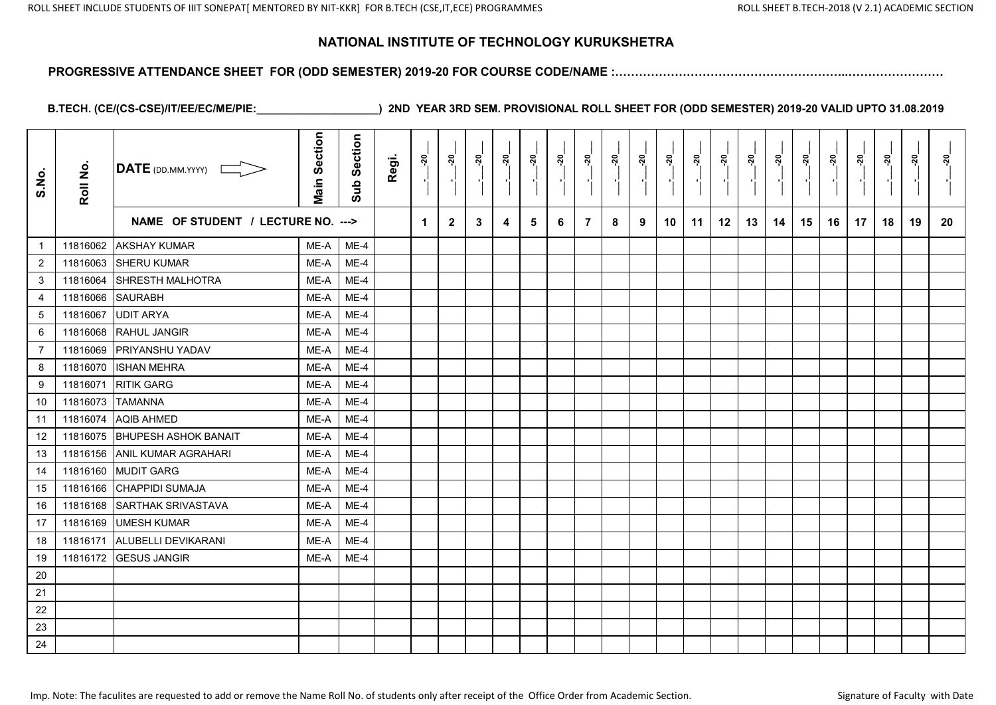#### **PROGRESSIVE ATTENDANCE SHEET FOR (ODD SEMESTER) 2019-20 FOR COURSE CODE/NAME :…………………………………………………..……………………**

| S.No.            | Roll No. | DATE (DD.MM.YYYY)                  | <b>Main Section</b> | Section<br>Sub | Regi. | នុ | នុ           | ៷ | នុ | ្កុ | ៷៓ | ្គុ            | នុ<br>$\blacksquare$ | <u>នុ</u> | នុ៎ | ្តុ<br>$\blacksquare$ | នុ | <u> ຊ</u> | នុ | <u>នុ</u> | <u>នុ</u> | <u>នុ</u><br>$\blacksquare$ | នុ | <u>នុ</u> | នុ |
|------------------|----------|------------------------------------|---------------------|----------------|-------|----|--------------|---|----|-----|----|----------------|----------------------|-----------|-----|-----------------------|----|-----------|----|-----------|-----------|-----------------------------|----|-----------|----|
|                  |          | NAME OF STUDENT / LECTURE NO. ---> |                     |                |       | 1  | $\mathbf{2}$ | 3 | 4  | 5   | 6  | $\overline{7}$ | 8                    | 9         | 10  | 11                    | 12 | 13        | 14 | 15        | 16        | 17                          | 18 | 19        | 20 |
| $\mathbf{1}$     | 11816062 | <b>AKSHAY KUMAR</b>                | ME-A                | $ME-4$         |       |    |              |   |    |     |    |                |                      |           |     |                       |    |           |    |           |           |                             |    |           |    |
| $\overline{c}$   | 11816063 | <b>SHERU KUMAR</b>                 | ME-A                | $ME-4$         |       |    |              |   |    |     |    |                |                      |           |     |                       |    |           |    |           |           |                             |    |           |    |
| 3                | 11816064 | <b>SHRESTH MALHOTRA</b>            | ME-A                | $ME-4$         |       |    |              |   |    |     |    |                |                      |           |     |                       |    |           |    |           |           |                             |    |           |    |
| $\overline{4}$   | 11816066 | <b>SAURABH</b>                     | ME-A                | $ME-4$         |       |    |              |   |    |     |    |                |                      |           |     |                       |    |           |    |           |           |                             |    |           |    |
| $\sqrt{5}$       | 11816067 | <b>UDIT ARYA</b>                   | ME-A                | $ME-4$         |       |    |              |   |    |     |    |                |                      |           |     |                       |    |           |    |           |           |                             |    |           |    |
| 6                | 11816068 | RAHUL JANGIR                       | ME-A                | $ME-4$         |       |    |              |   |    |     |    |                |                      |           |     |                       |    |           |    |           |           |                             |    |           |    |
| $\overline{7}$   | 11816069 | <b>PRIYANSHU YADAV</b>             | ME-A                | ME-4           |       |    |              |   |    |     |    |                |                      |           |     |                       |    |           |    |           |           |                             |    |           |    |
| 8                | 11816070 | <b>ISHAN MEHRA</b>                 | ME-A                | $ME-4$         |       |    |              |   |    |     |    |                |                      |           |     |                       |    |           |    |           |           |                             |    |           |    |
| $\boldsymbol{9}$ | 11816071 | <b>RITIK GARG</b>                  | ME-A                | $ME-4$         |       |    |              |   |    |     |    |                |                      |           |     |                       |    |           |    |           |           |                             |    |           |    |
| 10               | 11816073 | <b>TAMANNA</b>                     | ME-A                | $ME-4$         |       |    |              |   |    |     |    |                |                      |           |     |                       |    |           |    |           |           |                             |    |           |    |
| 11               | 11816074 | <b>AQIB AHMED</b>                  | ME-A                | $ME-4$         |       |    |              |   |    |     |    |                |                      |           |     |                       |    |           |    |           |           |                             |    |           |    |
| 12               | 11816075 | <b>BHUPESH ASHOK BANAIT</b>        | ME-A                | $ME-4$         |       |    |              |   |    |     |    |                |                      |           |     |                       |    |           |    |           |           |                             |    |           |    |
| 13               | 11816156 | <b>ANIL KUMAR AGRAHARI</b>         | ME-A                | ME-4           |       |    |              |   |    |     |    |                |                      |           |     |                       |    |           |    |           |           |                             |    |           |    |
| 14               | 11816160 | <b>MUDIT GARG</b>                  | ME-A                | $ME-4$         |       |    |              |   |    |     |    |                |                      |           |     |                       |    |           |    |           |           |                             |    |           |    |
| 15               | 11816166 | <b>CHAPPIDI SUMAJA</b>             | ME-A                | $ME-4$         |       |    |              |   |    |     |    |                |                      |           |     |                       |    |           |    |           |           |                             |    |           |    |
| 16               | 11816168 | SARTHAK SRIVASTAVA                 | ME-A                | $ME-4$         |       |    |              |   |    |     |    |                |                      |           |     |                       |    |           |    |           |           |                             |    |           |    |
| 17               | 11816169 | <b>UMESH KUMAR</b>                 | ME-A                | $ME-4$         |       |    |              |   |    |     |    |                |                      |           |     |                       |    |           |    |           |           |                             |    |           |    |
| 18               | 11816171 | ALUBELLI DEVIKARANI                | ME-A                | $ME-4$         |       |    |              |   |    |     |    |                |                      |           |     |                       |    |           |    |           |           |                             |    |           |    |
| 19               | 11816172 | <b>GESUS JANGIR</b>                | ME-A                | $ME-4$         |       |    |              |   |    |     |    |                |                      |           |     |                       |    |           |    |           |           |                             |    |           |    |
| 20               |          |                                    |                     |                |       |    |              |   |    |     |    |                |                      |           |     |                       |    |           |    |           |           |                             |    |           |    |
| 21               |          |                                    |                     |                |       |    |              |   |    |     |    |                |                      |           |     |                       |    |           |    |           |           |                             |    |           |    |
| 22               |          |                                    |                     |                |       |    |              |   |    |     |    |                |                      |           |     |                       |    |           |    |           |           |                             |    |           |    |
| 23               |          |                                    |                     |                |       |    |              |   |    |     |    |                |                      |           |     |                       |    |           |    |           |           |                             |    |           |    |
| 24               |          |                                    |                     |                |       |    |              |   |    |     |    |                |                      |           |     |                       |    |           |    |           |           |                             |    |           |    |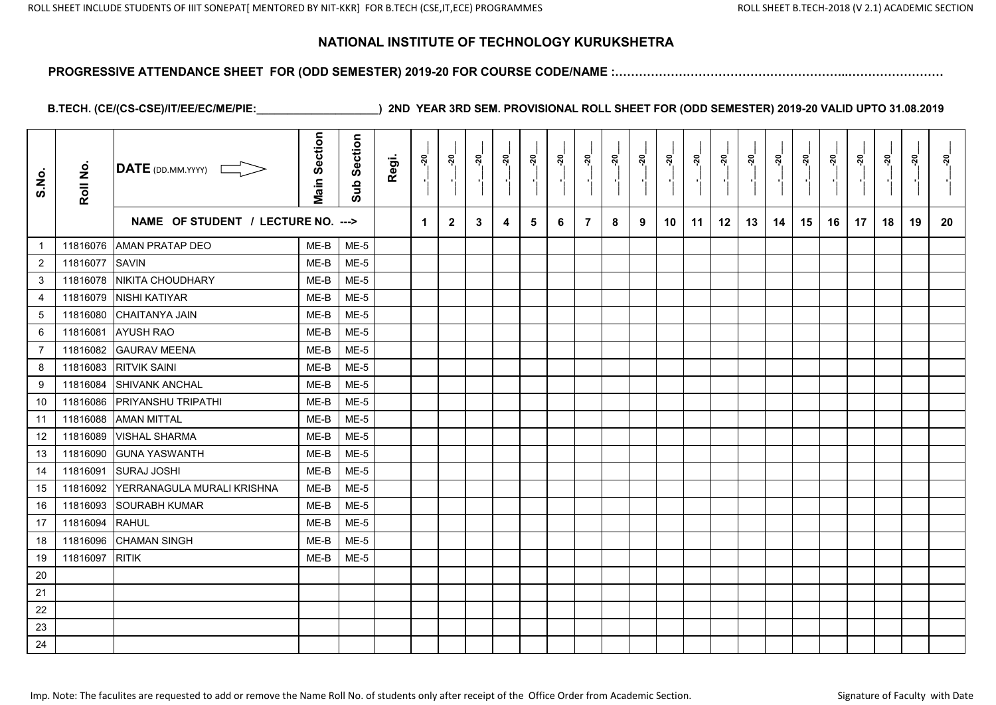#### **PROGRESSIVE ATTENDANCE SHEET FOR (ODD SEMESTER) 2019-20 FOR COURSE CODE/NAME :…………………………………………………..……………………**

| S.No.            | Roll No. | <b>DATE</b> (DD.MM.YYYY)           | <b>Main Section</b> | Section<br>Sub | Regi. | នុ                   | <u>នុ</u>    | នុ៎ | ៷៓ | នុ | នុ៎<br>H. | <u>នុ</u> | ನ್ನ<br>$\blacksquare$ | ៷៓ | <u> 20</u> | នុ | នុ | នុ | ៷៓ | <u> ຊ</u> | នុ | <u>នុ</u> | នុ | <u>នុ</u><br>$\mathbf{r}$ | នុ |
|------------------|----------|------------------------------------|---------------------|----------------|-------|----------------------|--------------|-----|----|----|-----------|-----------|-----------------------|----|------------|----|----|----|----|-----------|----|-----------|----|---------------------------|----|
|                  |          | NAME OF STUDENT / LECTURE NO. ---> |                     |                |       | $\blacktriangleleft$ | $\mathbf{2}$ | 3   | 4  | 5  | 6         | 7         | 8                     | 9  | 10         | 11 | 12 | 13 | 14 | 15        | 16 | 17        | 18 | 19                        | 20 |
| -1               | 11816076 | <b>AMAN PRATAP DEO</b>             | ME-B                | $ME-5$         |       |                      |              |     |    |    |           |           |                       |    |            |    |    |    |    |           |    |           |    |                           |    |
| $\overline{c}$   | 11816077 | <b>SAVIN</b>                       | ME-B                | $ME-5$         |       |                      |              |     |    |    |           |           |                       |    |            |    |    |    |    |           |    |           |    |                           |    |
| 3                | 11816078 | <b>NIKITA CHOUDHARY</b>            | ME-B                | $ME-5$         |       |                      |              |     |    |    |           |           |                       |    |            |    |    |    |    |           |    |           |    |                           |    |
| $\overline{4}$   | 11816079 | NISHI KATIYAR                      | ME-B                | $ME-5$         |       |                      |              |     |    |    |           |           |                       |    |            |    |    |    |    |           |    |           |    |                           |    |
| $\sqrt{5}$       | 11816080 | <b>CHAITANYA JAIN</b>              | ME-B                | $ME-5$         |       |                      |              |     |    |    |           |           |                       |    |            |    |    |    |    |           |    |           |    |                           |    |
| 6                | 11816081 | <b>AYUSH RAO</b>                   | ME-B                | $ME-5$         |       |                      |              |     |    |    |           |           |                       |    |            |    |    |    |    |           |    |           |    |                           |    |
| $\overline{7}$   | 11816082 | <b>GAURAV MEENA</b>                | ME-B                | $ME-5$         |       |                      |              |     |    |    |           |           |                       |    |            |    |    |    |    |           |    |           |    |                           |    |
| 8                | 11816083 | <b>RITVIK SAINI</b>                | ME-B                | $ME-5$         |       |                      |              |     |    |    |           |           |                       |    |            |    |    |    |    |           |    |           |    |                           |    |
| $\boldsymbol{9}$ | 11816084 | <b>SHIVANK ANCHAL</b>              | ME-B                | $ME-5$         |       |                      |              |     |    |    |           |           |                       |    |            |    |    |    |    |           |    |           |    |                           |    |
| 10               | 11816086 | <b>PRIYANSHU TRIPATHI</b>          | ME-B                | $ME-5$         |       |                      |              |     |    |    |           |           |                       |    |            |    |    |    |    |           |    |           |    |                           |    |
| 11               | 11816088 | <b>AMAN MITTAL</b>                 | ME-B                | $ME-5$         |       |                      |              |     |    |    |           |           |                       |    |            |    |    |    |    |           |    |           |    |                           |    |
| 12               | 11816089 | <b>VISHAL SHARMA</b>               | ME-B                | $ME-5$         |       |                      |              |     |    |    |           |           |                       |    |            |    |    |    |    |           |    |           |    |                           |    |
| 13               | 11816090 | <b>GUNA YASWANTH</b>               | ME-B                | $ME-5$         |       |                      |              |     |    |    |           |           |                       |    |            |    |    |    |    |           |    |           |    |                           |    |
| 14               | 11816091 | <b>SURAJ JOSHI</b>                 | ME-B                | ME-5           |       |                      |              |     |    |    |           |           |                       |    |            |    |    |    |    |           |    |           |    |                           |    |
| 15               | 11816092 | YERRANAGULA MURALI KRISHNA         | ME-B                | $ME-5$         |       |                      |              |     |    |    |           |           |                       |    |            |    |    |    |    |           |    |           |    |                           |    |
| 16               | 11816093 | <b>SOURABH KUMAR</b>               | ME-B                | $ME-5$         |       |                      |              |     |    |    |           |           |                       |    |            |    |    |    |    |           |    |           |    |                           |    |
| 17               | 11816094 | <b>RAHUL</b>                       | ME-B                | $ME-5$         |       |                      |              |     |    |    |           |           |                       |    |            |    |    |    |    |           |    |           |    |                           |    |
| 18               | 11816096 | <b>CHAMAN SINGH</b>                | ME-B                | $ME-5$         |       |                      |              |     |    |    |           |           |                       |    |            |    |    |    |    |           |    |           |    |                           |    |
| 19               | 11816097 | <b>RITIK</b>                       | ME-B                | $ME-5$         |       |                      |              |     |    |    |           |           |                       |    |            |    |    |    |    |           |    |           |    |                           |    |
| 20               |          |                                    |                     |                |       |                      |              |     |    |    |           |           |                       |    |            |    |    |    |    |           |    |           |    |                           |    |
| 21               |          |                                    |                     |                |       |                      |              |     |    |    |           |           |                       |    |            |    |    |    |    |           |    |           |    |                           |    |
| 22               |          |                                    |                     |                |       |                      |              |     |    |    |           |           |                       |    |            |    |    |    |    |           |    |           |    |                           |    |
| 23               |          |                                    |                     |                |       |                      |              |     |    |    |           |           |                       |    |            |    |    |    |    |           |    |           |    |                           |    |
| 24               |          |                                    |                     |                |       |                      |              |     |    |    |           |           |                       |    |            |    |    |    |    |           |    |           |    |                           |    |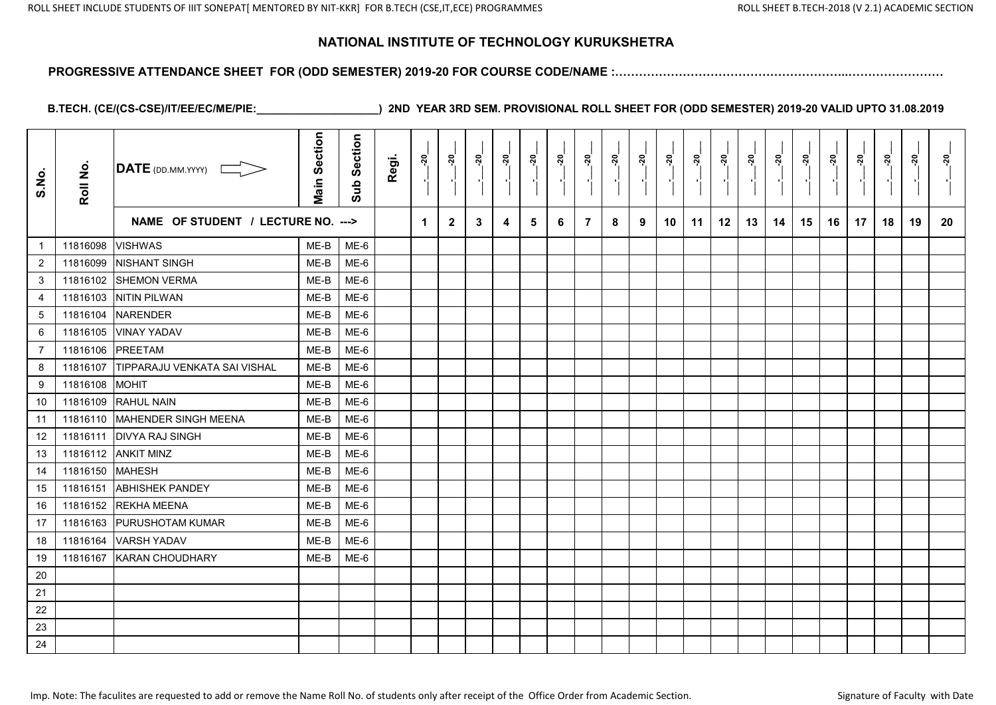#### **PROGRESSIVE ATTENDANCE SHEET FOR (ODD SEMESTER) 2019-20 FOR COURSE CODE/NAME :…………………………………………………..……………………**

| S.No.            | Roll No. | DATE (DD.MM.YYYY)                  | <b>Main Section</b> | Section<br>Sub | Regi. | ៷៓ | នុ៎            | <u>នុ</u>    | <u>នុ</u> | ៷ | នុំ | <u>នុ</u>      | នុ៎ | នុ | ៷៓ | ្គុ | នុ | នុ | ៷៓ | <u>នុ</u> | $\frac{5}{2}$ | នុ៎ | នុ | <u>នុ</u> | <u>័រ</u> |
|------------------|----------|------------------------------------|---------------------|----------------|-------|----|----------------|--------------|-----------|---|-----|----------------|-----|----|----|-----|----|----|----|-----------|---------------|-----|----|-----------|-----------|
|                  |          | NAME OF STUDENT / LECTURE NO. ---> |                     |                |       | 1  | $\overline{2}$ | $\mathbf{3}$ | 4         | 5 | 6   | $\overline{7}$ | 8   | 9  | 10 | 11  | 12 | 13 | 14 | 15        | 16            | 17  | 18 | 19        | 20        |
| $\mathbf{1}$     | 11816098 | <b>VISHWAS</b>                     | ME-B                | ME-6           |       |    |                |              |           |   |     |                |     |    |    |     |    |    |    |           |               |     |    |           |           |
| $\overline{2}$   | 11816099 | <b>NISHANT SINGH</b>               | ME-B                | $ME-6$         |       |    |                |              |           |   |     |                |     |    |    |     |    |    |    |           |               |     |    |           |           |
| 3                | 11816102 | <b>SHEMON VERMA</b>                | ME-B                | $ME-6$         |       |    |                |              |           |   |     |                |     |    |    |     |    |    |    |           |               |     |    |           |           |
| 4                | 11816103 | <b>NITIN PILWAN</b>                | ME-B                | ME-6           |       |    |                |              |           |   |     |                |     |    |    |     |    |    |    |           |               |     |    |           |           |
| $\sqrt{5}$       | 11816104 | <b>NARENDER</b>                    | ME-B                | ME-6           |       |    |                |              |           |   |     |                |     |    |    |     |    |    |    |           |               |     |    |           |           |
| 6                | 11816105 | <b>VINAY YADAV</b>                 | ME-B                | ME-6           |       |    |                |              |           |   |     |                |     |    |    |     |    |    |    |           |               |     |    |           |           |
| $\overline{7}$   | 11816106 | <b>PREETAM</b>                     | ME-B                | ME-6           |       |    |                |              |           |   |     |                |     |    |    |     |    |    |    |           |               |     |    |           |           |
| 8                | 11816107 | TIPPARAJU VENKATA SAI VISHAL       | ME-B                | $ME-6$         |       |    |                |              |           |   |     |                |     |    |    |     |    |    |    |           |               |     |    |           |           |
| $\boldsymbol{9}$ | 11816108 | <b>IMOHIT</b>                      | ME-B                | ME-6           |       |    |                |              |           |   |     |                |     |    |    |     |    |    |    |           |               |     |    |           |           |
| 10               | 11816109 | <b>RAHUL NAIN</b>                  | ME-B                | $ME-6$         |       |    |                |              |           |   |     |                |     |    |    |     |    |    |    |           |               |     |    |           |           |
| 11               | 11816110 | MAHENDER SINGH MEENA               | ME-B                | $ME-6$         |       |    |                |              |           |   |     |                |     |    |    |     |    |    |    |           |               |     |    |           |           |
| 12               | 11816111 | <b>DIVYA RAJ SINGH</b>             | ME-B                | ME-6           |       |    |                |              |           |   |     |                |     |    |    |     |    |    |    |           |               |     |    |           |           |
| 13               | 11816112 | <b>ANKIT MINZ</b>                  | ME-B                | ME-6           |       |    |                |              |           |   |     |                |     |    |    |     |    |    |    |           |               |     |    |           |           |
| 14               | 11816150 | <b>MAHESH</b>                      | ME-B                | ME-6           |       |    |                |              |           |   |     |                |     |    |    |     |    |    |    |           |               |     |    |           |           |
| 15               | 11816151 | <b>ABHISHEK PANDEY</b>             | ME-B                | $ME-6$         |       |    |                |              |           |   |     |                |     |    |    |     |    |    |    |           |               |     |    |           |           |
| 16               | 11816152 | <b>REKHA MEENA</b>                 | ME-B                | ME-6           |       |    |                |              |           |   |     |                |     |    |    |     |    |    |    |           |               |     |    |           |           |
| 17               | 11816163 | <b>PURUSHOTAM KUMAR</b>            | ME-B                | ME-6           |       |    |                |              |           |   |     |                |     |    |    |     |    |    |    |           |               |     |    |           |           |
| 18               | 11816164 | <b>VARSH YADAV</b>                 | ME-B                | ME-6           |       |    |                |              |           |   |     |                |     |    |    |     |    |    |    |           |               |     |    |           |           |
| 19               | 11816167 | <b>KARAN CHOUDHARY</b>             | ME-B                | ME-6           |       |    |                |              |           |   |     |                |     |    |    |     |    |    |    |           |               |     |    |           |           |
| 20               |          |                                    |                     |                |       |    |                |              |           |   |     |                |     |    |    |     |    |    |    |           |               |     |    |           |           |
| 21               |          |                                    |                     |                |       |    |                |              |           |   |     |                |     |    |    |     |    |    |    |           |               |     |    |           |           |
| 22               |          |                                    |                     |                |       |    |                |              |           |   |     |                |     |    |    |     |    |    |    |           |               |     |    |           |           |
| 23               |          |                                    |                     |                |       |    |                |              |           |   |     |                |     |    |    |     |    |    |    |           |               |     |    |           |           |
| 24               |          |                                    |                     |                |       |    |                |              |           |   |     |                |     |    |    |     |    |    |    |           |               |     |    |           |           |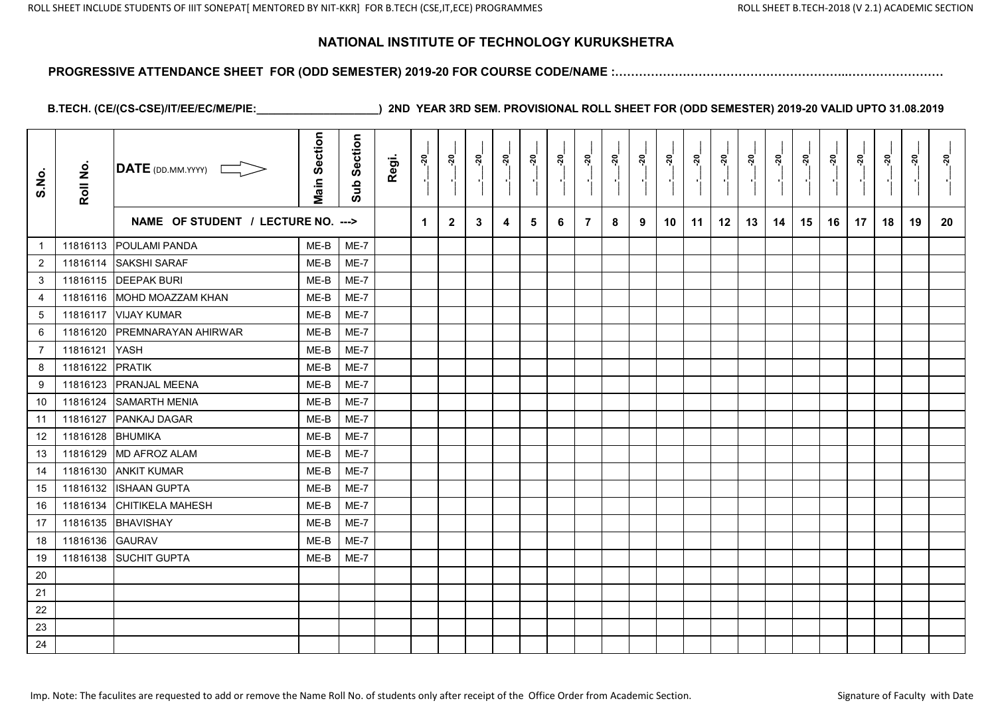#### **PROGRESSIVE ATTENDANCE SHEET FOR (ODD SEMESTER) 2019-20 FOR COURSE CODE/NAME :…………………………………………………..……………………**

| S.No.            | Roll No. | $\overline{\text{DATE}}$ (DD.MM.YYYY) | <b>Main Section</b> | Section<br>$\frac{1}{2}$ | Regi. | ្គុ | <u>នុ</u>    | <u>នុ</u> | ្គុ | ្កុ<br>$\blacksquare$ | ្គុ | ្គុ            | <u>នុ</u><br>$\blacksquare$ | <u>នុ</u> | ៷  | ្ពុ<br>$\blacksquare$ | ៷  | <u>នុ</u> | នុ | <u>នុ</u> | <u> 20</u> | នុ<br>$\blacksquare$ | នុ | នុ | នុ |
|------------------|----------|---------------------------------------|---------------------|--------------------------|-------|-----|--------------|-----------|-----|-----------------------|-----|----------------|-----------------------------|-----------|----|-----------------------|----|-----------|----|-----------|------------|----------------------|----|----|----|
|                  |          | NAME OF STUDENT / LECTURE NO. --->    |                     |                          |       | 1   | $\mathbf{2}$ | 3         | 4   | 5                     | 6   | $\overline{7}$ | 8                           | 9         | 10 | 11                    | 12 | 13        | 14 | 15        | 16         | 17                   | 18 | 19 | 20 |
| $\mathbf{1}$     |          | 11816113 POULAMI PANDA                | ME-B                | ME-7                     |       |     |              |           |     |                       |     |                |                             |           |    |                       |    |           |    |           |            |                      |    |    |    |
| $\overline{2}$   | 11816114 | <b>SAKSHI SARAF</b>                   | ME-B                | ME-7                     |       |     |              |           |     |                       |     |                |                             |           |    |                       |    |           |    |           |            |                      |    |    |    |
| 3                |          | 11816115 DEEPAK BURI                  | ME-B                | $ME-7$                   |       |     |              |           |     |                       |     |                |                             |           |    |                       |    |           |    |           |            |                      |    |    |    |
| 4                | 11816116 | MOHD MOAZZAM KHAN                     | ME-B                | ME-7                     |       |     |              |           |     |                       |     |                |                             |           |    |                       |    |           |    |           |            |                      |    |    |    |
| $\sqrt{5}$       | 11816117 | <b>VIJAY KUMAR</b>                    | ME-B                | $ME-7$                   |       |     |              |           |     |                       |     |                |                             |           |    |                       |    |           |    |           |            |                      |    |    |    |
| 6                | 11816120 | <b>PREMNARAYAN AHIRWAR</b>            | ME-B                | $ME-7$                   |       |     |              |           |     |                       |     |                |                             |           |    |                       |    |           |    |           |            |                      |    |    |    |
| $\overline{7}$   | 11816121 | <b>IYASH</b>                          | ME-B                | $ME-7$                   |       |     |              |           |     |                       |     |                |                             |           |    |                       |    |           |    |           |            |                      |    |    |    |
| 8                | 11816122 | PRATIK                                | ME-B                | ME-7                     |       |     |              |           |     |                       |     |                |                             |           |    |                       |    |           |    |           |            |                      |    |    |    |
| $\boldsymbol{9}$ | 11816123 | <b>PRANJAL MEENA</b>                  | ME-B                | <b>ME-7</b>              |       |     |              |           |     |                       |     |                |                             |           |    |                       |    |           |    |           |            |                      |    |    |    |
| 10               | 11816124 | <b>SAMARTH MENIA</b>                  | ME-B                | ME-7                     |       |     |              |           |     |                       |     |                |                             |           |    |                       |    |           |    |           |            |                      |    |    |    |
| 11               | 11816127 | <b>PANKAJ DAGAR</b>                   | ME-B                | $ME-7$                   |       |     |              |           |     |                       |     |                |                             |           |    |                       |    |           |    |           |            |                      |    |    |    |
| 12               | 11816128 | <b>BHUMIKA</b>                        | ME-B                | ME-7                     |       |     |              |           |     |                       |     |                |                             |           |    |                       |    |           |    |           |            |                      |    |    |    |
| 13               | 11816129 | <b>MD AFROZ ALAM</b>                  | ME-B                | ME-7                     |       |     |              |           |     |                       |     |                |                             |           |    |                       |    |           |    |           |            |                      |    |    |    |
| 14               | 11816130 | <b>ANKIT KUMAR</b>                    | ME-B                | ME-7                     |       |     |              |           |     |                       |     |                |                             |           |    |                       |    |           |    |           |            |                      |    |    |    |
| 15               | 11816132 | <b>ISHAAN GUPTA</b>                   | ME-B                | ME-7                     |       |     |              |           |     |                       |     |                |                             |           |    |                       |    |           |    |           |            |                      |    |    |    |
| 16               | 11816134 | <b>CHITIKELA MAHESH</b>               | ME-B                | ME-7                     |       |     |              |           |     |                       |     |                |                             |           |    |                       |    |           |    |           |            |                      |    |    |    |
| 17               | 11816135 | BHAVISHAY                             | ME-B                | ME-7                     |       |     |              |           |     |                       |     |                |                             |           |    |                       |    |           |    |           |            |                      |    |    |    |
| 18               | 11816136 | <b>GAURAV</b>                         | ME-B                | $ME-7$                   |       |     |              |           |     |                       |     |                |                             |           |    |                       |    |           |    |           |            |                      |    |    |    |
| 19               |          | 11816138 SUCHIT GUPTA                 | ME-B                | ME-7                     |       |     |              |           |     |                       |     |                |                             |           |    |                       |    |           |    |           |            |                      |    |    |    |
| $20\,$           |          |                                       |                     |                          |       |     |              |           |     |                       |     |                |                             |           |    |                       |    |           |    |           |            |                      |    |    |    |
| 21               |          |                                       |                     |                          |       |     |              |           |     |                       |     |                |                             |           |    |                       |    |           |    |           |            |                      |    |    |    |
| 22               |          |                                       |                     |                          |       |     |              |           |     |                       |     |                |                             |           |    |                       |    |           |    |           |            |                      |    |    |    |
| 23               |          |                                       |                     |                          |       |     |              |           |     |                       |     |                |                             |           |    |                       |    |           |    |           |            |                      |    |    |    |
| 24               |          |                                       |                     |                          |       |     |              |           |     |                       |     |                |                             |           |    |                       |    |           |    |           |            |                      |    |    |    |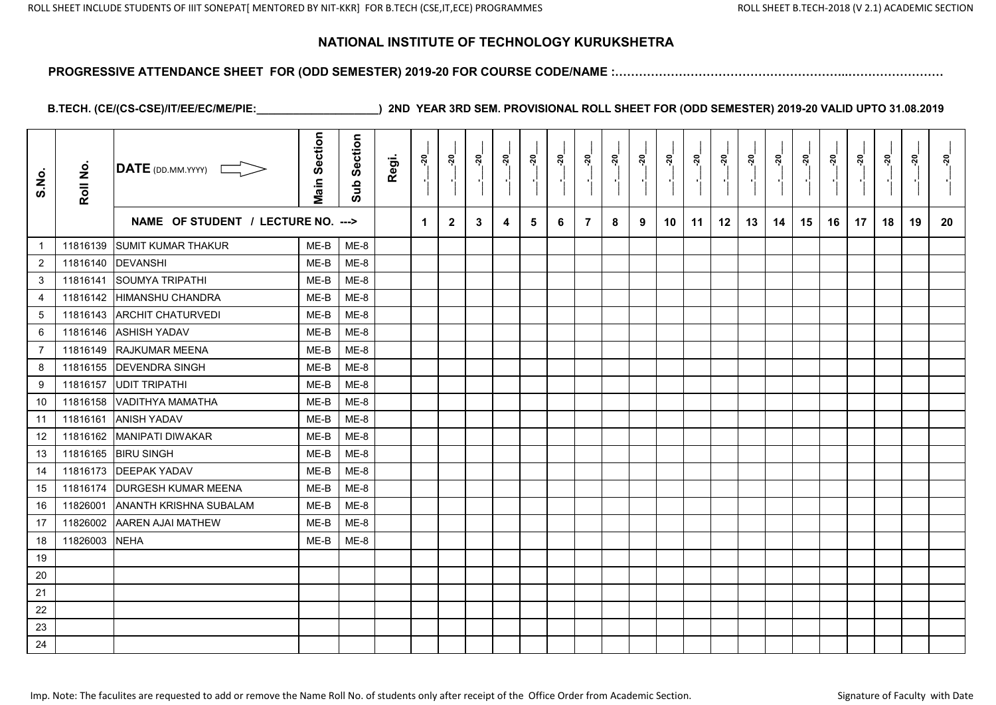#### **PROGRESSIVE ATTENDANCE SHEET FOR (ODD SEMESTER) 2019-20 FOR COURSE CODE/NAME :…………………………………………………..……………………**

| S.No.          | Roll No. | $\overline{\mathsf{DATE}}$ (DD.MM.YYYY) | <b>Main Section</b> | Section<br>Sub | Regi. | នុ | នុ           | ៷ | នុ | ្ករុ | ្តុ | ្គុ            | នុ | <u>នុ</u> | នុ | នុ | ៷  | នុ | នុ | នុ | ៷  | នុ<br>$\overline{\phantom{a}}$ | នុ | នុ | នុ |
|----------------|----------|-----------------------------------------|---------------------|----------------|-------|----|--------------|---|----|------|-----|----------------|----|-----------|----|----|----|----|----|----|----|--------------------------------|----|----|----|
|                |          | NAME OF STUDENT / LECTURE NO. --->      |                     |                |       | 1  | $\mathbf{2}$ | 3 | 4  | 5    | 6   | $\overline{7}$ | 8  | 9         | 10 | 11 | 12 | 13 | 14 | 15 | 16 | 17                             | 18 | 19 | 20 |
| $\mathbf{1}$   | 11816139 | <b>SUMIT KUMAR THAKUR</b>               | ME-B                | ME-8           |       |    |              |   |    |      |     |                |    |           |    |    |    |    |    |    |    |                                |    |    |    |
| $\overline{2}$ | 11816140 | <b>DEVANSHI</b>                         | ME-B                | ME-8           |       |    |              |   |    |      |     |                |    |           |    |    |    |    |    |    |    |                                |    |    |    |
| 3              | 11816141 | <b>SOUMYA TRIPATHI</b>                  | ME-B                | $ME-8$         |       |    |              |   |    |      |     |                |    |           |    |    |    |    |    |    |    |                                |    |    |    |
| 4              | 11816142 | <b>HIMANSHU CHANDRA</b>                 | ME-B                | ME-8           |       |    |              |   |    |      |     |                |    |           |    |    |    |    |    |    |    |                                |    |    |    |
| $\sqrt{5}$     | 11816143 | <b>ARCHIT CHATURVEDI</b>                | ME-B                | $ME-8$         |       |    |              |   |    |      |     |                |    |           |    |    |    |    |    |    |    |                                |    |    |    |
| 6              | 11816146 | <b>ASHISH YADAV</b>                     | ME-B                | ME-8           |       |    |              |   |    |      |     |                |    |           |    |    |    |    |    |    |    |                                |    |    |    |
| $\overline{7}$ | 11816149 | <b>RAJKUMAR MEENA</b>                   | ME-B                | ME-8           |       |    |              |   |    |      |     |                |    |           |    |    |    |    |    |    |    |                                |    |    |    |
| 8              | 11816155 | <b>DEVENDRA SINGH</b>                   | ME-B                | ME-8           |       |    |              |   |    |      |     |                |    |           |    |    |    |    |    |    |    |                                |    |    |    |
| 9              | 11816157 | <b>UDIT TRIPATHI</b>                    | ME-B                | $ME-8$         |       |    |              |   |    |      |     |                |    |           |    |    |    |    |    |    |    |                                |    |    |    |
| 10             | 11816158 | VADITHYA MAMATHA                        | ME-B                | ME-8           |       |    |              |   |    |      |     |                |    |           |    |    |    |    |    |    |    |                                |    |    |    |
| 11             | 11816161 | <b>JANISH YADAV</b>                     | ME-B                | ME-8           |       |    |              |   |    |      |     |                |    |           |    |    |    |    |    |    |    |                                |    |    |    |
| 12             | 11816162 | <b>MANIPATI DIWAKAR</b>                 | ME-B                | ME-8           |       |    |              |   |    |      |     |                |    |           |    |    |    |    |    |    |    |                                |    |    |    |
| 13             | 11816165 | <b>BIRU SINGH</b>                       | ME-B                | ME-8           |       |    |              |   |    |      |     |                |    |           |    |    |    |    |    |    |    |                                |    |    |    |
| 14             | 11816173 | <b>DEEPAK YADAV</b>                     | ME-B                | ME-8           |       |    |              |   |    |      |     |                |    |           |    |    |    |    |    |    |    |                                |    |    |    |
| 15             | 11816174 | <b>DURGESH KUMAR MEENA</b>              | ME-B                | $ME-8$         |       |    |              |   |    |      |     |                |    |           |    |    |    |    |    |    |    |                                |    |    |    |
| 16             | 11826001 | ANANTH KRISHNA SUBALAM                  | ME-B                | ME-8           |       |    |              |   |    |      |     |                |    |           |    |    |    |    |    |    |    |                                |    |    |    |
| 17             | 11826002 | <b>AAREN AJAI MATHEW</b>                | ME-B                | ME-8           |       |    |              |   |    |      |     |                |    |           |    |    |    |    |    |    |    |                                |    |    |    |
| 18             | 11826003 | <b>NEHA</b>                             | ME-B                | ME-8           |       |    |              |   |    |      |     |                |    |           |    |    |    |    |    |    |    |                                |    |    |    |
| 19             |          |                                         |                     |                |       |    |              |   |    |      |     |                |    |           |    |    |    |    |    |    |    |                                |    |    |    |
| 20             |          |                                         |                     |                |       |    |              |   |    |      |     |                |    |           |    |    |    |    |    |    |    |                                |    |    |    |
| 21             |          |                                         |                     |                |       |    |              |   |    |      |     |                |    |           |    |    |    |    |    |    |    |                                |    |    |    |
| 22             |          |                                         |                     |                |       |    |              |   |    |      |     |                |    |           |    |    |    |    |    |    |    |                                |    |    |    |
| 23             |          |                                         |                     |                |       |    |              |   |    |      |     |                |    |           |    |    |    |    |    |    |    |                                |    |    |    |
| 24             |          |                                         |                     |                |       |    |              |   |    |      |     |                |    |           |    |    |    |    |    |    |    |                                |    |    |    |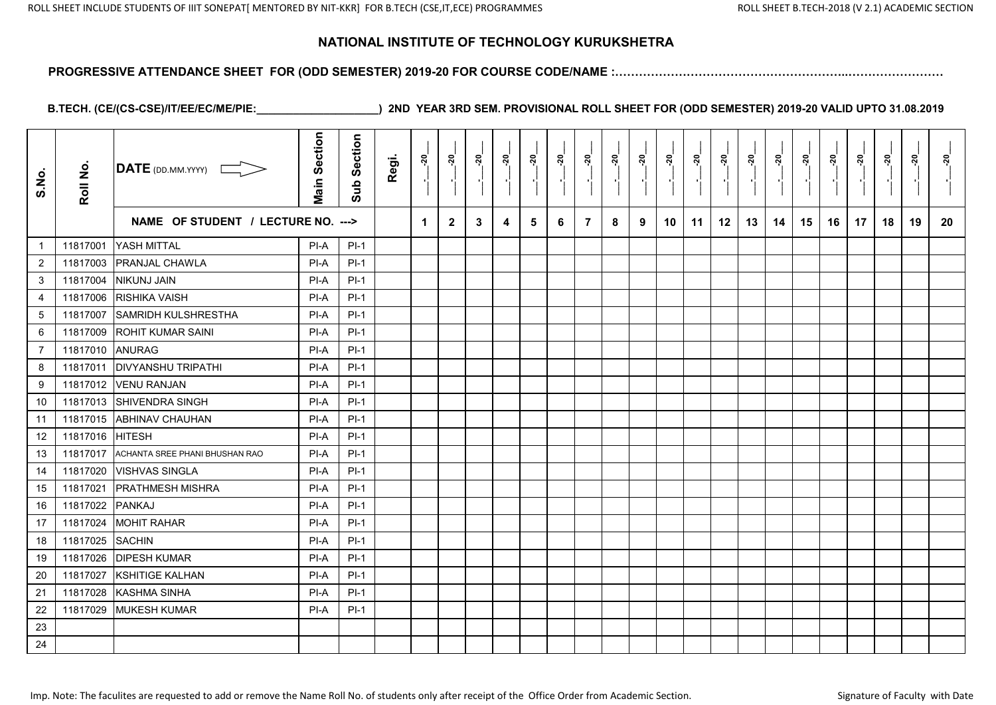#### **PROGRESSIVE ATTENDANCE SHEET FOR (ODD SEMESTER) 2019-20 FOR COURSE CODE/NAME :…………………………………………………..……………………**

| S.No.          | Roll No. | $\overline{\mathsf{DATE}}$ (DD.MM.YYYY) | <b>Main Section</b> | Section<br>Sub | Regi. | នុ                   | <u>នុ</u>      | នុ | <u>័រ</u> | នុ | <u>នុ</u> | <u>នុ</u>      | នុ | ៷៓ | នុ | ្ពុ | នុ | <u>នុ</u> | នុ | ៷៓ | <u>នុ</u> | <u>នុ</u><br>$\blacksquare$ | នុ | <u>នុ</u> | នុ |
|----------------|----------|-----------------------------------------|---------------------|----------------|-------|----------------------|----------------|----|-----------|----|-----------|----------------|----|----|----|-----|----|-----------|----|----|-----------|-----------------------------|----|-----------|----|
|                |          | NAME OF STUDENT / LECTURE NO. --->      |                     |                |       | $\blacktriangleleft$ | $\overline{2}$ | 3  | 4         | 5  | 6         | $\overline{7}$ | 8  | 9  | 10 | 11  | 12 | 13        | 14 | 15 | 16        | 17                          | 18 | 19        | 20 |
| $\overline{1}$ | 11817001 | YASH MITTAL                             | PI-A                | $PI-1$         |       |                      |                |    |           |    |           |                |    |    |    |     |    |           |    |    |           |                             |    |           |    |
| $\overline{2}$ | 11817003 | <b>PRANJAL CHAWLA</b>                   | $PI-A$              | $PI-1$         |       |                      |                |    |           |    |           |                |    |    |    |     |    |           |    |    |           |                             |    |           |    |
| 3              | 11817004 | <b>NIKUNJ JAIN</b>                      | PI-A                | $PI-1$         |       |                      |                |    |           |    |           |                |    |    |    |     |    |           |    |    |           |                             |    |           |    |
| 4              | 11817006 | <b>RISHIKA VAISH</b>                    | $PI-A$              | $PI-1$         |       |                      |                |    |           |    |           |                |    |    |    |     |    |           |    |    |           |                             |    |           |    |
| 5              | 11817007 | <b>SAMRIDH KULSHRESTHA</b>              | $PI-A$              | $PI-1$         |       |                      |                |    |           |    |           |                |    |    |    |     |    |           |    |    |           |                             |    |           |    |
| 6              | 11817009 | <b>ROHIT KUMAR SAINI</b>                | $PI-A$              | $PI-1$         |       |                      |                |    |           |    |           |                |    |    |    |     |    |           |    |    |           |                             |    |           |    |
| $\overline{7}$ | 11817010 | <b>ANURAG</b>                           | PI-A                | $PI-1$         |       |                      |                |    |           |    |           |                |    |    |    |     |    |           |    |    |           |                             |    |           |    |
| 8              | 11817011 | <b>IDIVYANSHU TRIPATHI</b>              | $PI-A$              | $PI-1$         |       |                      |                |    |           |    |           |                |    |    |    |     |    |           |    |    |           |                             |    |           |    |
| 9              | 11817012 | <b>IVENU RANJAN</b>                     | PI-A                | $PI-1$         |       |                      |                |    |           |    |           |                |    |    |    |     |    |           |    |    |           |                             |    |           |    |
| 10             | 11817013 | <b>SHIVENDRA SINGH</b>                  | $PI-A$              | $PI-1$         |       |                      |                |    |           |    |           |                |    |    |    |     |    |           |    |    |           |                             |    |           |    |
| 11             | 11817015 | <b>ABHINAV CHAUHAN</b>                  | $PI-A$              | $PI-1$         |       |                      |                |    |           |    |           |                |    |    |    |     |    |           |    |    |           |                             |    |           |    |
| 12             | 11817016 | <b>HITESH</b>                           | $PI-A$              | $PI-1$         |       |                      |                |    |           |    |           |                |    |    |    |     |    |           |    |    |           |                             |    |           |    |
| 13             | 11817017 | ACHANTA SREE PHANI BHUSHAN RAO          | $PI-A$              | $PI-1$         |       |                      |                |    |           |    |           |                |    |    |    |     |    |           |    |    |           |                             |    |           |    |
| 14             | 11817020 | <b>VISHVAS SINGLA</b>                   | PI-A                | $PI-1$         |       |                      |                |    |           |    |           |                |    |    |    |     |    |           |    |    |           |                             |    |           |    |
| 15             | 11817021 | <b>PRATHMESH MISHRA</b>                 | PI-A                | $PI-1$         |       |                      |                |    |           |    |           |                |    |    |    |     |    |           |    |    |           |                             |    |           |    |
| 16             | 11817022 | PANKAJ                                  | PI-A                | $PI-1$         |       |                      |                |    |           |    |           |                |    |    |    |     |    |           |    |    |           |                             |    |           |    |
| 17             | 11817024 | <b>MOHIT RAHAR</b>                      | PI-A                | $PI-1$         |       |                      |                |    |           |    |           |                |    |    |    |     |    |           |    |    |           |                             |    |           |    |
| 18             | 11817025 | <b>SACHIN</b>                           | $PI-A$              | $PI-1$         |       |                      |                |    |           |    |           |                |    |    |    |     |    |           |    |    |           |                             |    |           |    |
| 19             | 11817026 | <b>DIPESH KUMAR</b>                     | $PI-A$              | $PI-1$         |       |                      |                |    |           |    |           |                |    |    |    |     |    |           |    |    |           |                             |    |           |    |
| 20             | 11817027 | KSHITIGE KALHAN                         | $PI-A$              | $PI-1$         |       |                      |                |    |           |    |           |                |    |    |    |     |    |           |    |    |           |                             |    |           |    |
| 21             | 11817028 | <b>KASHMA SINHA</b>                     | $PI-A$              | $PI-1$         |       |                      |                |    |           |    |           |                |    |    |    |     |    |           |    |    |           |                             |    |           |    |
| 22             | 11817029 | <b>MUKESH KUMAR</b>                     | $PI-A$              | $PI-1$         |       |                      |                |    |           |    |           |                |    |    |    |     |    |           |    |    |           |                             |    |           |    |
| 23             |          |                                         |                     |                |       |                      |                |    |           |    |           |                |    |    |    |     |    |           |    |    |           |                             |    |           |    |
| 24             |          |                                         |                     |                |       |                      |                |    |           |    |           |                |    |    |    |     |    |           |    |    |           |                             |    |           |    |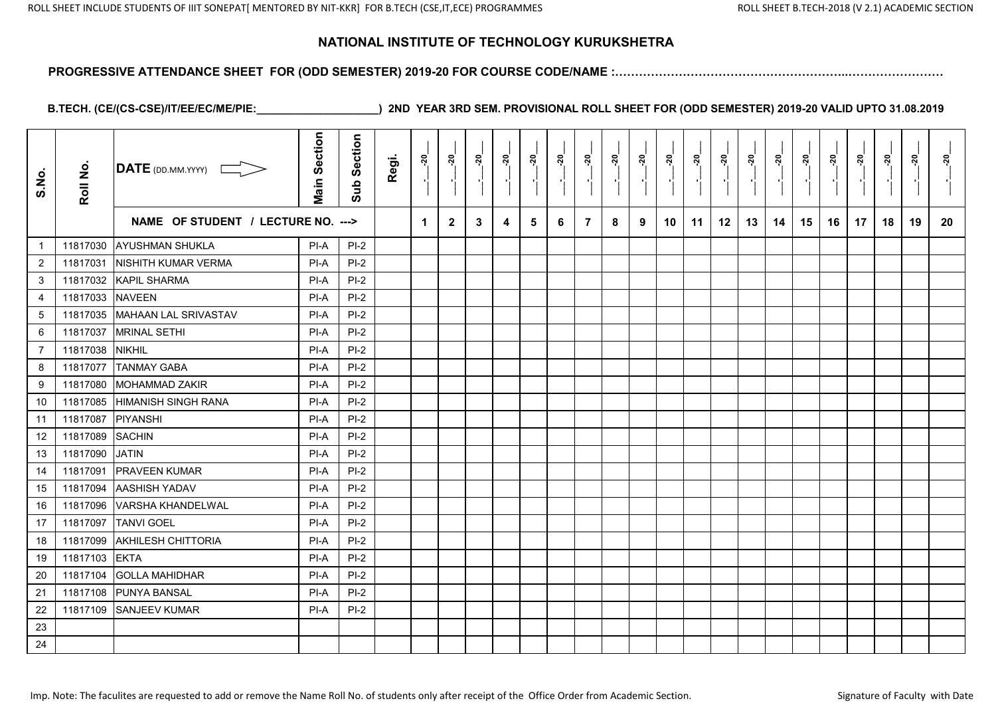#### **PROGRESSIVE ATTENDANCE SHEET FOR (ODD SEMESTER) 2019-20 FOR COURSE CODE/NAME :…………………………………………………..……………………**

| S.No.          | Roll No. | $\overline{\mathsf{DATE}}$ (DD.MM.YYYY) | <b>Main Section</b> | Section<br>Sub | Regi. | នុ | <u>នុ</u>    | នុ៎ | នុ៎ | នុ | ៷៓ | នុ | <u>នុ</u> | <u>នុ</u> | <u>នុ</u> | <u>នុ</u> | ៷  |    | <u>នុ</u> | <u>នុ</u> | ៷៓ | <u>នុ</u> | នុ | ្កុ | <u>ຊ່</u> |
|----------------|----------|-----------------------------------------|---------------------|----------------|-------|----|--------------|-----|-----|----|----|----|-----------|-----------|-----------|-----------|----|----|-----------|-----------|----|-----------|----|-----|-----------|
|                |          | NAME OF STUDENT / LECTURE NO. --->      |                     |                |       | 1  | $\mathbf{2}$ | 3   | 4   | 5  | 6  | 7  | 8         | 9         | 10        | 11        | 12 | 13 | 14        | 15        | 16 | 17        | 18 | 19  | 20        |
| $\overline{1}$ | 11817030 | <b>AYUSHMAN SHUKLA</b>                  | PI-A                | $PI-2$         |       |    |              |     |     |    |    |    |           |           |           |           |    |    |           |           |    |           |    |     |           |
| $\overline{2}$ | 11817031 | NISHITH KUMAR VERMA                     | PI-A                | $PI-2$         |       |    |              |     |     |    |    |    |           |           |           |           |    |    |           |           |    |           |    |     |           |
| $\mathfrak{S}$ | 11817032 | <b>KAPIL SHARMA</b>                     | PI-A                | $PI-2$         |       |    |              |     |     |    |    |    |           |           |           |           |    |    |           |           |    |           |    |     |           |
| $\overline{4}$ | 11817033 | <b>NAVEEN</b>                           | PI-A                | $PI-2$         |       |    |              |     |     |    |    |    |           |           |           |           |    |    |           |           |    |           |    |     |           |
| 5              | 11817035 | <b>MAHAAN LAL SRIVASTAV</b>             | PI-A                | $PI-2$         |       |    |              |     |     |    |    |    |           |           |           |           |    |    |           |           |    |           |    |     |           |
| 6              | 11817037 | <b>MRINAL SETHI</b>                     | PI-A                | $PI-2$         |       |    |              |     |     |    |    |    |           |           |           |           |    |    |           |           |    |           |    |     |           |
| $\overline{7}$ | 11817038 | <b>NIKHIL</b>                           | PI-A                | $PI-2$         |       |    |              |     |     |    |    |    |           |           |           |           |    |    |           |           |    |           |    |     |           |
| 8              | 11817077 | <b>TANMAY GABA</b>                      | PI-A                | $PI-2$         |       |    |              |     |     |    |    |    |           |           |           |           |    |    |           |           |    |           |    |     |           |
| 9              | 11817080 | <b>MOHAMMAD ZAKIR</b>                   | PI-A                | $PI-2$         |       |    |              |     |     |    |    |    |           |           |           |           |    |    |           |           |    |           |    |     |           |
| 10             | 11817085 | <b>HIMANISH SINGH RANA</b>              | PI-A                | $PI-2$         |       |    |              |     |     |    |    |    |           |           |           |           |    |    |           |           |    |           |    |     |           |
| 11             | 11817087 | <b>PIYANSHI</b>                         | PI-A                | $PI-2$         |       |    |              |     |     |    |    |    |           |           |           |           |    |    |           |           |    |           |    |     |           |
| 12             | 11817089 | <b>SACHIN</b>                           | PI-A                | $PI-2$         |       |    |              |     |     |    |    |    |           |           |           |           |    |    |           |           |    |           |    |     |           |
| 13             | 11817090 | <b>JATIN</b>                            | PI-A                | $PI-2$         |       |    |              |     |     |    |    |    |           |           |           |           |    |    |           |           |    |           |    |     |           |
| 14             | 11817091 | <b>PRAVEEN KUMAR</b>                    | PI-A                | $PI-2$         |       |    |              |     |     |    |    |    |           |           |           |           |    |    |           |           |    |           |    |     |           |
| 15             | 11817094 | <b>AASHISH YADAV</b>                    | PI-A                | $PI-2$         |       |    |              |     |     |    |    |    |           |           |           |           |    |    |           |           |    |           |    |     |           |
| 16             | 11817096 | <b>VARSHA KHANDELWAL</b>                | PI-A                | $PI-2$         |       |    |              |     |     |    |    |    |           |           |           |           |    |    |           |           |    |           |    |     |           |
| 17             | 11817097 | <b>TANVI GOEL</b>                       | PI-A                | $PI-2$         |       |    |              |     |     |    |    |    |           |           |           |           |    |    |           |           |    |           |    |     |           |
| 18             | 11817099 | <b>AKHILESH CHITTORIA</b>               | PI-A                | $PI-2$         |       |    |              |     |     |    |    |    |           |           |           |           |    |    |           |           |    |           |    |     |           |
| 19             | 11817103 | <b>EKTA</b>                             | PI-A                | $PI-2$         |       |    |              |     |     |    |    |    |           |           |           |           |    |    |           |           |    |           |    |     |           |
| 20             | 11817104 | <b>GOLLA MAHIDHAR</b>                   | PI-A                | $PI-2$         |       |    |              |     |     |    |    |    |           |           |           |           |    |    |           |           |    |           |    |     |           |
| 21             | 11817108 | <b>PUNYA BANSAL</b>                     | PI-A                | $PI-2$         |       |    |              |     |     |    |    |    |           |           |           |           |    |    |           |           |    |           |    |     |           |
| 22             | 11817109 | <b>SANJEEV KUMAR</b>                    | PI-A                | $PI-2$         |       |    |              |     |     |    |    |    |           |           |           |           |    |    |           |           |    |           |    |     |           |
| 23             |          |                                         |                     |                |       |    |              |     |     |    |    |    |           |           |           |           |    |    |           |           |    |           |    |     |           |
| 24             |          |                                         |                     |                |       |    |              |     |     |    |    |    |           |           |           |           |    |    |           |           |    |           |    |     |           |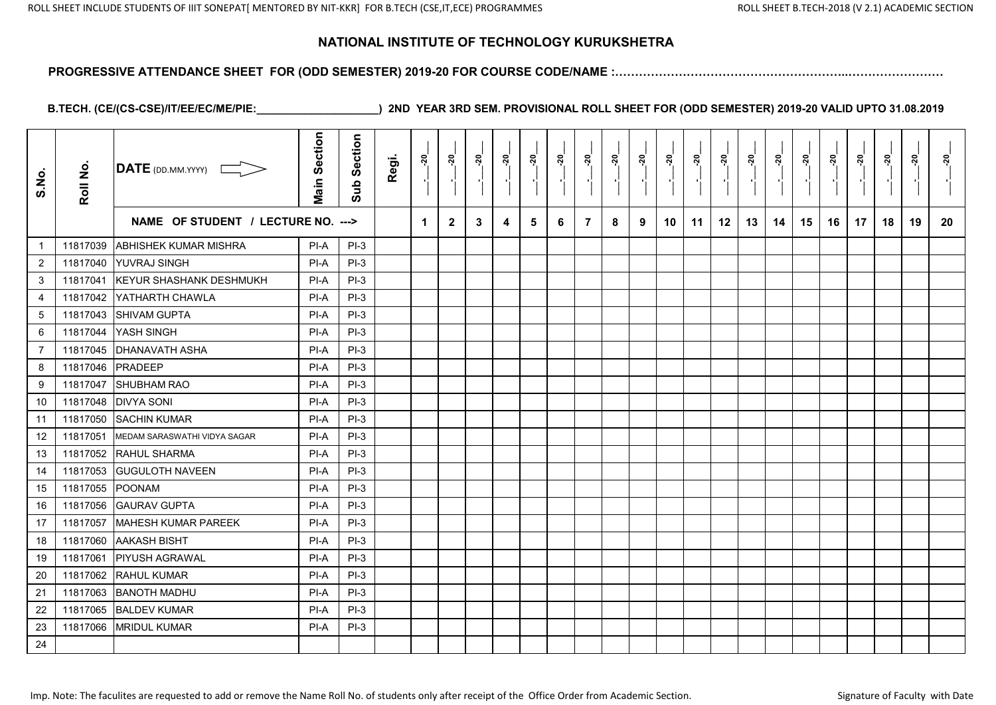#### **PROGRESSIVE ATTENDANCE SHEET FOR (ODD SEMESTER) 2019-20 FOR COURSE CODE/NAME :…………………………………………………..……………………**

| S.No.           | Roll No. | DATE (DD.MM.YYYY) [                | <b>Main Section</b> | Section<br>Sub | Regi. | <u>នុ</u> | ្កុ<br>$\blacksquare$ | <u>នុ</u> | <u>នុ</u> | នុ | ៷៓ | នុ             | <u>នុ</u> | <u>នុ</u> | <u>នុ</u> | នុ | ៷  | ្គុ | នុ | នុ | <u>នុ</u> | <u>នុ</u> | <u>នុ</u> | នុ | នុ |
|-----------------|----------|------------------------------------|---------------------|----------------|-------|-----------|-----------------------|-----------|-----------|----|----|----------------|-----------|-----------|-----------|----|----|-----|----|----|-----------|-----------|-----------|----|----|
|                 |          | NAME OF STUDENT / LECTURE NO. ---> |                     |                |       | -1        | $\mathbf{2}$          | 3         | 4         | 5  | 6  | $\overline{7}$ | 8         | 9         | 10        | 11 | 12 | 13  | 14 | 15 | 16        | 17        | 18        | 19 | 20 |
| $\overline{1}$  | 11817039 | <b>ABHISHEK KUMAR MISHRA</b>       | PI-A                | $PI-3$         |       |           |                       |           |           |    |    |                |           |           |           |    |    |     |    |    |           |           |           |    |    |
| $\overline{2}$  | 11817040 | <b>YUVRAJ SINGH</b>                | PI-A                | $PI-3$         |       |           |                       |           |           |    |    |                |           |           |           |    |    |     |    |    |           |           |           |    |    |
| 3               | 11817041 | <b>KEYUR SHASHANK DESHMUKH</b>     | PI-A                | $PI-3$         |       |           |                       |           |           |    |    |                |           |           |           |    |    |     |    |    |           |           |           |    |    |
| $\overline{4}$  | 11817042 | YATHARTH CHAWLA                    | PI-A                | $PI-3$         |       |           |                       |           |           |    |    |                |           |           |           |    |    |     |    |    |           |           |           |    |    |
| $5\phantom{.0}$ | 11817043 | <b>SHIVAM GUPTA</b>                | PI-A                | $PI-3$         |       |           |                       |           |           |    |    |                |           |           |           |    |    |     |    |    |           |           |           |    |    |
| 6               | 11817044 | YASH SINGH                         | PI-A                | $PI-3$         |       |           |                       |           |           |    |    |                |           |           |           |    |    |     |    |    |           |           |           |    |    |
| $\overline{7}$  | 11817045 | <b>DHANAVATH ASHA</b>              | PI-A                | $PI-3$         |       |           |                       |           |           |    |    |                |           |           |           |    |    |     |    |    |           |           |           |    |    |
| 8               | 11817046 | PRADEEP                            | PI-A                | $PI-3$         |       |           |                       |           |           |    |    |                |           |           |           |    |    |     |    |    |           |           |           |    |    |
| 9               | 11817047 | ISHUBHAM RAO                       | PI-A                | $PI-3$         |       |           |                       |           |           |    |    |                |           |           |           |    |    |     |    |    |           |           |           |    |    |
| 10              | 11817048 | <b>DIVYA SONI</b>                  | PI-A                | $PI-3$         |       |           |                       |           |           |    |    |                |           |           |           |    |    |     |    |    |           |           |           |    |    |
| 11              | 11817050 | <b>SACHIN KUMAR</b>                | PI-A                | $PI-3$         |       |           |                       |           |           |    |    |                |           |           |           |    |    |     |    |    |           |           |           |    |    |
| 12              | 11817051 | MEDAM SARASWATHI VIDYA SAGAR       | PI-A                | $PI-3$         |       |           |                       |           |           |    |    |                |           |           |           |    |    |     |    |    |           |           |           |    |    |
| 13              | 11817052 | RAHUL SHARMA                       | PI-A                | $PI-3$         |       |           |                       |           |           |    |    |                |           |           |           |    |    |     |    |    |           |           |           |    |    |
| 14              | 11817053 | <b>GUGULOTH NAVEEN</b>             | PI-A                | $PI-3$         |       |           |                       |           |           |    |    |                |           |           |           |    |    |     |    |    |           |           |           |    |    |
| 15              | 11817055 | <b>POONAM</b>                      | PI-A                | $PI-3$         |       |           |                       |           |           |    |    |                |           |           |           |    |    |     |    |    |           |           |           |    |    |
| 16              | 11817056 | <b>GAURAV GUPTA</b>                | PI-A                | $PI-3$         |       |           |                       |           |           |    |    |                |           |           |           |    |    |     |    |    |           |           |           |    |    |
| 17              | 11817057 | <b>MAHESH KUMAR PAREEK</b>         | PI-A                | $PI-3$         |       |           |                       |           |           |    |    |                |           |           |           |    |    |     |    |    |           |           |           |    |    |
| 18              | 11817060 | <b>AAKASH BISHT</b>                | PI-A                | $PI-3$         |       |           |                       |           |           |    |    |                |           |           |           |    |    |     |    |    |           |           |           |    |    |
| 19              | 11817061 | <b>PIYUSH AGRAWAL</b>              | PI-A                | $PI-3$         |       |           |                       |           |           |    |    |                |           |           |           |    |    |     |    |    |           |           |           |    |    |
| 20              | 11817062 | <b>RAHUL KUMAR</b>                 | PI-A                | $PI-3$         |       |           |                       |           |           |    |    |                |           |           |           |    |    |     |    |    |           |           |           |    |    |
| 21              | 11817063 | <b>IBANOTH MADHU</b>               | PI-A                | $PI-3$         |       |           |                       |           |           |    |    |                |           |           |           |    |    |     |    |    |           |           |           |    |    |
| 22              | 11817065 | <b>BALDEV KUMAR</b>                | PI-A                | $PI-3$         |       |           |                       |           |           |    |    |                |           |           |           |    |    |     |    |    |           |           |           |    |    |
| 23              | 11817066 | <b>MRIDUL KUMAR</b>                | PI-A                | $PI-3$         |       |           |                       |           |           |    |    |                |           |           |           |    |    |     |    |    |           |           |           |    |    |
| 24              |          |                                    |                     |                |       |           |                       |           |           |    |    |                |           |           |           |    |    |     |    |    |           |           |           |    |    |